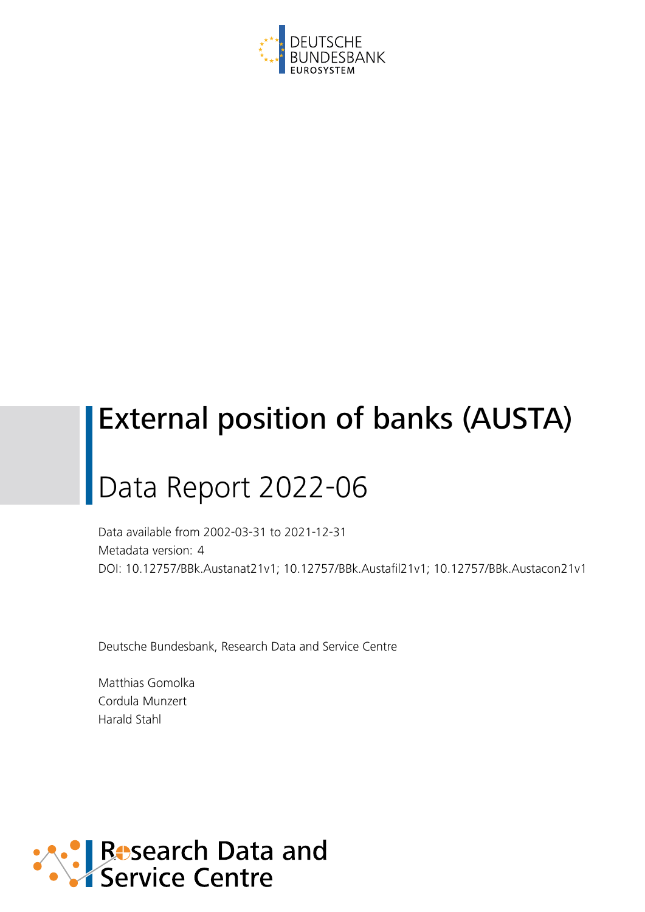

## External position of banks (AUSTA)

# Data Report 2022-06

Data available from 2002-03-31 to 2021-12-31 Metadata version: 4 DOI: 10.12757/BBk.Austanat21v1; 10.12757/BBk.Austafil21v1; 10.12757/BBk.Austacon21v1

Deutsche Bundesbank, Research Data and Service Centre

Matthias Gomolka Cordula Munzert Harald Stahl

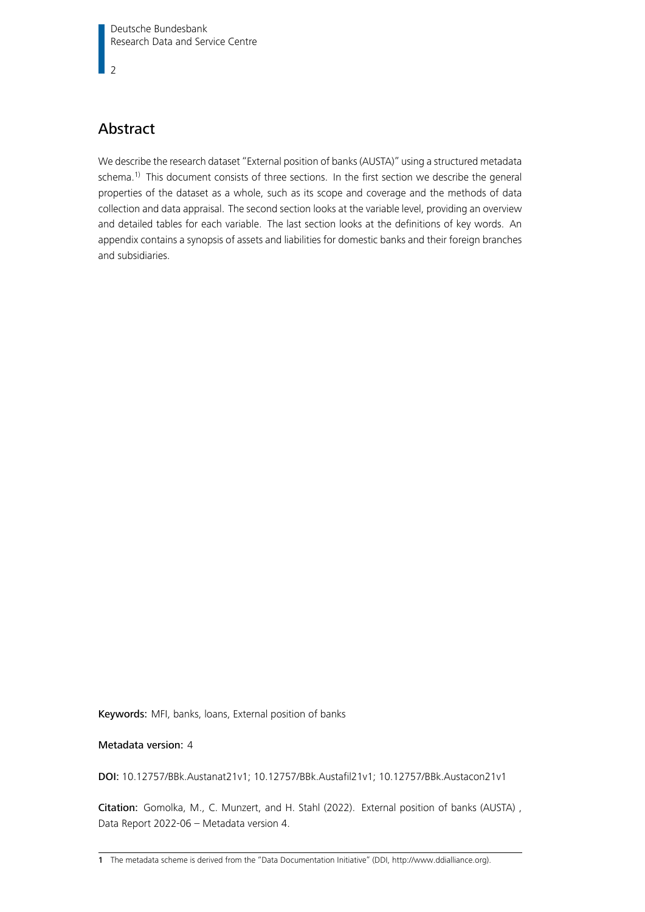$\overline{2}$ 

#### Abstract

We describe the research dataset "External position of banks (AUSTA)" using a structured metadata schema.<sup>[1\)](#page-1-0)</sup> This document consists of three sections. In the first section we describe the general properties of the dataset as a whole, such as its scope and coverage and the methods of data collection and data appraisal. The second section looks at the variable level, providing an overview and detailed tables for each variable. The last section looks at the definitions of key words. An appendix contains a synopsis of assets and liabilities for domestic banks and their foreign branches and subsidiaries.

Keywords: MFI, banks, loans, External position of banks

#### Metadata version: 4

DOI: 10.12757/BBk.Austanat21v1; 10.12757/BBk.Austafil21v1; 10.12757/BBk.Austacon21v1

Citation: Gomolka, M., C. Munzert, and H. Stahl (2022). External position of banks (AUSTA) , Data Report 2022-06 – Metadata version 4.

<span id="page-1-0"></span><sup>1</sup> The metadata scheme is derived from the "Data Documentation Initiative" (DDI, [http://www.ddialliance.org\)](http://www.ddialliance.org).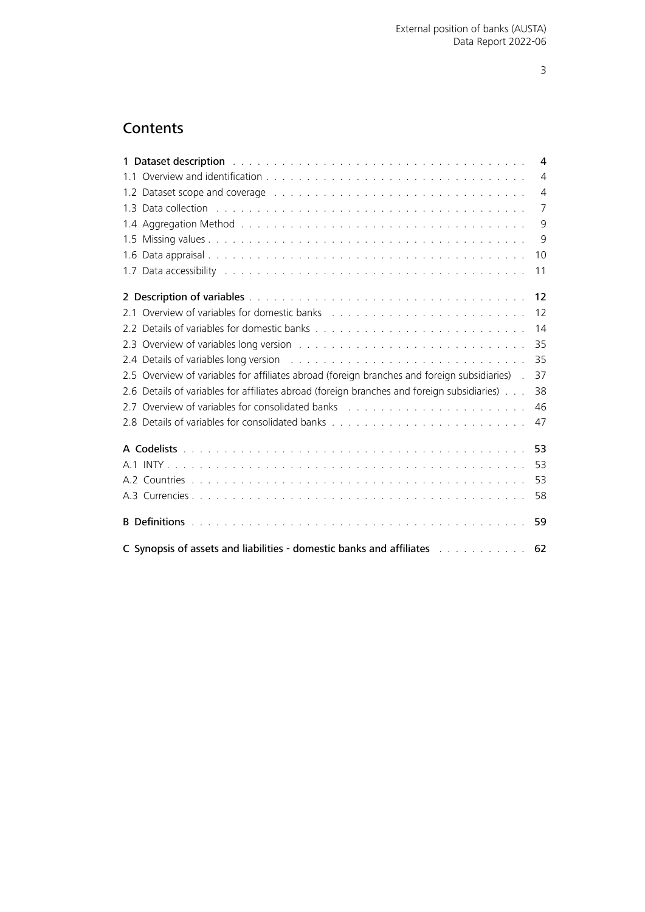### **Contents**

<span id="page-2-0"></span>

| 1 Dataset description with a subsequent state of the series of the series of the series of the series of the s                                                                                                                 | 4              |
|--------------------------------------------------------------------------------------------------------------------------------------------------------------------------------------------------------------------------------|----------------|
|                                                                                                                                                                                                                                | $\overline{4}$ |
| 1.2 Dataset scope and coverage enterpreterate and and a series of the contract of the contract of the contract of the contract of the contract of the contract of the contract of the contract of the contract of the contract | $\overline{4}$ |
| 1.3 Data collection with the contract of the contract of the contract of the contract of the contract of the contract of the contract of the contract of the contract of the contract of the contract of the contract of the c | $\overline{7}$ |
|                                                                                                                                                                                                                                | 9              |
|                                                                                                                                                                                                                                | 9              |
|                                                                                                                                                                                                                                | 10             |
|                                                                                                                                                                                                                                | 11             |
|                                                                                                                                                                                                                                | 12             |
|                                                                                                                                                                                                                                | 12             |
|                                                                                                                                                                                                                                | 14             |
|                                                                                                                                                                                                                                | 35             |
|                                                                                                                                                                                                                                | 35             |
| 2.5 Overview of variables for affiliates abroad (foreign branches and foreign subsidiaries).                                                                                                                                   | 37             |
| 2.6 Details of variables for affiliates abroad (foreign branches and foreign subsidiaries)                                                                                                                                     | 38             |
| 2.7 Overview of variables for consolidated banks (and all contained all contained and all contained and all contained and all contained and all contained and all contained and all contained and all contained and all contai | 46             |
|                                                                                                                                                                                                                                | 47             |
|                                                                                                                                                                                                                                | 53             |
|                                                                                                                                                                                                                                |                |
|                                                                                                                                                                                                                                | 53             |
|                                                                                                                                                                                                                                | 58             |
|                                                                                                                                                                                                                                | 59             |
| C Synopsis of assets and liabilities - domestic banks and affiliates entermination of a system of the Synopsis                                                                                                                 | 62             |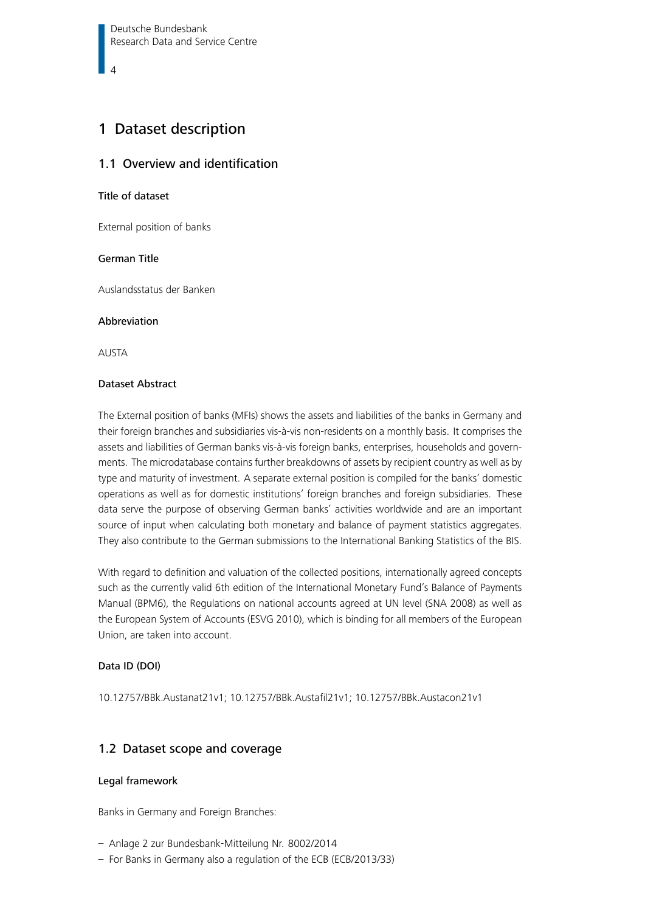#### <span id="page-3-0"></span>1 Dataset description

#### 1.1 Overview and identification

#### Title of dataset

External position of banks

#### German Title

Auslandsstatus der Banken

#### Abbreviation

AUSTA

#### Dataset Abstract

The External position of banks (MFIs) shows the assets and liabilities of the banks in Germany and their foreign branches and subsidiaries vis-à-vis non-residents on a monthly basis. It comprises the assets and liabilities of German banks vis-à-vis foreign banks, enterprises, households and governments. The microdatabase contains further breakdowns of assets by recipient country as well as by type and maturity of investment. A separate external position is compiled for the banks' domestic operations as well as for domestic institutions' foreign branches and foreign subsidiaries. These data serve the purpose of observing German banks' activities worldwide and are an important source of input when calculating both monetary and balance of payment statistics aggregates. They also contribute to the German submissions to the International Banking Statistics of the BIS.

With regard to definition and valuation of the collected positions, internationally agreed concepts such as the currently valid 6th edition of the International Monetary Fund's Balance of Payments Manual (BPM6), the Regulations on national accounts agreed at UN level (SNA 2008) as well as the European System of Accounts (ESVG 2010), which is binding for all members of the European Union, are taken into account.

#### Data ID (DOI)

10.12757/BBk.Austanat21v1; 10.12757/BBk.Austafil21v1; 10.12757/BBk.Austacon21v1

#### <span id="page-3-1"></span>1.2 Dataset scope and coverage

#### Legal framework

Banks in Germany and Foreign Branches:

- Anlage 2 zur Bundesbank-Mitteilung Nr. 8002/2014
- For Banks in Germany also a regulation of the ECB (ECB/2013/33)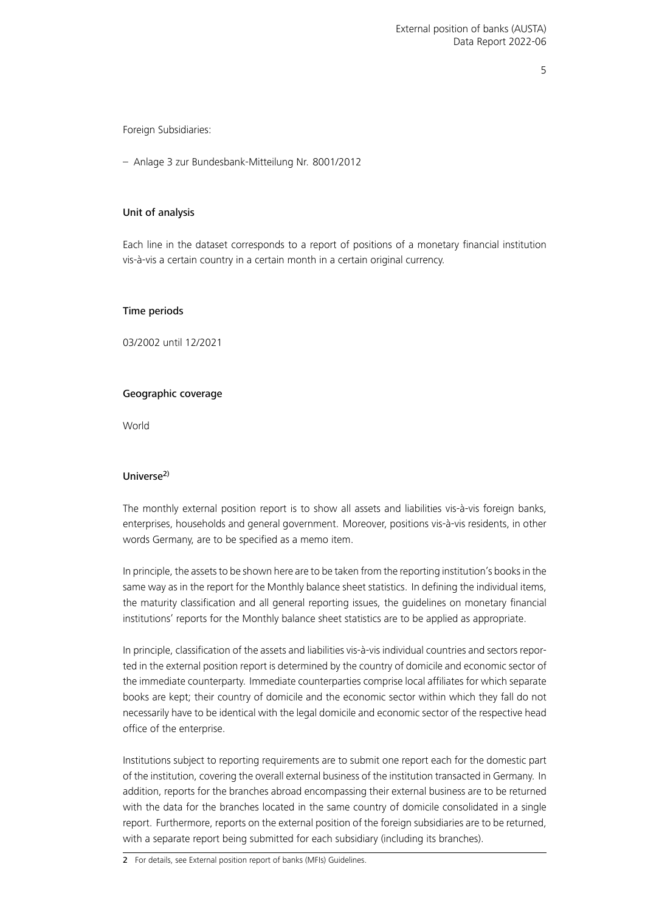Foreign Subsidiaries:

– Anlage 3 zur Bundesbank-Mitteilung Nr. 8001/2012

#### Unit of analysis

Each line in the dataset corresponds to a report of positions of a monetary financial institution vis-à-vis a certain country in a certain month in a certain original currency.

#### Time periods

03/2002 until 12/2021

#### Geographic coverage

World

#### Universe[2\)](#page-4-0)

The monthly external position report is to show all assets and liabilities vis-à-vis foreign banks, enterprises, households and general government. Moreover, positions vis-à-vis residents, in other words Germany, are to be specified as a memo item.

In principle, the assets to be shown here are to be taken from the reporting institution's books in the same way as in the report for the Monthly balance sheet statistics. In defining the individual items, the maturity classification and all general reporting issues, the guidelines on monetary financial institutions' reports for the Monthly balance sheet statistics are to be applied as appropriate.

In principle, classification of the assets and liabilities vis-à-vis individual countries and sectors reported in the external position report is determined by the country of domicile and economic sector of the immediate counterparty. Immediate counterparties comprise local affiliates for which separate books are kept; their country of domicile and the economic sector within which they fall do not necessarily have to be identical with the legal domicile and economic sector of the respective head office of the enterprise.

<span id="page-4-0"></span>Institutions subject to reporting requirements are to submit one report each for the domestic part of the institution, covering the overall external business of the institution transacted in Germany. In addition, reports for the branches abroad encompassing their external business are to be returned with the data for the branches located in the same country of domicile consolidated in a single report. Furthermore, reports on the external position of the foreign subsidiaries are to be returned, with a separate report being submitted for each subsidiary (including its branches).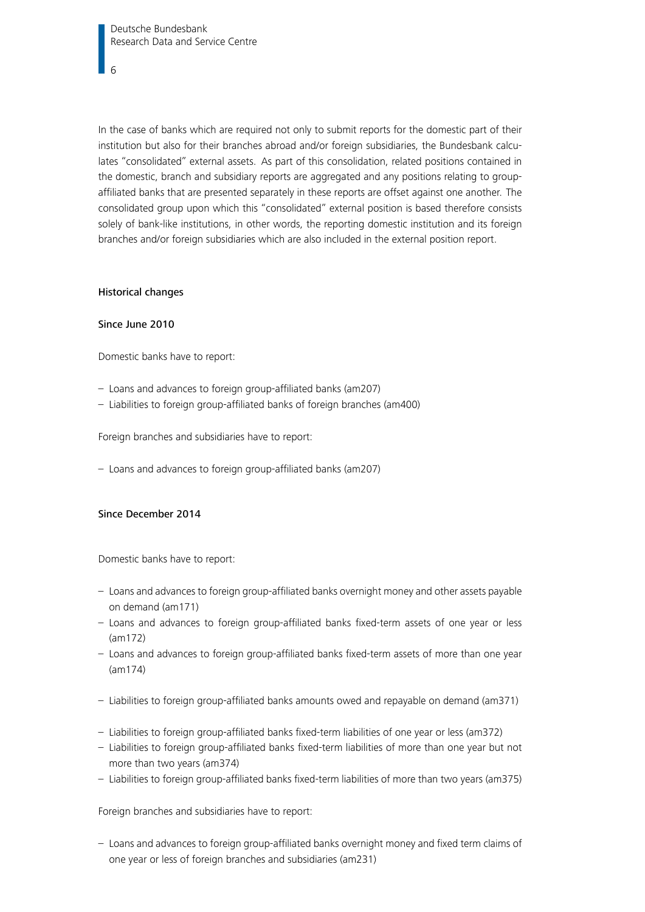In the case of banks which are required not only to submit reports for the domestic part of their institution but also for their branches abroad and/or foreign subsidiaries, the Bundesbank calculates "consolidated" external assets. As part of this consolidation, related positions contained in the domestic, branch and subsidiary reports are aggregated and any positions relating to groupaffiliated banks that are presented separately in these reports are offset against one another. The consolidated group upon which this "consolidated" external position is based therefore consists solely of bank-like institutions, in other words, the reporting domestic institution and its foreign branches and/or foreign subsidiaries which are also included in the external position report.

#### Historical changes

#### Since June 2010

Domestic banks have to report:

- Loans and advances to foreign group-affiliated banks (am207)
- Liabilities to foreign group-affiliated banks of foreign branches (am400)

Foreign branches and subsidiaries have to report:

– Loans and advances to foreign group-affiliated banks (am207)

#### Since December 2014

Domestic banks have to report:

- Loans and advances to foreign group-affiliated banks overnight money and other assets payable on demand (am171)
- Loans and advances to foreign group-affiliated banks fixed-term assets of one year or less (am172)
- Loans and advances to foreign group-affiliated banks fixed-term assets of more than one year (am174)
- Liabilities to foreign group-affiliated banks amounts owed and repayable on demand (am371)
- Liabilities to foreign group-affiliated banks fixed-term liabilities of one year or less (am372)
- Liabilities to foreign group-affiliated banks fixed-term liabilities of more than one year but not more than two years (am374)
- Liabilities to foreign group-affiliated banks fixed-term liabilities of more than two years (am375)

Foreign branches and subsidiaries have to report:

– Loans and advances to foreign group-affiliated banks overnight money and fixed term claims of one year or less of foreign branches and subsidiaries (am231)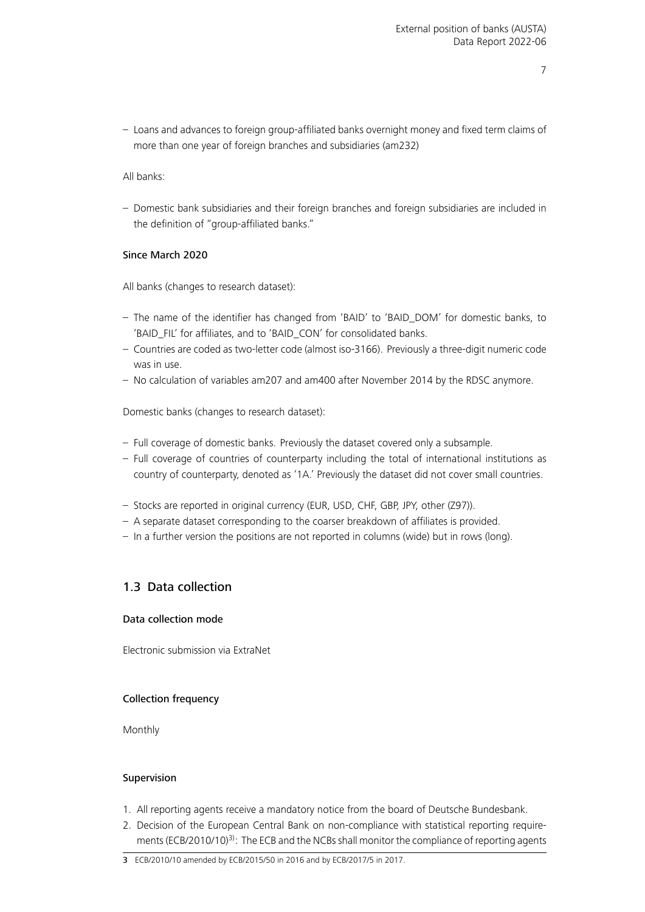– Loans and advances to foreign group-affiliated banks overnight money and fixed term claims of more than one year of foreign branches and subsidiaries (am232)

All banks:

– Domestic bank subsidiaries and their foreign branches and foreign subsidiaries are included in the definition of "group-affiliated banks."

#### Since March 2020

All banks (changes to research dataset):

- The name of the identifier has changed from 'BAID' to 'BAID\_DOM' for domestic banks, to 'BAID\_FIL' for affiliates, and to 'BAID\_CON' for consolidated banks.
- Countries are coded as two-letter code (almost iso-3166). Previously a three-digit numeric code was in use.
- No calculation of variables am207 and am400 after November 2014 by the RDSC anymore.

Domestic banks (changes to research dataset):

- Full coverage of domestic banks. Previously the dataset covered only a subsample.
- Full coverage of countries of counterparty including the total of international institutions as country of counterparty, denoted as '1A.' Previously the dataset did not cover small countries.
- Stocks are reported in original currency (EUR, USD, CHF, GBP, JPY, other (Z97)).
- A separate dataset corresponding to the coarser breakdown of affiliates is provided.
- In a further version the positions are not reported in columns (wide) but in rows (long).

#### <span id="page-6-0"></span>1.3 Data collection

#### Data collection mode

Electronic submission via ExtraNet

#### Collection frequency

Monthly

#### Supervision

- 1. All reporting agents receive a mandatory notice from the board of Deutsche Bundesbank.
- 2. Decision of the European Central Bank on non-compliance with statistical reporting require-ments (ECB/2010/10)<sup>[3\)](#page-6-1)</sup>: The ECB and the NCBs shall monitor the compliance of reporting agents

<span id="page-6-1"></span><sup>3</sup> ECB/2010/10 amended by ECB/2015/50 in 2016 and by ECB/2017/5 in 2017.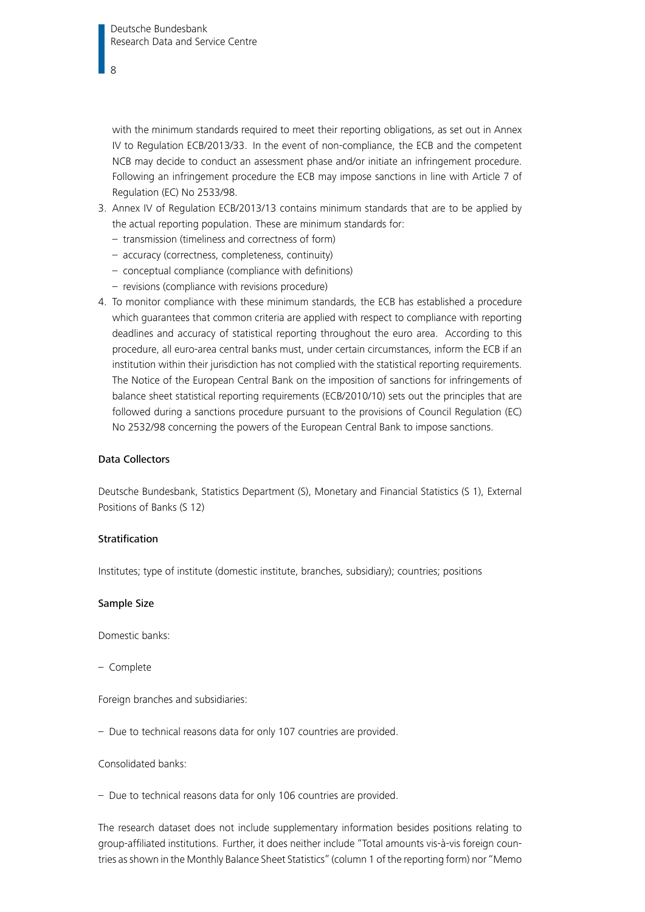with the minimum standards required to meet their reporting obligations, as set out in Annex IV to Regulation ECB/2013/33. In the event of non-compliance, the ECB and the competent NCB may decide to conduct an assessment phase and/or initiate an infringement procedure. Following an infringement procedure the ECB may impose sanctions in line with Article 7 of Regulation (EC) No 2533/98.

- 3. Annex IV of Regulation ECB/2013/13 contains minimum standards that are to be applied by the actual reporting population. These are minimum standards for:
	- transmission (timeliness and correctness of form)
	- accuracy (correctness, completeness, continuity)
	- conceptual compliance (compliance with definitions)
	- revisions (compliance with revisions procedure)
- 4. To monitor compliance with these minimum standards, the ECB has established a procedure which guarantees that common criteria are applied with respect to compliance with reporting deadlines and accuracy of statistical reporting throughout the euro area. According to this procedure, all euro-area central banks must, under certain circumstances, inform the ECB if an institution within their jurisdiction has not complied with the statistical reporting requirements. The Notice of the European Central Bank on the imposition of sanctions for infringements of balance sheet statistical reporting requirements (ECB/2010/10) sets out the principles that are followed during a sanctions procedure pursuant to the provisions of Council Regulation (EC) No 2532/98 concerning the powers of the European Central Bank to impose sanctions.

#### Data Collectors

Deutsche Bundesbank, Statistics Department (S), Monetary and Financial Statistics (S 1), External Positions of Banks (S 12)

#### Stratification

Institutes; type of institute (domestic institute, branches, subsidiary); countries; positions

#### Sample Size

Domestic banks:

– Complete

Foreign branches and subsidiaries:

– Due to technical reasons data for only 107 countries are provided.

Consolidated banks:

– Due to technical reasons data for only 106 countries are provided.

The research dataset does not include supplementary information besides positions relating to group-affiliated institutions. Further, it does neither include "Total amounts vis-à-vis foreign countries as shown in the Monthly Balance Sheet Statistics" (column 1 of the reporting form) nor "Memo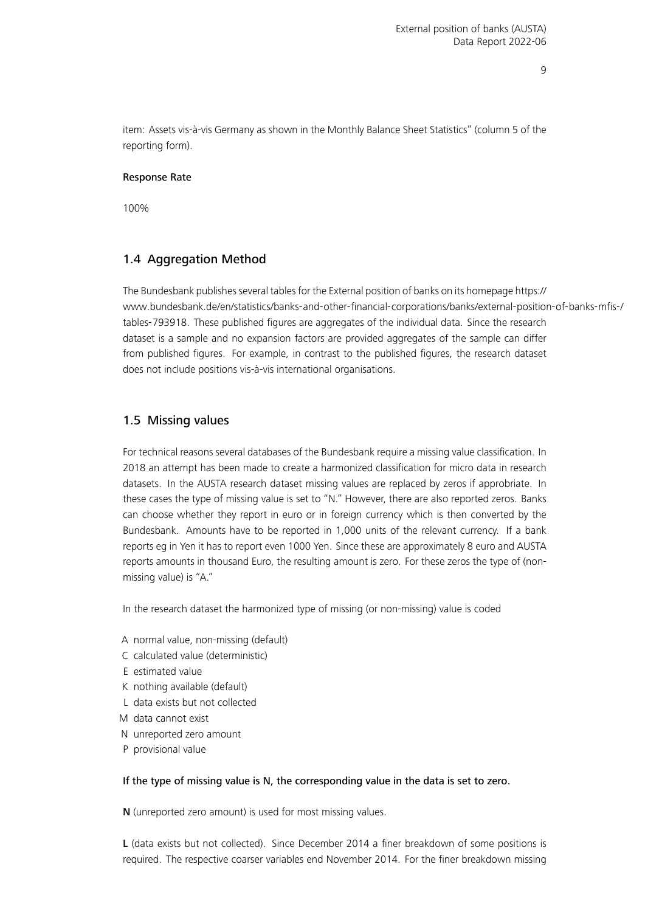item: Assets vis-à-vis Germany as shown in the Monthly Balance Sheet Statistics" (column 5 of the reporting form).

#### Response Rate

100%

#### <span id="page-8-0"></span>1.4 Aggregation Method

The Bundesbank publishes several tables for the External position of banks on its homepage [https://](https://www.bundesbank.de/en/statistics/banks-and-other-financial-corporations/banks/external-position-of-banks-mfis-/tables-793918) [www.bundesbank.de/en/statistics/banks-and-other-financial-corporations/banks/external-position](https://www.bundesbank.de/en/statistics/banks-and-other-financial-corporations/banks/external-position-of-banks-mfis-/tables-793918)-of-banks-mfis-/ [tables-793918.](https://www.bundesbank.de/en/statistics/banks-and-other-financial-corporations/banks/external-position-of-banks-mfis-/tables-793918) These published figures are aggregates of the individual data. Since the research dataset is a sample and no expansion factors are provided aggregates of the sample can differ from published figures. For example, in contrast to the published figures, the research dataset does not include positions vis-à-vis international organisations.

#### <span id="page-8-1"></span>1.5 Missing values

For technical reasons several databases of the Bundesbank require a missing value classification. In 2018 an attempt has been made to create a harmonized classification for micro data in research datasets. In the AUSTA research dataset missing values are replaced by zeros if approbriate. In these cases the type of missing value is set to "N." However, there are also reported zeros. Banks can choose whether they report in euro or in foreign currency which is then converted by the Bundesbank. Amounts have to be reported in 1,000 units of the relevant currency. If a bank reports eg in Yen it has to report even 1000 Yen. Since these are approximately 8 euro and AUSTA reports amounts in thousand Euro, the resulting amount is zero. For these zeros the type of (nonmissing value) is "A."

In the research dataset the harmonized type of missing (or non-missing) value is coded

- A normal value, non-missing (default)
- C calculated value (deterministic)
- E estimated value
- K nothing available (default)
- L data exists but not collected
- M data cannot exist
- N unreported zero amount
- P provisional value

#### If the type of missing value is N, the corresponding value in the data is set to zero.

N (unreported zero amount) is used for most missing values.

L (data exists but not collected). Since December 2014 a finer breakdown of some positions is required. The respective coarser variables end November 2014. For the finer breakdown missing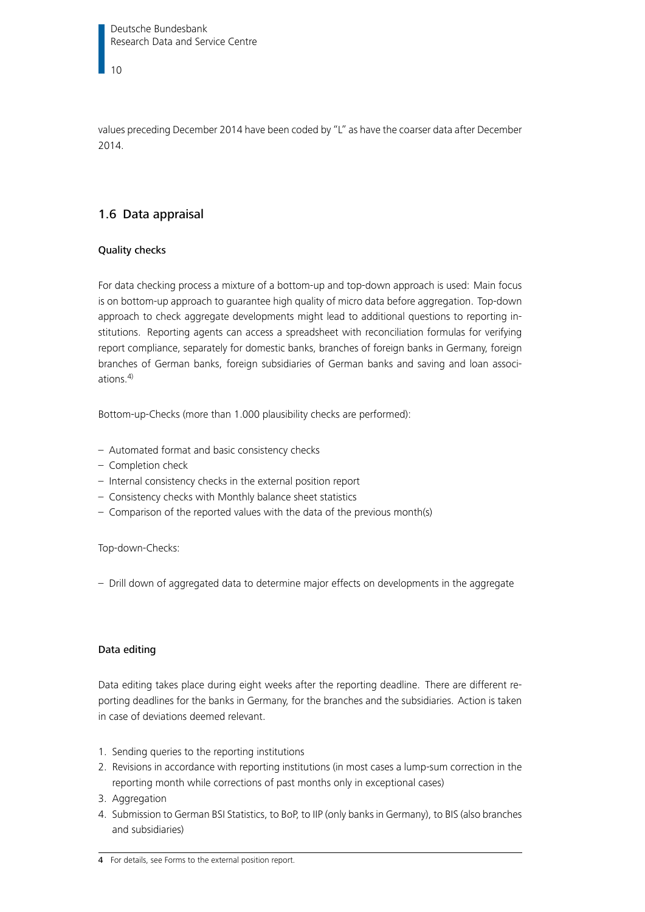Deutsche Bundesbank Research Data and Service Centre

10

values preceding December 2014 have been coded by "L" as have the coarser data after December 2014.

#### <span id="page-9-0"></span>1.6 Data appraisal

#### Quality checks

For data checking process a mixture of a bottom-up and top-down approach is used: Main focus is on bottom-up approach to guarantee high quality of micro data before aggregation. Top-down approach to check aggregate developments might lead to additional questions to reporting institutions. Reporting agents can access a spreadsheet with reconciliation formulas for verifying report compliance, separately for domestic banks, branches of foreign banks in Germany, foreign branches of German banks, foreign subsidiaries of German banks and saving and loan associations. $4$ )

Bottom-up-Checks (more than 1.000 plausibility checks are performed):

- Automated format and basic consistency checks
- Completion check
- Internal consistency checks in the external position report
- Consistency checks with Monthly balance sheet statistics
- Comparison of the reported values with the data of the previous month(s)

#### Top-down-Checks:

– Drill down of aggregated data to determine major effects on developments in the aggregate

#### Data editing

Data editing takes place during eight weeks after the reporting deadline. There are different reporting deadlines for the banks in Germany, for the branches and the subsidiaries. Action is taken in case of deviations deemed relevant.

- 1. Sending queries to the reporting institutions
- 2. Revisions in accordance with reporting institutions (in most cases a lump-sum correction in the reporting month while corrections of past months only in exceptional cases)
- 3. Aggregation
- 4. Submission to German BSI Statistics, to BoP, to IIP (only banks in Germany), to BIS (also branches and subsidiaries)

<span id="page-9-1"></span><sup>4</sup> For details, see [Forms to the external position report.](https://www.bundesbank.de/en/service/reporting-systems/banking-statistics-form-centre/external-position-report-618128)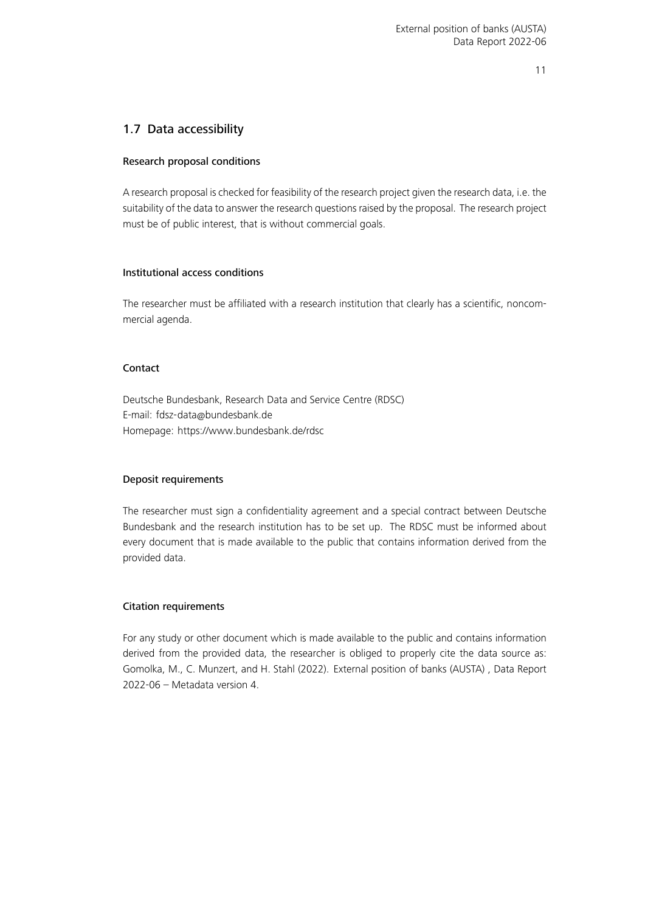#### <span id="page-10-0"></span>1.7 Data accessibility

#### Research proposal conditions

A research proposal is checked for feasibility of the research project given the research data, i.e. the suitability of the data to answer the research questions raised by the proposal. The research project must be of public interest, that is without commercial goals.

#### Institutional access conditions

The researcher must be affiliated with a research institution that clearly has a scientific, noncommercial agenda.

#### **Contact**

Deutsche Bundesbank, Research Data and Service Centre (RDSC) E-mail: [fdsz-data@bundesbank.de](mailto:fdsz-data@bundesbank.de) Homepage:<https://www.bundesbank.de/rdsc>

#### Deposit requirements

The researcher must sign a confidentiality agreement and a special contract between Deutsche Bundesbank and the research institution has to be set up. The RDSC must be informed about every document that is made available to the public that contains information derived from the provided data.

#### Citation requirements

<span id="page-10-1"></span>For any study or other document which is made available to the public and contains information derived from the provided data, the researcher is obliged to properly cite the data source as: Gomolka, M., C. Munzert, and H. Stahl (2022). External position of banks (AUSTA) , Data Report 2022-06 – Metadata version 4.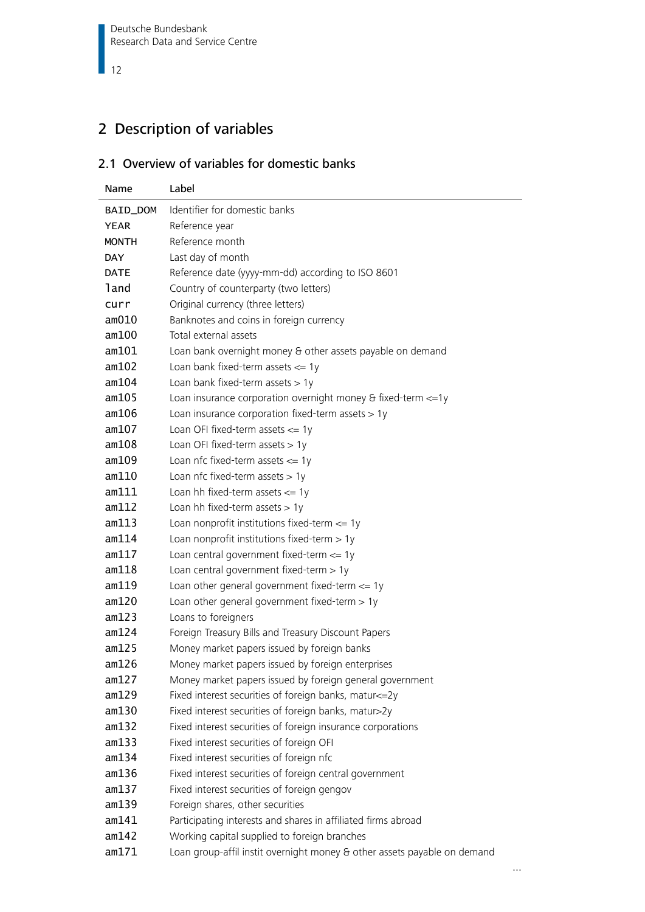## 2 Description of variables

#### <span id="page-11-0"></span>2.1 Overview of variables for domestic banks

| Name         | Label                                                                    |
|--------------|--------------------------------------------------------------------------|
| BAID_DOM     | Identifier for domestic banks                                            |
| <b>YEAR</b>  | Reference year                                                           |
| <b>MONTH</b> | Reference month                                                          |
| <b>DAY</b>   | Last day of month                                                        |
| <b>DATE</b>  | Reference date (yyyy-mm-dd) according to ISO 8601                        |
| land         | Country of counterparty (two letters)                                    |
| curr         | Original currency (three letters)                                        |
| am010        | Banknotes and coins in foreign currency                                  |
| am100        | Total external assets                                                    |
| am101        | Loan bank overnight money & other assets payable on demand               |
| am102        | Loan bank fixed-term assets $\leq$ 1y                                    |
| am104        | Loan bank fixed-term assets $> 1y$                                       |
| am105        | Loan insurance corporation overnight money & fixed-term <= 1y            |
| am106        | Loan insurance corporation fixed-term assets > 1y                        |
| am107        | Loan OFI fixed-term assets $\leq$ 1y                                     |
| am108        | Loan OFI fixed-term assets $> 1y$                                        |
| am109        | Loan nfc fixed-term assets $<= 1y$                                       |
| am110        | Loan nfc fixed-term assets $> 1y$                                        |
| am111        | Loan hh fixed-term assets $\leq$ 1y                                      |
| am112        | Loan hh fixed-term assets $> 1y$                                         |
| am113        | Loan nonprofit institutions fixed-term $\leq$ 1y                         |
| am114        | Loan nonprofit institutions fixed-term $> 1y$                            |
| am117        | Loan central government fixed-term $\leq$ 1y                             |
| am118        | Loan central government fixed-term $> 1y$                                |
| am119        | Loan other general government fixed-term $\leq$ 1y                       |
| am120        | Loan other general government fixed-term $> 1y$                          |
| am123        | Loans to foreigners                                                      |
| am124        | Foreign Treasury Bills and Treasury Discount Papers                      |
| am125        | Money market papers issued by foreign banks                              |
| am126        | Money market papers issued by foreign enterprises                        |
| am127        | Money market papers issued by foreign general government                 |
| am129        | Fixed interest securities of foreign banks, matur<=2y                    |
| am130        | Fixed interest securities of foreign banks, matur>2y                     |
| am132        | Fixed interest securities of foreign insurance corporations              |
| am133        | Fixed interest securities of foreign OFI                                 |
| am134        | Fixed interest securities of foreign nfc                                 |
| am136        | Fixed interest securities of foreign central government                  |
| am137        | Fixed interest securities of foreign gengov                              |
| am139        | Foreign shares, other securities                                         |
| am141        | Participating interests and shares in affiliated firms abroad            |
| am142        | Working capital supplied to foreign branches                             |
| am171        | Loan group-affil instit overnight money & other assets payable on demand |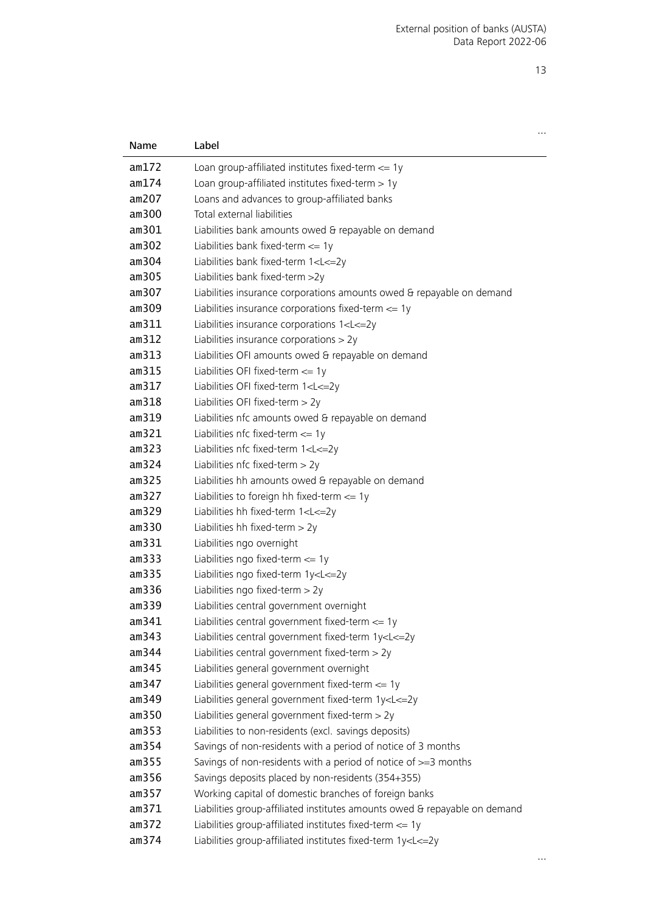…

| Name  | Label                                                                         |
|-------|-------------------------------------------------------------------------------|
| am172 | Loan group-affiliated institutes fixed-term $\leq$ 1y                         |
| am174 | Loan group-affiliated institutes fixed-term > 1y                              |
| am207 | Loans and advances to group-affiliated banks                                  |
| am300 | Total external liabilities                                                    |
| am301 | Liabilities bank amounts owed & repayable on demand                           |
| am302 | Liabilities bank fixed-term $\leq$ 1y                                         |
| am304 | Liabilities bank fixed-term 1 <l<=2y< th=""></l<=2y<>                         |
| am305 | Liabilities bank fixed-term >2y                                               |
| am307 | Liabilities insurance corporations amounts owed & repayable on demand         |
| am309 | Liabilities insurance corporations fixed-term $\leq$ 1y                       |
| am311 | Liabilities insurance corporations 1 <l<=2y< th=""></l<=2y<>                  |
| am312 | Liabilities insurance corporations $> 2y$                                     |
| am313 | Liabilities OFI amounts owed & repayable on demand                            |
| am315 | Liabilities OFI fixed-term $\leq$ 1y                                          |
| am317 | Liabilities OFI fixed-term 1 <l<=2y< th=""></l<=2y<>                          |
| am318 | Liabilities OFI fixed-term > 2y                                               |
| am319 | Liabilities nfc amounts owed & repayable on demand                            |
| am321 | Liabilities nfc fixed-term $\leq$ 1y                                          |
| am323 | Liabilities nfc fixed-term 1 <l<=2y< th=""></l<=2y<>                          |
| am324 | Liabilities nfc fixed-term > 2y                                               |
| am325 | Liabilities hh amounts owed & repayable on demand                             |
| am327 | Liabilities to foreign hh fixed-term $\leq$ 1y                                |
| am329 | Liabilities hh fixed-term 1 <l<=2y< th=""></l<=2y<>                           |
| am330 | Liabilities hh fixed-term $>$ 2y                                              |
| am331 | Liabilities ngo overnight                                                     |
| am333 | Liabilities ngo fixed-term $\leq$ 1y                                          |
| am335 | Liabilities ngo fixed-term 1y <l<=2y< th=""></l<=2y<>                         |
| am336 | Liabilities ngo fixed-term $>$ 2y                                             |
| am339 | Liabilities central government overnight                                      |
| am341 | Liabilities central government fixed-term $\leq$ 1y                           |
| am343 | Liabilities central government fixed-term 1y <l<=2y< th=""></l<=2y<>          |
| am344 | Liabilities central government fixed-term > 2y                                |
| am345 | Liabilities general government overnight                                      |
| am347 | Liabilities general government fixed-term $\leq$ 1y                           |
| am349 | Liabilities general government fixed-term 1y <l<=2y< th=""></l<=2y<>          |
| am350 | Liabilities general government fixed-term > 2y                                |
| am353 | Liabilities to non-residents (excl. savings deposits)                         |
| am354 | Savings of non-residents with a period of notice of 3 months                  |
| am355 | Savings of non-residents with a period of notice of >=3 months                |
| am356 | Savings deposits placed by non-residents (354+355)                            |
| am357 | Working capital of domestic branches of foreign banks                         |
| am371 | Liabilities group-affiliated institutes amounts owed & repayable on demand    |
| am372 | Liabilities group-affiliated institutes fixed-term <= 1y                      |
| am374 | Liabilities group-affiliated institutes fixed-term 1y <l<=2y< th=""></l<=2y<> |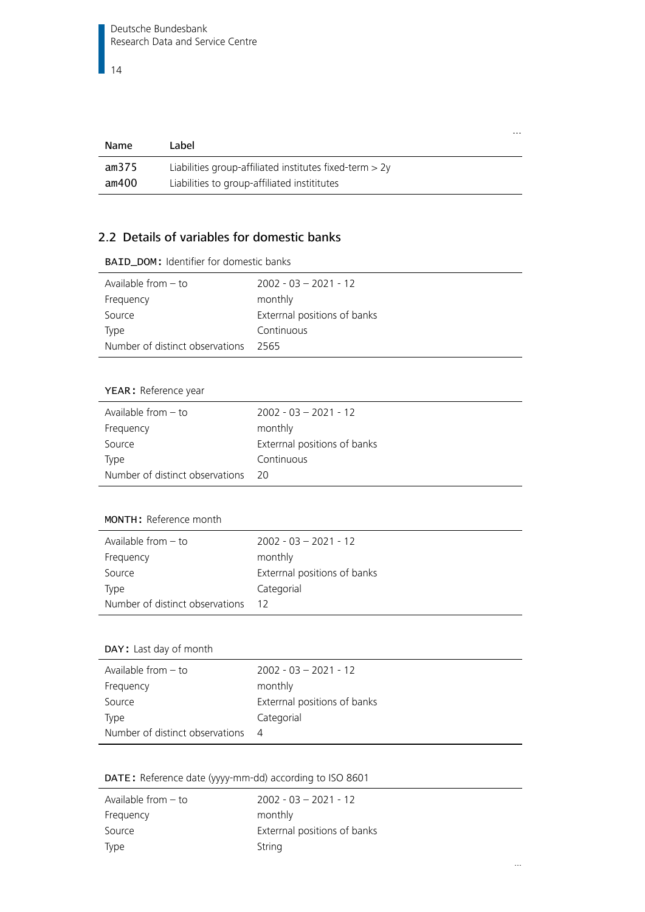| Name  | Label                                                     |
|-------|-----------------------------------------------------------|
| am375 | Liabilities group-affiliated institutes fixed-term $> 2y$ |
| am400 | Liabilities to group-affiliated instititutes              |

…

…

#### <span id="page-13-0"></span>2.2 Details of variables for domestic banks

| $2002 - 03 - 2021 - 12$      |
|------------------------------|
| monthly                      |
| Exterrnal positions of banks |
| Continuous                   |
| 2565                         |
|                              |

BAID\_DOM: Identifier for domestic banks

#### YEAR: Reference year

| Available from $-$ to           | $2002 - 03 - 2021 - 12$     |
|---------------------------------|-----------------------------|
| Frequency                       | monthly                     |
| Source                          | Extermal positions of banks |
| Type                            | Continuous                  |
| Number of distinct observations | - 20                        |

#### MONTH: Reference month

| Available from $-$ to           | $2002 - 03 - 2021 - 12$      |
|---------------------------------|------------------------------|
| Frequency                       | monthly                      |
| Source                          | Exterrnal positions of banks |
| Type                            | Categorial                   |
| Number of distinct observations | -12                          |

#### DAY: Last day of month

| Available from $-$ to           | $2002 - 03 - 2021 - 12$     |
|---------------------------------|-----------------------------|
| Frequency                       | monthly                     |
| Source                          | Extermal positions of banks |
| Type                            | Categorial                  |
| Number of distinct observations | 4                           |

DATE: Reference date (yyyy-mm-dd) according to ISO 8601

| Available from $-$ to | $2002 - 03 - 2021 - 12$      |
|-----------------------|------------------------------|
| Frequency             | monthly                      |
| Source                | Exterrnal positions of banks |
| Type                  | String                       |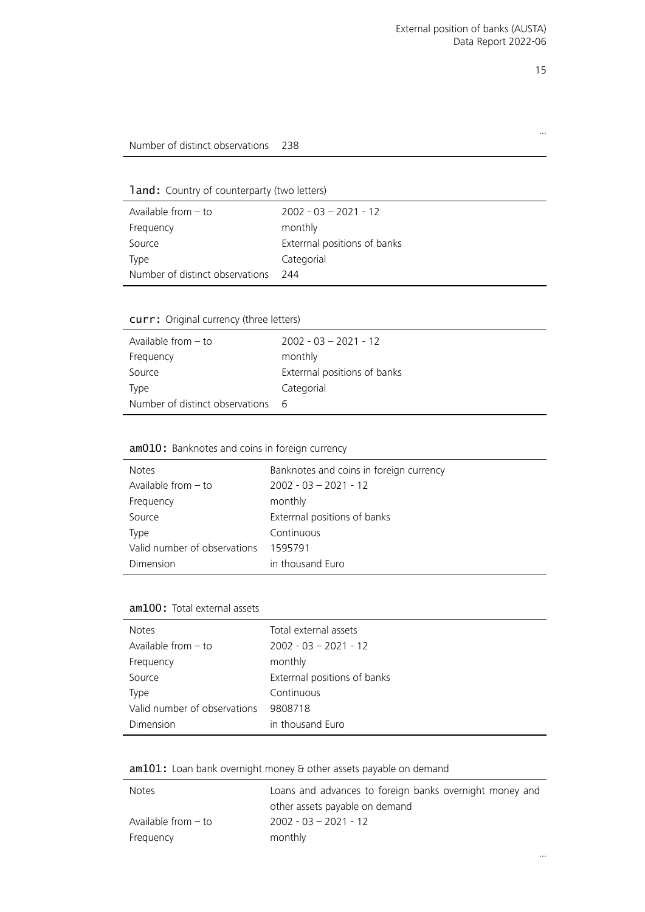…

#### Number of distinct observations 238

land: Country of counterparty (two letters)

| Available from $-$ to           | $2002 - 03 - 2021 - 12$     |
|---------------------------------|-----------------------------|
| Frequency                       | monthly                     |
| Source                          | Extermal positions of banks |
| Type                            | Categorial                  |
| Number of distinct observations | 244                         |

#### curr: Original currency (three letters)

J.

| Available from $-$ to           | $2002 - 03 - 2021 - 12$      |
|---------------------------------|------------------------------|
| Frequency                       | monthly                      |
| Source                          | Exterrnal positions of banks |
| Type                            | Categorial                   |
| Number of distinct observations | - 6                          |

#### <span id="page-14-0"></span>am010: Banknotes and coins in foreign currency

| <b>Notes</b>                 | Banknotes and coins in foreign currency |
|------------------------------|-----------------------------------------|
| Available from $-$ to        | $2002 - 03 - 2021 - 12$                 |
| Frequency                    | monthly                                 |
| Source                       | Exterrnal positions of banks            |
| Type                         | Continuous                              |
| Valid number of observations | 1595791                                 |
| Dimension                    | in thousand Euro                        |

#### am100: Total external assets

| <b>Notes</b>                 | Total external assets       |
|------------------------------|-----------------------------|
| Available from $-$ to        | $2002 - 03 - 2021 - 12$     |
| Frequency                    | monthly                     |
| Source                       | Extermal positions of banks |
| Type                         | Continuous                  |
| Valid number of observations | 9808718                     |
| Dimension                    | in thousand Euro            |

#### <span id="page-14-1"></span>am101: Loan bank overnight money & other assets payable on demand

| <b>Notes</b>          | Loans and advances to foreign banks overnight money and |
|-----------------------|---------------------------------------------------------|
|                       | other assets payable on demand                          |
| Available from $-$ to | $2002 - 03 - 2021 - 12$                                 |
| Frequency             | monthly                                                 |

…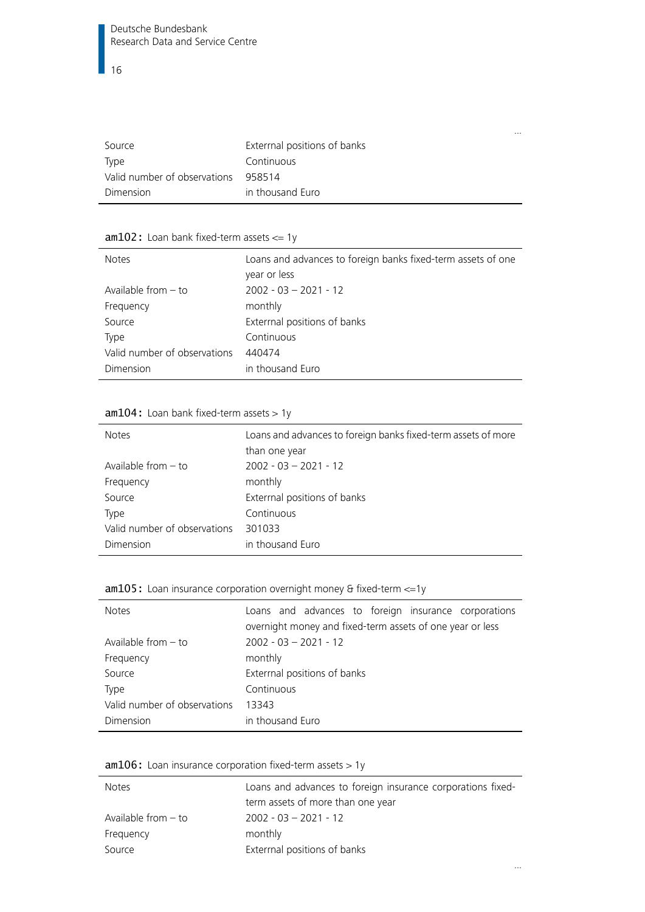| Source                       | Exterrnal positions of banks |
|------------------------------|------------------------------|
| Type                         | Continuous                   |
| Valid number of observations | 958514                       |
| Dimension                    | in thousand Euro             |

…

…

#### <span id="page-15-0"></span>am102: Loan bank fixed-term assets <= 1y

| <b>Notes</b>                 | Loans and advances to foreign banks fixed-term assets of one<br>year or less |
|------------------------------|------------------------------------------------------------------------------|
| Available from $-$ to        | $2002 - 03 - 2021 - 12$                                                      |
| Frequency                    | monthly                                                                      |
| Source                       | Exterrnal positions of banks                                                 |
| Type                         | Continuous                                                                   |
| Valid number of observations | 440474                                                                       |
| Dimension                    | in thousand Euro                                                             |

#### $am104:$  Loan bank fixed-term assets  $> 1y$

| <b>Notes</b>                 | Loans and advances to foreign banks fixed-term assets of more |
|------------------------------|---------------------------------------------------------------|
|                              | than one year                                                 |
| Available from $-$ to        | $2002 - 03 - 2021 - 12$                                       |
| Frequency                    | monthly                                                       |
| Source                       | Exterrnal positions of banks                                  |
| Type                         | Continuous                                                    |
| Valid number of observations | 301033                                                        |
| Dimension                    | in thousand Euro                                              |

#### <span id="page-15-1"></span>am105: Loan insurance corporation overnight money & fixed-term <= 1y

| <b>Notes</b>                 | Loans and advances to foreign insurance corporations<br>overnight money and fixed-term assets of one year or less |
|------------------------------|-------------------------------------------------------------------------------------------------------------------|
| Available from $-$ to        | $2002 - 03 - 2021 - 12$                                                                                           |
| Frequency                    | monthly                                                                                                           |
| Source                       | Exterrnal positions of banks                                                                                      |
| Type                         | Continuous                                                                                                        |
| Valid number of observations | 13343                                                                                                             |
| Dimension                    | in thousand Euro                                                                                                  |

#### <span id="page-15-2"></span> $am106:$  Loan insurance corporation fixed-term assets  $> 1y$

| <b>Notes</b>          | Loans and advances to foreign insurance corporations fixed- |
|-----------------------|-------------------------------------------------------------|
|                       | term assets of more than one year                           |
| Available from $-$ to | $2002 - 03 - 2021 - 12$                                     |
| Frequency             | monthly                                                     |
| Source                | Extermal positions of banks                                 |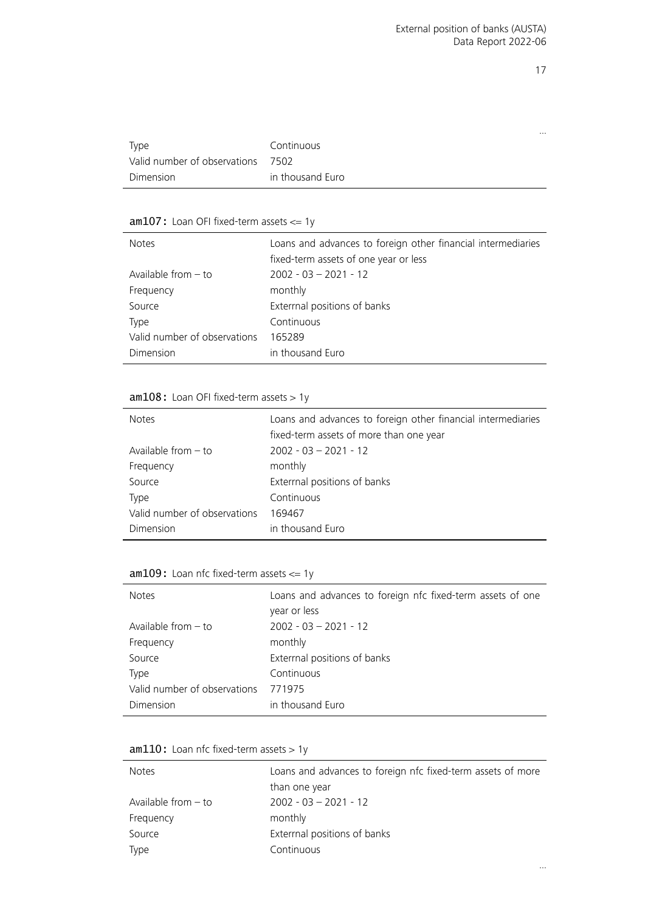…

|                              |                  | $\cdots$ |
|------------------------------|------------------|----------|
| Type                         | Continuous       |          |
| Valid number of observations | 7502             |          |
| Dimension                    | in thousand Euro |          |

#### <span id="page-16-0"></span> $am107:$  Loan OFI fixed-term assets  $\leq 1$ y

| <b>Notes</b>                 | Loans and advances to foreign other financial intermediaries<br>fixed-term assets of one year or less |
|------------------------------|-------------------------------------------------------------------------------------------------------|
| Available from $-$ to        | $2002 - 03 - 2021 - 12$                                                                               |
| Frequency                    | monthly                                                                                               |
| Source                       | Exterrnal positions of banks                                                                          |
| Type                         | Continuous                                                                                            |
| Valid number of observations | 165289                                                                                                |
| Dimension                    | in thousand Euro                                                                                      |

#### <span id="page-16-1"></span>am108: Loan OFI fixed-term assets > 1y

| <b>Notes</b>                 | Loans and advances to foreign other financial intermediaries<br>fixed-term assets of more than one year |
|------------------------------|---------------------------------------------------------------------------------------------------------|
| Available from $-$ to        | $2002 - 03 - 2021 - 12$                                                                                 |
| Frequency                    | monthly                                                                                                 |
| Source                       | Extermal positions of banks                                                                             |
| Type                         | Continuous                                                                                              |
| Valid number of observations | 169467                                                                                                  |
| Dimension                    | in thousand Euro                                                                                        |

#### <span id="page-16-2"></span> $am109$ : Loan nfc fixed-term assets  $\leq 1$ y

| <b>Notes</b>                 | Loans and advances to foreign nfc fixed-term assets of one<br>year or less |
|------------------------------|----------------------------------------------------------------------------|
| Available from $-$ to        | $2002 - 03 - 2021 - 12$                                                    |
| Frequency                    | monthly                                                                    |
| Source                       | Exterrnal positions of banks                                               |
| <b>Type</b>                  | Continuous                                                                 |
| Valid number of observations | 771975                                                                     |
| Dimension                    | in thousand Euro                                                           |

#### <span id="page-16-3"></span>am110: Loan nfc fixed-term assets > 1y

| <b>Notes</b>          | Loans and advances to foreign nfc fixed-term assets of more |
|-----------------------|-------------------------------------------------------------|
|                       | than one year                                               |
| Available from $-$ to | $2002 - 03 - 2021 - 12$                                     |
| Frequency             | monthly                                                     |
| Source                | Extermal positions of banks                                 |
| Type                  | Continuous                                                  |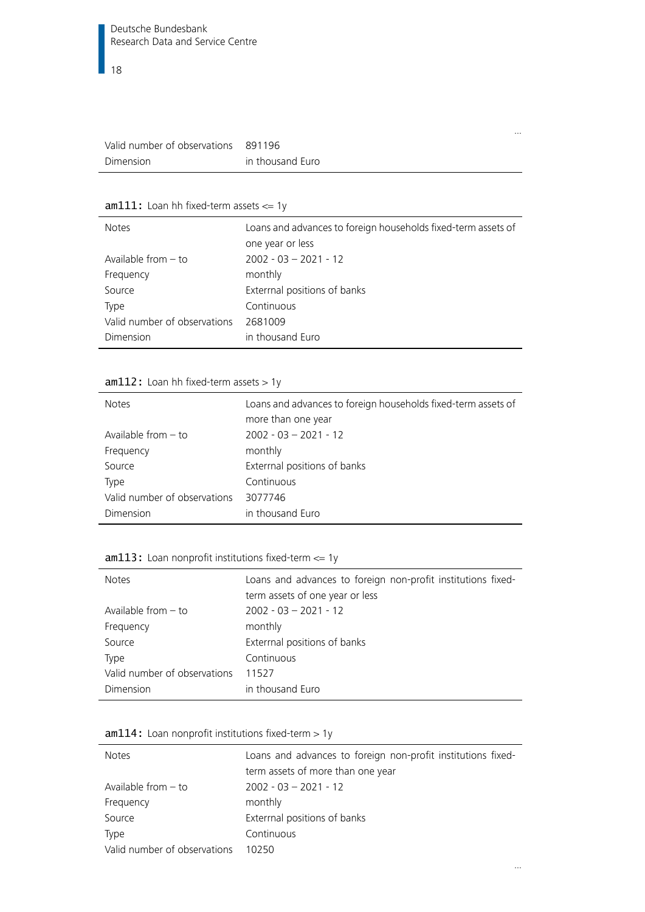| Valid number of observations 891196 |                  |
|-------------------------------------|------------------|
| Dimension                           | in thousand Euro |

#### <span id="page-17-0"></span> $am111:$  Loan hh fixed-term assets  $\leq 1$ y

| <b>Notes</b>                 | Loans and advances to foreign households fixed-term assets of |
|------------------------------|---------------------------------------------------------------|
|                              | one year or less                                              |
| Available from $-$ to        | $2002 - 03 - 2021 - 12$                                       |
| Frequency                    | monthly                                                       |
| Source                       | Exterrnal positions of banks                                  |
| Type                         | Continuous                                                    |
| Valid number of observations | 2681009                                                       |
| Dimension                    | in thousand Euro                                              |

#### <span id="page-17-1"></span> $am112:$  Loan hh fixed-term assets  $> 1y$

| <b>Notes</b>                 | Loans and advances to foreign households fixed-term assets of<br>more than one year |
|------------------------------|-------------------------------------------------------------------------------------|
| Available from $-$ to        | $2002 - 03 - 2021 - 12$                                                             |
| Frequency                    | monthly                                                                             |
| Source                       | Exterrnal positions of banks                                                        |
| Type                         | Continuous                                                                          |
| Valid number of observations | 3077746                                                                             |
| Dimension                    | in thousand Euro                                                                    |

## <span id="page-17-2"></span>am113: Loan nonprofit institutions fixed-term <= 1y

| <b>Notes</b>                 | Loans and advances to foreign non-profit institutions fixed-<br>term assets of one year or less |
|------------------------------|-------------------------------------------------------------------------------------------------|
|                              |                                                                                                 |
| Available from $-$ to        | $2002 - 03 - 2021 - 12$                                                                         |
| Frequency                    | monthly                                                                                         |
| Source                       | Extermal positions of banks                                                                     |
| <b>Type</b>                  | Continuous                                                                                      |
| Valid number of observations | 11527                                                                                           |
| Dimension                    | in thousand Euro                                                                                |

<span id="page-17-3"></span>

|  |  |  | $am114$ : Loan nonprofit institutions fixed-term $> 1y$ |  |  |  |
|--|--|--|---------------------------------------------------------|--|--|--|
|--|--|--|---------------------------------------------------------|--|--|--|

| <b>Notes</b>                 | Loans and advances to foreign non-profit institutions fixed-<br>term assets of more than one year |
|------------------------------|---------------------------------------------------------------------------------------------------|
| Available from $-$ to        | $2002 - 03 - 2021 - 12$                                                                           |
| Frequency                    | monthly                                                                                           |
| Source                       | Exterrnal positions of banks                                                                      |
| Type                         | Continuous                                                                                        |
| Valid number of observations | 10250                                                                                             |

…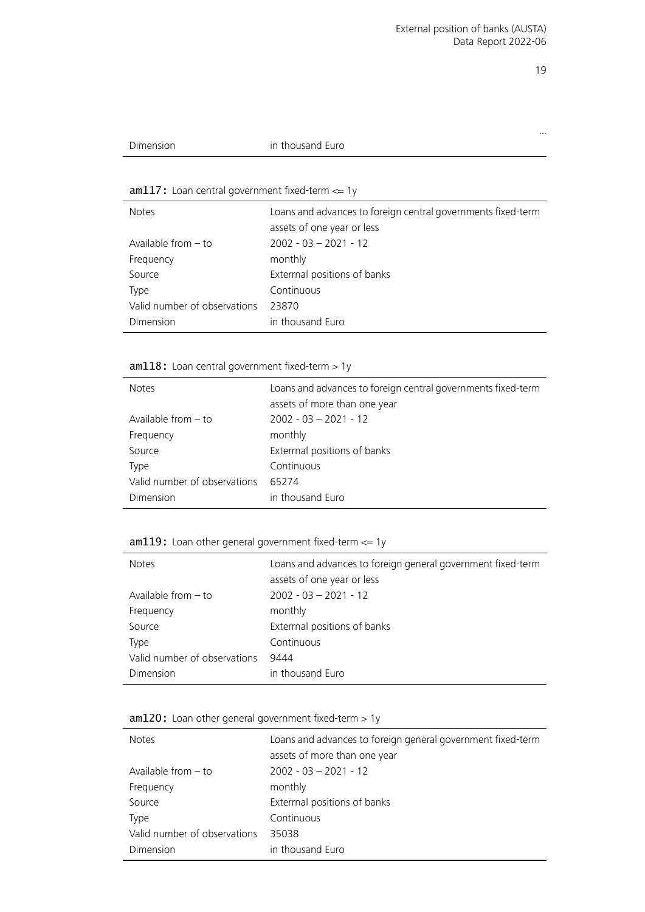…

| 1111111111 | $\overline{\phantom{a}}$<br>$\sim$<br>sand Euro "<br>. |  |
|------------|--------------------------------------------------------|--|
|            |                                                        |  |

#### <span id="page-18-0"></span>am117: Loan central government fixed-term <= 1y

| <b>Notes</b>                 | Loans and advances to foreign central governments fixed-term |
|------------------------------|--------------------------------------------------------------|
|                              | assets of one year or less                                   |
| Available from $-$ to        | $2002 - 03 - 2021 - 12$                                      |
| Frequency                    | monthly                                                      |
| Source                       | Exterrnal positions of banks                                 |
| Type                         | Continuous                                                   |
| Valid number of observations | 23870                                                        |
| Dimension                    | in thousand Euro                                             |

#### <span id="page-18-1"></span>am118: Loan central government fixed-term > 1y

| <b>Notes</b>                 | Loans and advances to foreign central governments fixed-term<br>assets of more than one year |
|------------------------------|----------------------------------------------------------------------------------------------|
| Available from $-$ to        | $2002 - 03 - 2021 - 12$                                                                      |
| Frequency                    | monthly                                                                                      |
| Source                       | Exterrnal positions of banks                                                                 |
| <b>Type</b>                  | Continuous                                                                                   |
| Valid number of observations | 65274                                                                                        |
| Dimension                    | in thousand Euro                                                                             |

#### <span id="page-18-2"></span>am119: Loan other general government fixed-term <= 1y

| <b>Notes</b>                 | Loans and advances to foreign general government fixed-term<br>assets of one year or less |
|------------------------------|-------------------------------------------------------------------------------------------|
| Available from $-$ to        | $2002 - 03 - 2021 - 12$                                                                   |
| Frequency                    | monthly                                                                                   |
| Source                       | Exterrnal positions of banks                                                              |
| Type                         | Continuous                                                                                |
| Valid number of observations | 9444                                                                                      |
| Dimension                    | in thousand Euro                                                                          |

#### <span id="page-18-3"></span>am120: Loan other general government fixed-term > 1y

| <b>Notes</b>                 | Loans and advances to foreign general government fixed-term |
|------------------------------|-------------------------------------------------------------|
|                              | assets of more than one year                                |
| Available from $-$ to        | $2002 - 03 - 2021 - 12$                                     |
| Frequency                    | monthly                                                     |
| Source                       | Exterrnal positions of banks                                |
| Type                         | Continuous                                                  |
| Valid number of observations | 35038                                                       |
| Dimension                    | in thousand Euro                                            |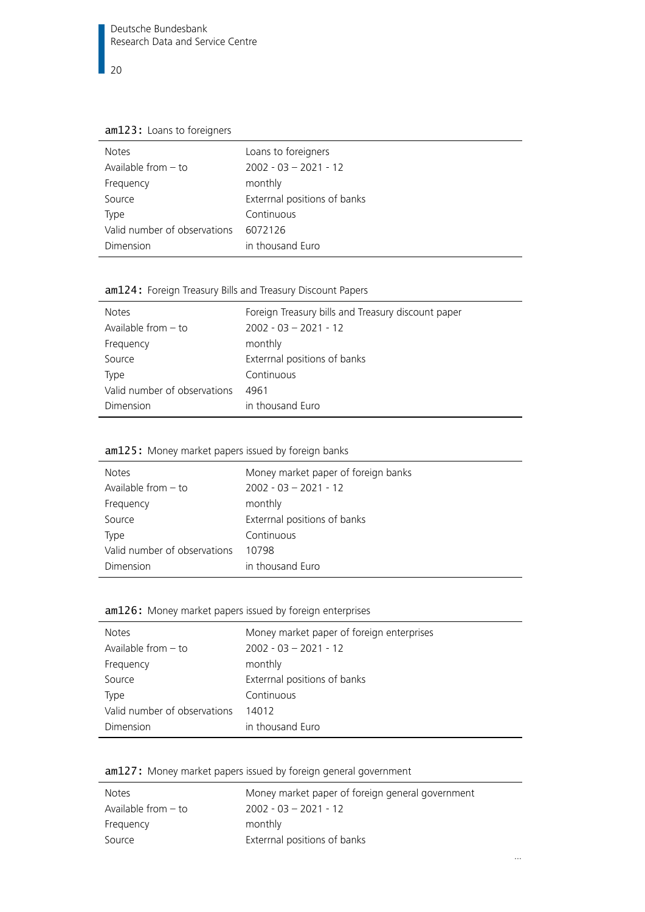am123: Loans to foreigners

| <b>Notes</b>                 | Loans to foreigners          |
|------------------------------|------------------------------|
| Available from $-$ to        | $2002 - 03 - 2021 - 12$      |
| Frequency                    | monthly                      |
| Source                       | Exterrnal positions of banks |
| Type                         | Continuous                   |
| Valid number of observations | 6072126                      |
| Dimension                    | in thousand Euro             |

#### am124: Foreign Treasury Bills and Treasury Discount Papers

| <b>Notes</b>                 | Foreign Treasury bills and Treasury discount paper |
|------------------------------|----------------------------------------------------|
| Available from $-$ to        | $2002 - 03 - 2021 - 12$                            |
| Frequency                    | monthly                                            |
| Source                       | Exterrnal positions of banks                       |
| Type                         | Continuous                                         |
| Valid number of observations | 4961                                               |
| Dimension                    | in thousand Euro                                   |

#### am125: Money market papers issued by foreign banks

| <b>Notes</b>                 | Money market paper of foreign banks |
|------------------------------|-------------------------------------|
| Available from $-$ to        | $2002 - 03 - 2021 - 12$             |
| Frequency                    | monthly                             |
| Source                       | Exterrnal positions of banks        |
| Type                         | Continuous                          |
| Valid number of observations | 10798                               |
| Dimension                    | in thousand Euro                    |

#### <span id="page-19-0"></span>am126: Money market papers issued by foreign enterprises

| <b>Notes</b>                 | Money market paper of foreign enterprises |
|------------------------------|-------------------------------------------|
| Available from $-$ to        | $2002 - 03 - 2021 - 12$                   |
| Frequency                    | monthly                                   |
| Source                       | Extermal positions of banks               |
| Type                         | Continuous                                |
| Valid number of observations | 14012                                     |
| Dimension                    | in thousand Euro                          |

#### <span id="page-19-1"></span>am127: Money market papers issued by foreign general government

| <b>Notes</b>          | Money market paper of foreign general government |
|-----------------------|--------------------------------------------------|
| Available from $-$ to | $2002 - 03 - 2021 - 12$                          |
| Frequency             | monthly                                          |
| Source                | Extermal positions of banks                      |

…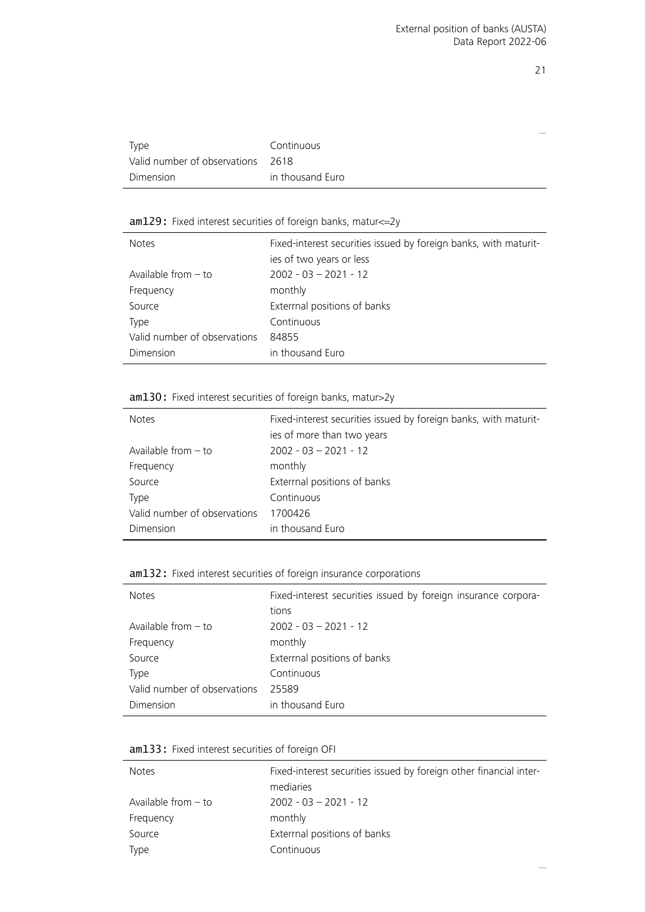|                                   |                  | $\cdots$ |
|-----------------------------------|------------------|----------|
| Type                              | Continuous       |          |
| Valid number of observations 2618 |                  |          |
| Dimension                         | in thousand Euro |          |

#### <span id="page-20-0"></span>am129: Fixed interest securities of foreign banks, matur<=2y

| <b>Notes</b>                 | Fixed-interest securities issued by foreign banks, with maturit-<br>ies of two years or less |
|------------------------------|----------------------------------------------------------------------------------------------|
| Available from $-$ to        | $2002 - 03 - 2021 - 12$                                                                      |
| Frequency                    | monthly                                                                                      |
| Source                       | Exterrnal positions of banks                                                                 |
| <b>Type</b>                  | Continuous                                                                                   |
| Valid number of observations | 84855                                                                                        |
| Dimension                    | in thousand Euro                                                                             |

#### <span id="page-20-1"></span>am130: Fixed interest securities of foreign banks, matur>2y

| <b>Notes</b>                 | Fixed-interest securities issued by foreign banks, with maturit-<br>ies of more than two years |
|------------------------------|------------------------------------------------------------------------------------------------|
| Available from $-$ to        | $2002 - 03 - 2021 - 12$                                                                        |
| Frequency                    | monthly                                                                                        |
| Source                       | Exterrnal positions of banks                                                                   |
| Type                         | Continuous                                                                                     |
| Valid number of observations | 1700426                                                                                        |
| Dimension                    | in thousand Euro                                                                               |

#### <span id="page-20-2"></span>am132: Fixed interest securities of foreign insurance corporations

| <b>Notes</b>                 | Fixed-interest securities issued by foreign insurance corpora-<br>tions |
|------------------------------|-------------------------------------------------------------------------|
| Available from $-$ to        | $2002 - 03 - 2021 - 12$                                                 |
| Frequency                    | monthly                                                                 |
| Source                       | Exterrnal positions of banks                                            |
| <b>Type</b>                  | Continuous                                                              |
| Valid number of observations | 25589                                                                   |
| Dimension                    | in thousand Euro                                                        |

#### <span id="page-20-3"></span>am133: Fixed interest securities of foreign OFI

| <b>Notes</b>          | Fixed-interest securities issued by foreign other financial inter- |
|-----------------------|--------------------------------------------------------------------|
|                       | mediaries                                                          |
| Available from $-$ to | $2002 - 03 - 2021 - 12$                                            |
| Frequency             | monthly                                                            |
| Source                | Extermal positions of banks                                        |
| Type                  | Continuous                                                         |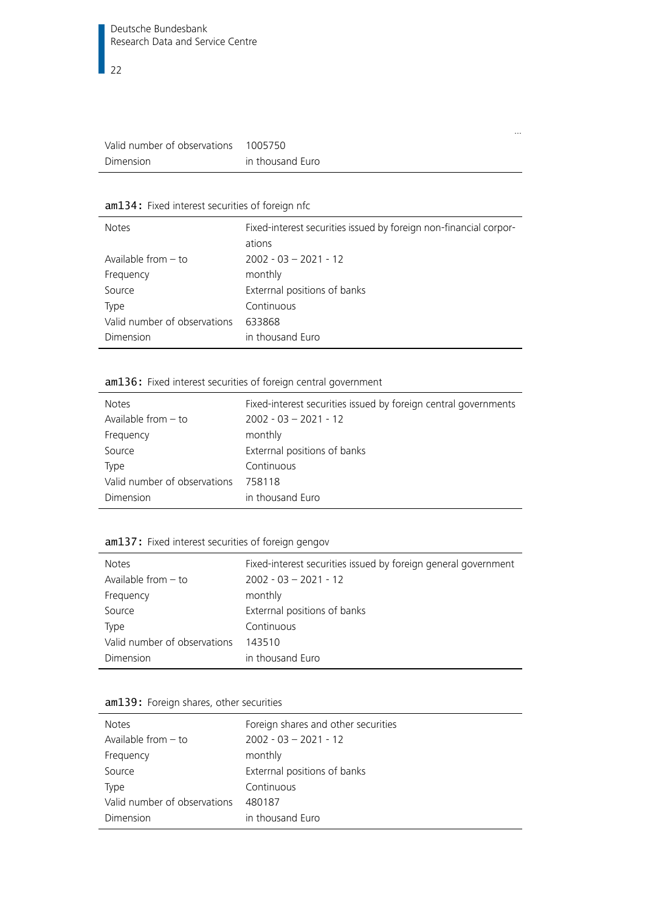| Valid number of observations | 1005750          |
|------------------------------|------------------|
| Dimension                    | in thousand Euro |

#### <span id="page-21-0"></span>am134: Fixed interest securities of foreign nfc

| <b>Notes</b>                 | Fixed-interest securities issued by foreign non-financial corpor-<br>ations |
|------------------------------|-----------------------------------------------------------------------------|
| Available from $-$ to        | $2002 - 03 - 2021 - 12$                                                     |
| Frequency                    | monthly                                                                     |
| Source                       | Exterrnal positions of banks                                                |
| Type                         | Continuous                                                                  |
| Valid number of observations | 633868                                                                      |
| Dimension                    | in thousand Euro                                                            |

…

#### <span id="page-21-1"></span>am136: Fixed interest securities of foreign central government

| <b>Notes</b>                 | Fixed-interest securities issued by foreign central governments |
|------------------------------|-----------------------------------------------------------------|
| Available from $-$ to        | $2002 - 03 - 2021 - 12$                                         |
| Frequency                    | monthly                                                         |
| Source                       | Extermal positions of banks                                     |
| <b>Type</b>                  | Continuous                                                      |
| Valid number of observations | 758118                                                          |
| Dimension                    | in thousand Euro                                                |

#### <span id="page-21-2"></span>am137: Fixed interest securities of foreign gengov

| <b>Notes</b>                 | Fixed-interest securities issued by foreign general government |
|------------------------------|----------------------------------------------------------------|
| Available from $-$ to        | $2002 - 03 - 2021 - 12$                                        |
| Frequency                    | monthly                                                        |
| Source                       | Extermal positions of banks                                    |
| Type                         | Continuous                                                     |
| Valid number of observations | 143510                                                         |
| Dimension                    | in thousand Euro                                               |

|  |  | am139: Foreign shares, other securities |  |
|--|--|-----------------------------------------|--|
|  |  |                                         |  |

| <b>Notes</b>                 | Foreign shares and other securities |
|------------------------------|-------------------------------------|
| Available from $-$ to        | $2002 - 03 - 2021 - 12$             |
| Frequency                    | monthly                             |
| Source                       | Exterrnal positions of banks        |
| Type                         | Continuous                          |
| Valid number of observations | 480187                              |
| Dimension                    | in thousand Euro                    |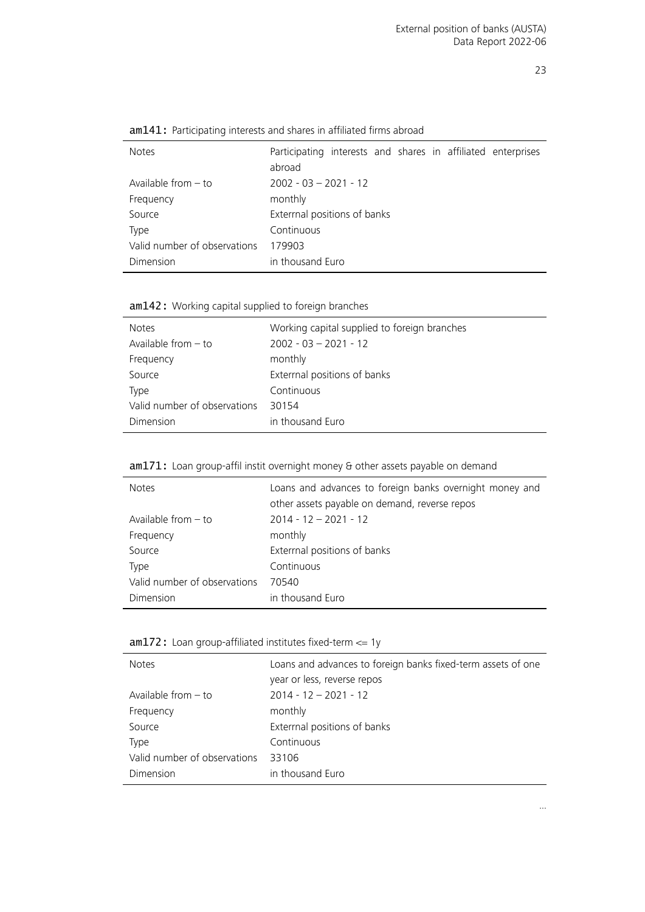| <b>Notes</b>                 | Participating interests and shares in affiliated enterprises<br>abroad |
|------------------------------|------------------------------------------------------------------------|
| Available from $-$ to        | $2002 - 03 - 2021 - 12$                                                |
| Frequency                    | monthly                                                                |
| Source                       | Exterrnal positions of banks                                           |
| Type                         | Continuous                                                             |
| Valid number of observations | 179903                                                                 |
| Dimension                    | in thousand Euro                                                       |

am141: Participating interests and shares in affiliated firms abroad

<span id="page-22-0"></span>am142: Working capital supplied to foreign branches

| <b>Notes</b>                 | Working capital supplied to foreign branches |
|------------------------------|----------------------------------------------|
| Available from $-$ to        | $2002 - 03 - 2021 - 12$                      |
| Frequency                    | monthly                                      |
| Source                       | Exterrnal positions of banks                 |
| Type                         | Continuous                                   |
| Valid number of observations | 30154                                        |
| Dimension                    | in thousand Euro                             |

<span id="page-22-1"></span>

| <b>Notes</b>                 | Loans and advances to foreign banks overnight money and<br>other assets payable on demand, reverse repos |
|------------------------------|----------------------------------------------------------------------------------------------------------|
|                              |                                                                                                          |
| Available from $-$ to        | $2014 - 12 - 2021 - 12$                                                                                  |
| Frequency                    | monthly                                                                                                  |
| Source                       | Exterrnal positions of banks                                                                             |
| Type                         | Continuous                                                                                               |
| Valid number of observations | 70540                                                                                                    |
| Dimension                    | in thousand Euro                                                                                         |

#### <span id="page-22-2"></span>am172: Loan group-affiliated institutes fixed-term <= 1y

l.

| <b>Notes</b>                 | Loans and advances to foreign banks fixed-term assets of one<br>year or less, reverse repos |
|------------------------------|---------------------------------------------------------------------------------------------|
|                              |                                                                                             |
| Available from $-$ to        | $2014 - 12 - 2021 - 12$                                                                     |
| Frequency                    | monthly                                                                                     |
| Source                       | Exterrnal positions of banks                                                                |
| <b>Type</b>                  | Continuous                                                                                  |
| Valid number of observations | 33106                                                                                       |
| Dimension                    | in thousand Euro                                                                            |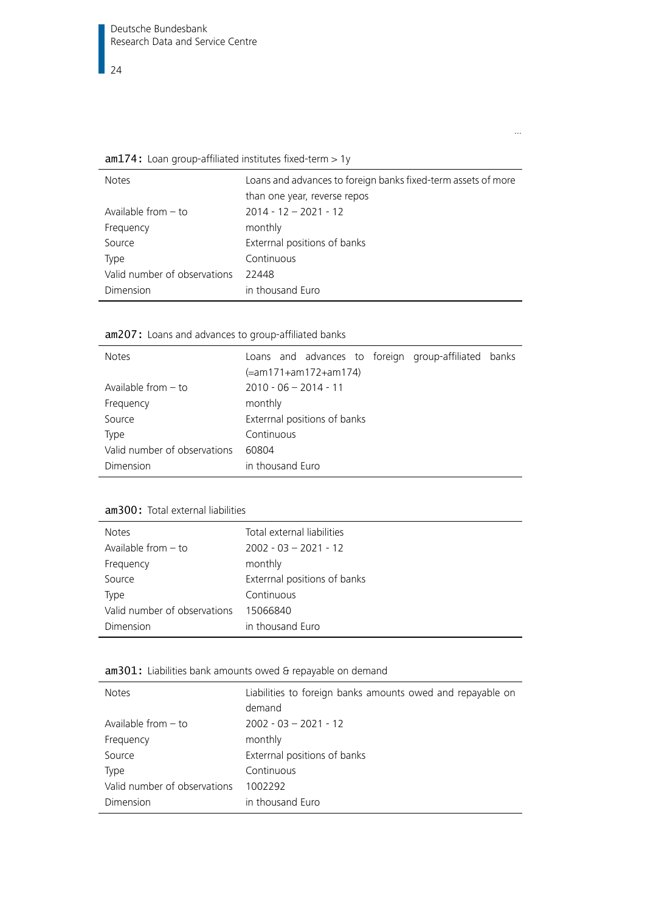<span id="page-23-0"></span> $am174:$  Loan group-affiliated institutes fixed-term  $> 1y$ 

| <b>Notes</b>                 | Loans and advances to foreign banks fixed-term assets of more<br>than one year, reverse repos |
|------------------------------|-----------------------------------------------------------------------------------------------|
| Available from $-$ to        | $2014 - 12 - 2021 - 12$                                                                       |
| Frequency                    | monthly                                                                                       |
| Source                       | Exterrnal positions of banks                                                                  |
| Type                         | Continuous                                                                                    |
| Valid number of observations | 22448                                                                                         |
| <b>Dimension</b>             | in thousand Euro                                                                              |

…

am207: Loans and advances to group-affiliated banks

| <b>Notes</b>                 | Loans and advances to foreign group-affiliated banks<br>(=am171+am172+am174) |
|------------------------------|------------------------------------------------------------------------------|
| Available from $-$ to        | $2010 - 06 - 2014 - 11$                                                      |
| Frequency                    | monthly                                                                      |
| Source                       | Exterrnal positions of banks                                                 |
| <b>Type</b>                  | Continuous                                                                   |
| Valid number of observations | 60804                                                                        |
| Dimension                    | in thousand Euro                                                             |

## am300: Total external liabilities

| <b>Notes</b>                 | Total external liabilities   |
|------------------------------|------------------------------|
| Available from $-$ to        | $2002 - 03 - 2021 - 12$      |
| Frequency                    | monthly                      |
| Source                       | Exterrnal positions of banks |
| Type                         | Continuous                   |
| Valid number of observations | 15066840                     |
| Dimension                    | in thousand Euro             |

<span id="page-23-1"></span>am301: Liabilities bank amounts owed & repayable on demand

| <b>Notes</b>                 | Liabilities to foreign banks amounts owed and repayable on<br>demand |
|------------------------------|----------------------------------------------------------------------|
| Available from $-$ to        | $2002 - 03 - 2021 - 12$                                              |
| Frequency                    | monthly                                                              |
| Source                       | Exterrnal positions of banks                                         |
| Type                         | Continuous                                                           |
| Valid number of observations | 1002292                                                              |
| Dimension                    | in thousand Euro                                                     |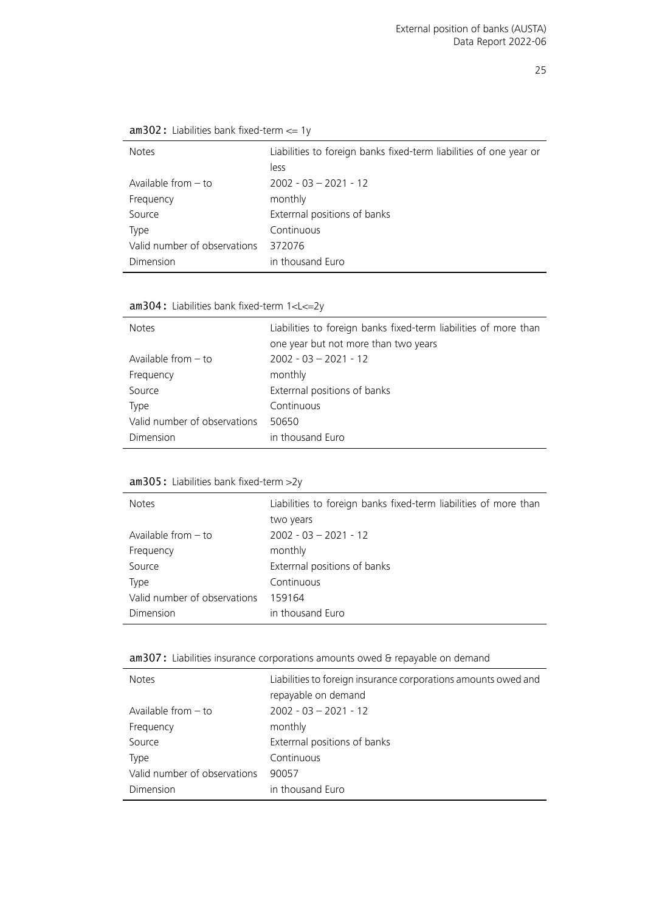| <b>Notes</b>                 | Liabilities to foreign banks fixed-term liabilities of one year or |
|------------------------------|--------------------------------------------------------------------|
|                              | less                                                               |
| Available from $-$ to        | $2002 - 03 - 2021 - 12$                                            |
| Frequency                    | monthly                                                            |
| Source                       | Exterrnal positions of banks                                       |
| Type                         | Continuous                                                         |
| Valid number of observations | 372076                                                             |
| Dimension                    | in thousand Euro                                                   |
|                              |                                                                    |

<span id="page-24-0"></span>am302: Liabilities bank fixed-term <= 1y

<span id="page-24-1"></span>am304: Liabilities bank fixed-term 1<L<=2y

| <b>Notes</b>                 | Liabilities to foreign banks fixed-term liabilities of more than<br>one year but not more than two years |
|------------------------------|----------------------------------------------------------------------------------------------------------|
| Available from $-$ to        | $2002 - 03 - 2021 - 12$                                                                                  |
| Frequency                    | monthly                                                                                                  |
| Source                       | Extermal positions of banks                                                                              |
| <b>Type</b>                  | Continuous                                                                                               |
| Valid number of observations | 50650                                                                                                    |
| Dimension                    | in thousand Euro                                                                                         |

#### <span id="page-24-2"></span>am305: Liabilities bank fixed-term >2y

| <b>Notes</b>                 | Liabilities to foreign banks fixed-term liabilities of more than<br>two years |
|------------------------------|-------------------------------------------------------------------------------|
| Available from $-$ to        | $2002 - 03 - 2021 - 12$                                                       |
| Frequency                    | monthly                                                                       |
| Source                       | Exterrnal positions of banks                                                  |
| Type                         | Continuous                                                                    |
| Valid number of observations | 159164                                                                        |
| Dimension                    | in thousand Euro                                                              |

#### <span id="page-24-3"></span>am307: Liabilities insurance corporations amounts owed & repayable on demand

| <b>Notes</b>                 | Liabilities to foreign insurance corporations amounts owed and<br>repayable on demand |
|------------------------------|---------------------------------------------------------------------------------------|
| Available from $-$ to        | $2002 - 03 - 2021 - 12$                                                               |
| Frequency                    | monthly                                                                               |
| Source                       | Extermal positions of banks                                                           |
| Type                         | Continuous                                                                            |
| Valid number of observations | 90057                                                                                 |
| Dimension                    | in thousand Euro                                                                      |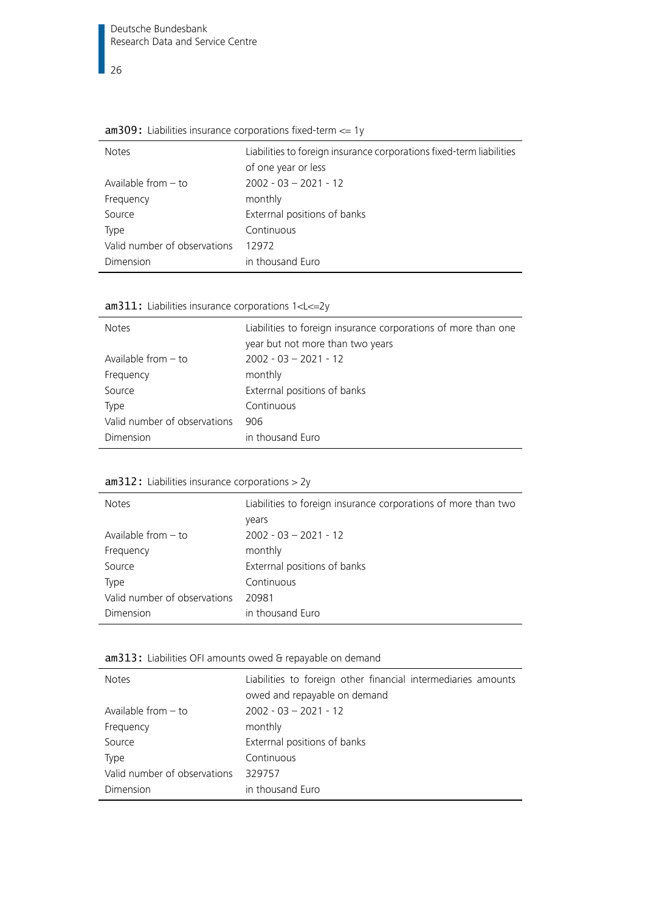$\overline{\phantom{0}}$  26

| <b>Notes</b>                 | Liabilities to foreign insurance corporations fixed-term liabilities<br>of one year or less |
|------------------------------|---------------------------------------------------------------------------------------------|
| Available from $-$ to        | $2002 - 03 - 2021 - 12$                                                                     |
| Frequency                    | monthly                                                                                     |
| Source                       | Exterrnal positions of banks                                                                |
| <b>Type</b>                  | Continuous                                                                                  |
| Valid number of observations | 12972                                                                                       |
| Dimension                    | in thousand Euro                                                                            |

<span id="page-25-0"></span>

|  |  |  | $am309$ : Liabilities insurance corporations fixed-term $\leq$ 1y |  |  |
|--|--|--|-------------------------------------------------------------------|--|--|
|--|--|--|-------------------------------------------------------------------|--|--|

<span id="page-25-1"></span>

|  | $am311$ : Liabilities insurance corporations $1 < L < = 2y$ |  |
|--|-------------------------------------------------------------|--|
|  |                                                             |  |

| $\alpha$ and $\alpha$ and $\alpha$ and $\alpha$ and $\alpha$ and $\alpha$ and $\alpha$ and $\alpha$ and $\alpha$ and $\alpha$ and $\alpha$ and $\alpha$ and $\alpha$ and $\alpha$ and $\alpha$ and $\alpha$ and $\alpha$ and $\alpha$ and $\alpha$ and $\alpha$ and $\alpha$ and $\alpha$ and $\alpha$ and $\alpha$ and $\alpha$ |                                                                                                    |
|----------------------------------------------------------------------------------------------------------------------------------------------------------------------------------------------------------------------------------------------------------------------------------------------------------------------------------|----------------------------------------------------------------------------------------------------|
| <b>Notes</b>                                                                                                                                                                                                                                                                                                                     | Liabilities to foreign insurance corporations of more than one<br>year but not more than two years |
| Available from $-$ to                                                                                                                                                                                                                                                                                                            | $2002 - 03 - 2021 - 12$                                                                            |
| Frequency                                                                                                                                                                                                                                                                                                                        | monthly                                                                                            |
| Source                                                                                                                                                                                                                                                                                                                           | Extermal positions of banks                                                                        |
| Type                                                                                                                                                                                                                                                                                                                             | Continuous                                                                                         |
| Valid number of observations                                                                                                                                                                                                                                                                                                     | 906                                                                                                |
| Dimension                                                                                                                                                                                                                                                                                                                        | in thousand Euro                                                                                   |

<span id="page-25-2"></span>

| $am312$ : Liabilities insurance corporations > 2y |
|---------------------------------------------------|
|---------------------------------------------------|

| <b>Notes</b>                 | Liabilities to foreign insurance corporations of more than two |  |
|------------------------------|----------------------------------------------------------------|--|
|                              | years                                                          |  |
| Available from $-$ to        | $2002 - 03 - 2021 - 12$                                        |  |
| Frequency                    | monthly                                                        |  |
| Source                       | Extermal positions of banks                                    |  |
| Type                         | Continuous                                                     |  |
| Valid number of observations | 20981                                                          |  |
| Dimension                    | in thousand Euro                                               |  |

#### <span id="page-25-3"></span>am313: Liabilities OFI amounts owed & repayable on demand

| <b>Notes</b>                 | Liabilities to foreign other financial intermediaries amounts<br>owed and repayable on demand |
|------------------------------|-----------------------------------------------------------------------------------------------|
| Available from $-$ to        | $2002 - 03 - 2021 - 12$                                                                       |
| Frequency                    | monthly                                                                                       |
| Source                       | Exterrnal positions of banks                                                                  |
| Type                         | Continuous                                                                                    |
| Valid number of observations | 329757                                                                                        |
| Dimension                    | in thousand Euro                                                                              |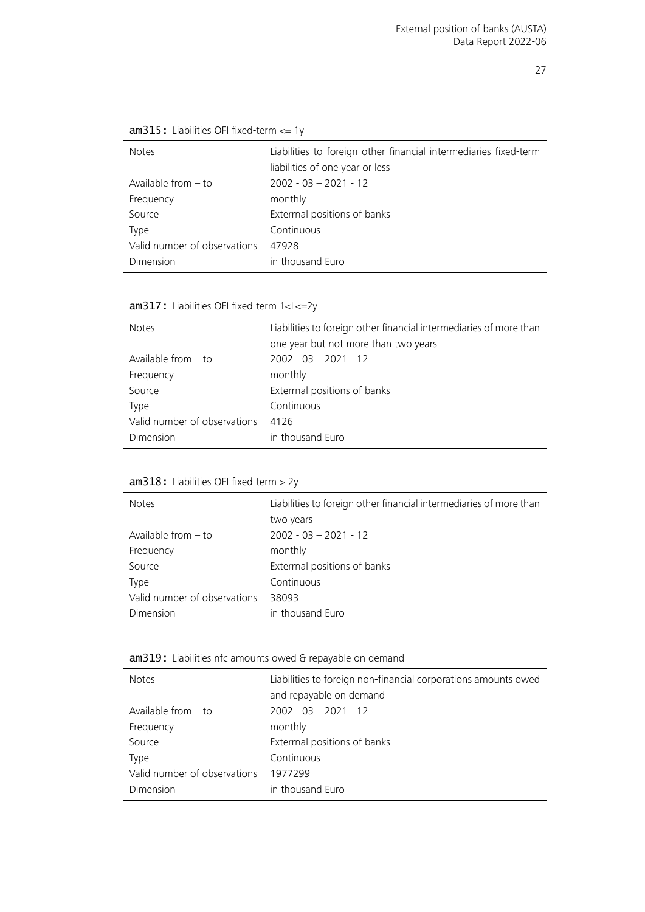| <b>Notes</b>                 | Liabilities to foreign other financial intermediaries fixed-term<br>liabilities of one year or less |
|------------------------------|-----------------------------------------------------------------------------------------------------|
| Available from $-$ to        | $2002 - 03 - 2021 - 12$                                                                             |
| Frequency                    | monthly                                                                                             |
| Source                       | Exterrnal positions of banks                                                                        |
| Type                         | Continuous                                                                                          |
| Valid number of observations | 47928                                                                                               |
| Dimension                    | in thousand Euro                                                                                    |

<span id="page-26-0"></span>am315: Liabilities OFI fixed-term <= 1y

<span id="page-26-1"></span>am317: Liabilities OFI fixed-term 1<L<=2y

| <b>Notes</b>                 | Liabilities to foreign other financial intermediaries of more than<br>one year but not more than two years |
|------------------------------|------------------------------------------------------------------------------------------------------------|
| Available from $-$ to        | $2002 - 03 - 2021 - 12$                                                                                    |
| Frequency                    | monthly                                                                                                    |
| Source                       | Extermal positions of banks                                                                                |
| Type                         | Continuous                                                                                                 |
| Valid number of observations | 4126                                                                                                       |
| Dimension                    | in thousand Euro                                                                                           |

#### <span id="page-26-2"></span>am318: Liabilities OFI fixed-term > 2y

| <b>Notes</b>                 | Liabilities to foreign other financial intermediaries of more than<br>two years |
|------------------------------|---------------------------------------------------------------------------------|
| Available from $-$ to        | $2002 - 03 - 2021 - 12$                                                         |
| Frequency                    | monthly                                                                         |
| Source                       | Exterrnal positions of banks                                                    |
| Type                         | Continuous                                                                      |
| Valid number of observations | 38093                                                                           |
| Dimension                    | in thousand Euro                                                                |

#### <span id="page-26-3"></span>am319: Liabilities nfc amounts owed & repayable on demand

| <b>Notes</b>                 | Liabilities to foreign non-financial corporations amounts owed<br>and repayable on demand |
|------------------------------|-------------------------------------------------------------------------------------------|
| Available from $-$ to        | $2002 - 03 - 2021 - 12$                                                                   |
| Frequency                    | monthly                                                                                   |
| Source                       | Exterrnal positions of banks                                                              |
| Type                         | Continuous                                                                                |
| Valid number of observations | 1977299                                                                                   |
| Dimension                    | in thousand Euro                                                                          |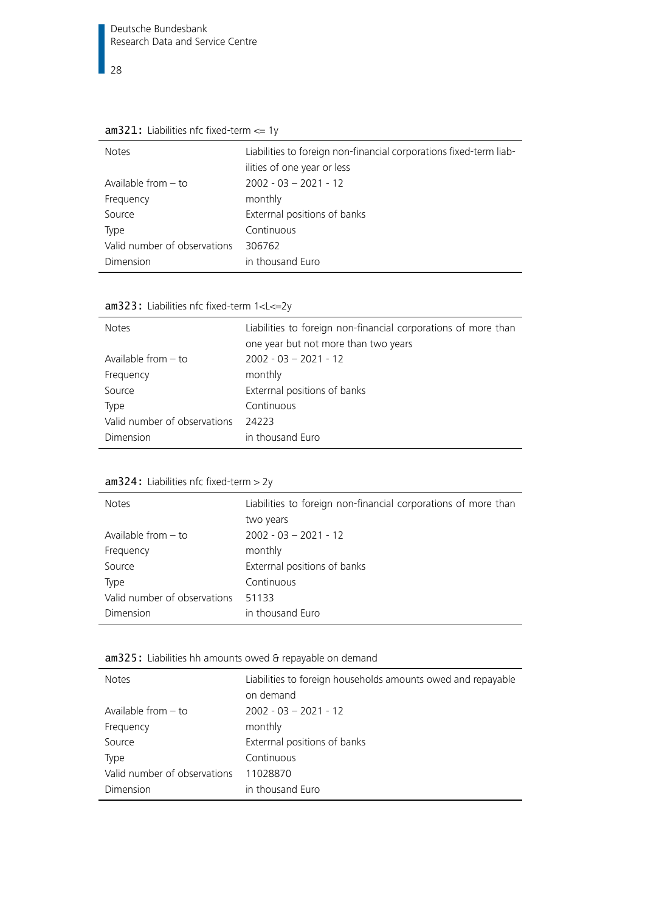$\frac{1}{28}$ 

| <b>Notes</b>                 | Liabilities to foreign non-financial corporations fixed-term liab- |
|------------------------------|--------------------------------------------------------------------|
|                              | ilities of one year or less                                        |
| Available from $-$ to        | $2002 - 03 - 2021 - 12$                                            |
| Frequency                    | monthly                                                            |
| Source                       | Exterrnal positions of banks                                       |
| <b>Type</b>                  | Continuous                                                         |
| Valid number of observations | 306762                                                             |
| Dimension                    | in thousand Euro                                                   |

<span id="page-27-0"></span>

|  | $am321$ : Liabilities nfc fixed-term $\leq$ 1y |  |
|--|------------------------------------------------|--|
|  |                                                |  |

<span id="page-27-1"></span>

|  | $am323$ : Liabilities nfc fixed-term $1 < L < = 2y$ |  |
|--|-----------------------------------------------------|--|
|  |                                                     |  |

| <b>Notes</b>                 | Liabilities to foreign non-financial corporations of more than |
|------------------------------|----------------------------------------------------------------|
|                              | one year but not more than two years                           |
| Available from $-$ to        | $2002 - 03 - 2021 - 12$                                        |
| Frequency                    | monthly                                                        |
| Source                       | Exterrnal positions of banks                                   |
| Type                         | Continuous                                                     |
| Valid number of observations | 24223                                                          |
| Dimension                    | in thousand Euro                                               |

<span id="page-27-2"></span>

| <b>Notes</b>                 | Liabilities to foreign non-financial corporations of more than |
|------------------------------|----------------------------------------------------------------|
|                              | two years                                                      |
| Available from $-$ to        | $2002 - 03 - 2021 - 12$                                        |
| Frequency                    | monthly                                                        |
| Source                       | Exterrnal positions of banks                                   |
| Type                         | Continuous                                                     |
| Valid number of observations | 51133                                                          |
| Dimension                    | in thousand Euro                                               |
|                              |                                                                |

#### <span id="page-27-3"></span>am325: Liabilities hh amounts owed & repayable on demand

| <b>Notes</b>                 | Liabilities to foreign households amounts owed and repayable<br>on demand |
|------------------------------|---------------------------------------------------------------------------|
|                              |                                                                           |
| Available from $-$ to        | $2002 - 03 - 2021 - 12$                                                   |
| Frequency                    | monthly                                                                   |
| Source                       | Exterrnal positions of banks                                              |
| <b>Type</b>                  | Continuous                                                                |
| Valid number of observations | 11028870                                                                  |
| Dimension                    | in thousand Euro                                                          |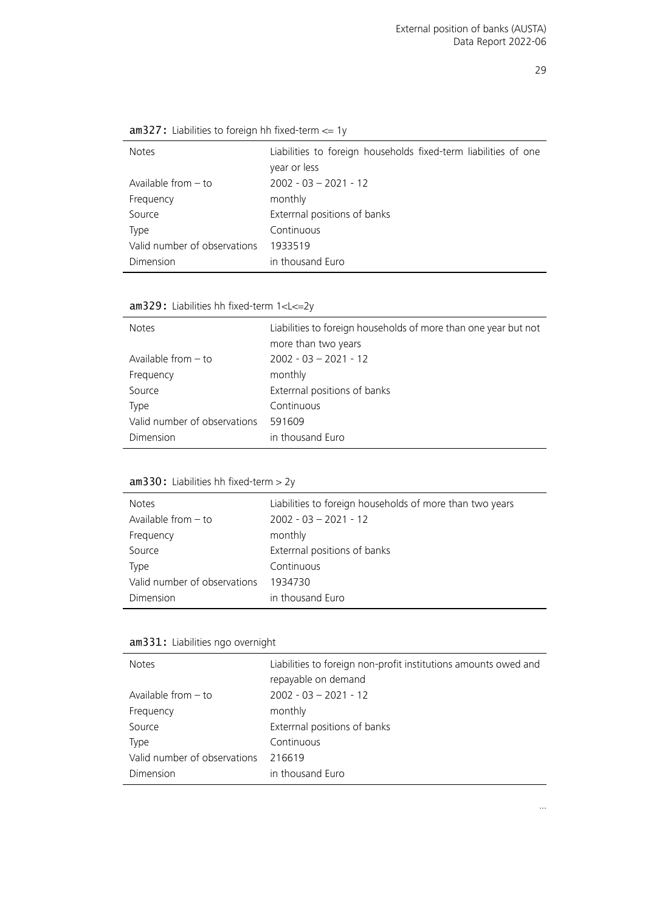<span id="page-28-0"></span>

| $am327$ : Liabilities to foreign hh fixed-term $\leq 1$ y |  |  |
|-----------------------------------------------------------|--|--|
|-----------------------------------------------------------|--|--|

| <b>Notes</b>                 | Liabilities to foreign households fixed-term liabilities of one<br>year or less |
|------------------------------|---------------------------------------------------------------------------------|
| Available from $-$ to        | $2002 - 03 - 2021 - 12$                                                         |
| Frequency                    | monthly                                                                         |
| Source                       | Exterrnal positions of banks                                                    |
| <b>Type</b>                  | Continuous                                                                      |
| Valid number of observations | 1933519                                                                         |
| Dimension                    | in thousand Euro                                                                |

<span id="page-28-1"></span>am329: Liabilities hh fixed-term 1<L<=2y

| <b>Notes</b>                 | Liabilities to foreign households of more than one year but not<br>more than two years |
|------------------------------|----------------------------------------------------------------------------------------|
| Available from $-$ to        | $2002 - 03 - 2021 - 12$                                                                |
| Frequency                    | monthly                                                                                |
| Source                       | Exterrnal positions of banks                                                           |
| <b>Type</b>                  | Continuous                                                                             |
| Valid number of observations | 591609                                                                                 |
| Dimension                    | in thousand Euro                                                                       |

#### <span id="page-28-2"></span>am330: Liabilities hh fixed-term > 2y

| <b>Notes</b>                 | Liabilities to foreign households of more than two years |
|------------------------------|----------------------------------------------------------|
| Available from $-$ to        | $2002 - 03 - 2021 - 12$                                  |
| Frequency                    | monthly                                                  |
| Source                       | Exterrnal positions of banks                             |
| <b>Type</b>                  | Continuous                                               |
| Valid number of observations | 1934730                                                  |
| Dimension                    | in thousand Euro                                         |

#### <span id="page-28-3"></span>am331: Liabilities ngo overnight

| <b>Notes</b>                 | Liabilities to foreign non-profit institutions amounts owed and<br>repayable on demand |
|------------------------------|----------------------------------------------------------------------------------------|
| Available from $-$ to        | $2002 - 03 - 2021 - 12$                                                                |
| Frequency                    | monthly                                                                                |
| Source                       | Exterrnal positions of banks                                                           |
| <b>Type</b>                  | Continuous                                                                             |
| Valid number of observations | 216619                                                                                 |
| Dimension                    | in thousand Euro                                                                       |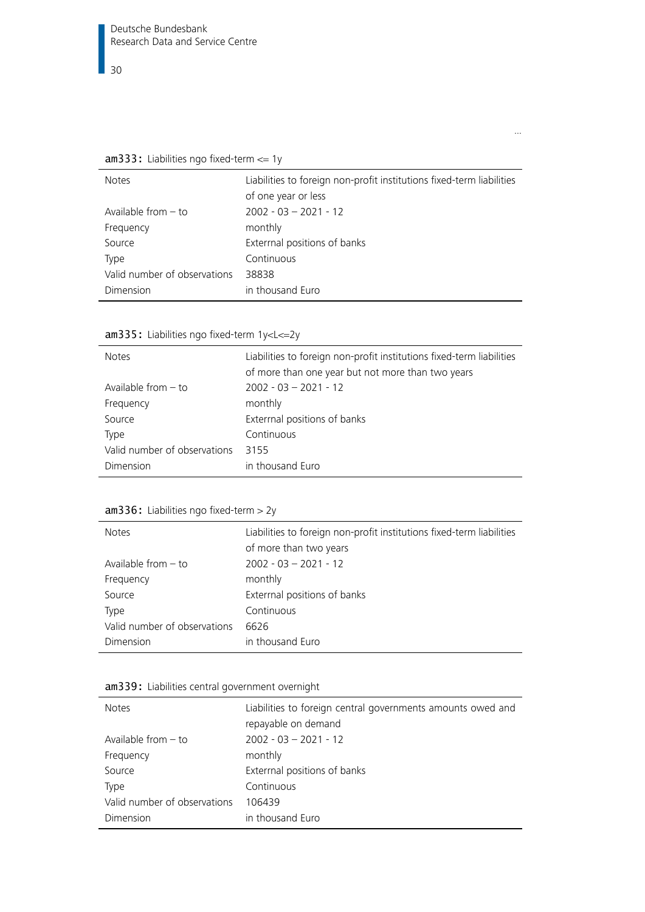<span id="page-29-0"></span>am333: Liabilities ngo fixed-term <= 1y

| <b>Notes</b>                 | Liabilities to foreign non-profit institutions fixed-term liabilities<br>of one year or less |
|------------------------------|----------------------------------------------------------------------------------------------|
| Available from $-$ to        | $2002 - 03 - 2021 - 12$                                                                      |
| Frequency                    | monthly                                                                                      |
| Source                       | Exterrnal positions of banks                                                                 |
| Type                         | Continuous                                                                                   |
| Valid number of observations | 38838                                                                                        |
| Dimension                    | in thousand Euro                                                                             |

…

| Liabilities to foreign non-profit institutions fixed-term liabilities<br>of more than one year but not more than two years |
|----------------------------------------------------------------------------------------------------------------------------|
| $2002 - 03 - 2021 - 12$                                                                                                    |
| monthly                                                                                                                    |
| Extermal positions of banks                                                                                                |
| Continuous                                                                                                                 |
| 3155                                                                                                                       |
| in thousand Euro                                                                                                           |
|                                                                                                                            |

<span id="page-29-1"></span>am335: Liabilities ngo fixed-term 1y<L<=2y

#### <span id="page-29-2"></span>am336: Liabilities ngo fixed-term > 2y

| <b>Notes</b>                 | Liabilities to foreign non-profit institutions fixed-term liabilities |
|------------------------------|-----------------------------------------------------------------------|
|                              | of more than two years                                                |
| Available from $-$ to        | $2002 - 03 - 2021 - 12$                                               |
| Frequency                    | monthly                                                               |
| Source                       | Exterrnal positions of banks                                          |
| Type                         | Continuous                                                            |
| Valid number of observations | 6626                                                                  |
| Dimension                    | in thousand Euro                                                      |

#### <span id="page-29-3"></span>am339: Liabilities central government overnight

| <b>Notes</b>                 | Liabilities to foreign central governments amounts owed and<br>repayable on demand |
|------------------------------|------------------------------------------------------------------------------------|
| Available from $-$ to        | $2002 - 03 - 2021 - 12$                                                            |
| Frequency                    | monthly                                                                            |
| Source                       | Exterrnal positions of banks                                                       |
| Type                         | Continuous                                                                         |
| Valid number of observations | 106439                                                                             |
| Dimension                    | in thousand Euro                                                                   |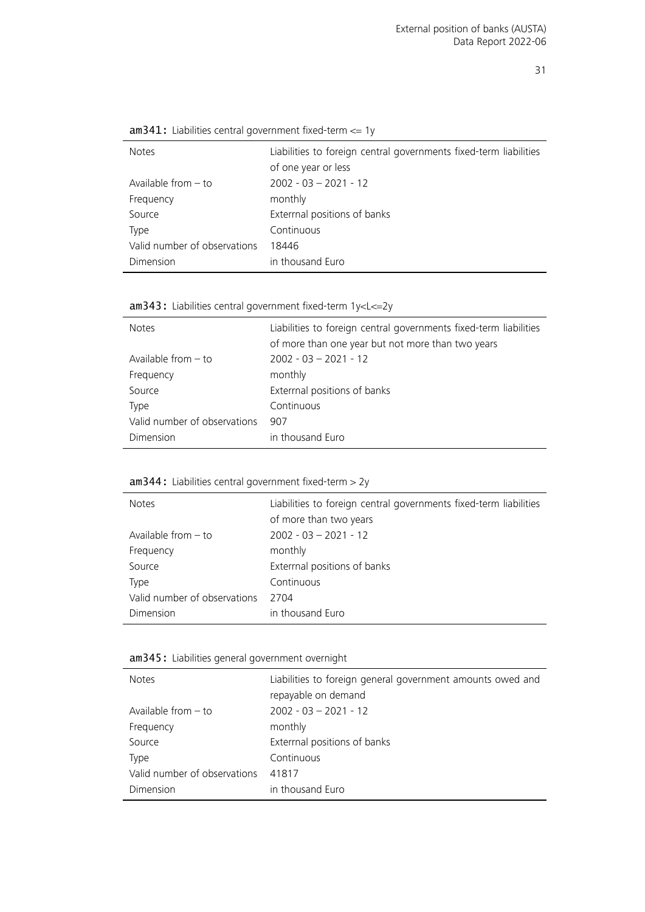<span id="page-30-0"></span>

|  | $am341$ : Liabilities central government fixed-term $\leq$ 1y |
|--|---------------------------------------------------------------|
|--|---------------------------------------------------------------|

| <b>Notes</b>                 | Liabilities to foreign central governments fixed-term liabilities |
|------------------------------|-------------------------------------------------------------------|
|                              | of one year or less                                               |
| Available from $-$ to        | $2002 - 03 - 2021 - 12$                                           |
| Frequency                    | monthly                                                           |
| Source                       | Exterrnal positions of banks                                      |
| Type                         | Continuous                                                        |
| Valid number of observations | 18446                                                             |
| Dimension                    | in thousand Euro                                                  |

<span id="page-30-1"></span>am343: Liabilities central government fixed-term 1y<L<=2y

| <b>Notes</b>                 | Liabilities to foreign central governments fixed-term liabilities<br>of more than one year but not more than two years |
|------------------------------|------------------------------------------------------------------------------------------------------------------------|
| Available from $-$ to        | $2002 - 03 - 2021 - 12$                                                                                                |
| Frequency                    | monthly                                                                                                                |
| Source                       | Extermal positions of banks                                                                                            |
| Type                         | Continuous                                                                                                             |
| Valid number of observations | 907                                                                                                                    |
| Dimension                    | in thousand Euro                                                                                                       |

#### <span id="page-30-2"></span>am344: Liabilities central government fixed-term > 2y

| <b>Notes</b>                 | Liabilities to foreign central governments fixed-term liabilities<br>of more than two years |
|------------------------------|---------------------------------------------------------------------------------------------|
| Available from $-$ to        | $2002 - 03 - 2021 - 12$                                                                     |
| Frequency                    | monthly                                                                                     |
| Source                       | Exterrnal positions of banks                                                                |
| Type                         | Continuous                                                                                  |
| Valid number of observations | 2704                                                                                        |
| Dimension                    | in thousand Euro                                                                            |

#### <span id="page-30-3"></span>am345: Liabilities general government overnight

| <b>Notes</b>                 | Liabilities to foreign general government amounts owed and<br>repayable on demand |
|------------------------------|-----------------------------------------------------------------------------------|
| Available from $-$ to        | $2002 - 03 - 2021 - 12$                                                           |
| Frequency                    | monthly                                                                           |
| Source                       | Exterrnal positions of banks                                                      |
| Type                         | Continuous                                                                        |
| Valid number of observations | 41817                                                                             |
| Dimension                    | in thousand Euro                                                                  |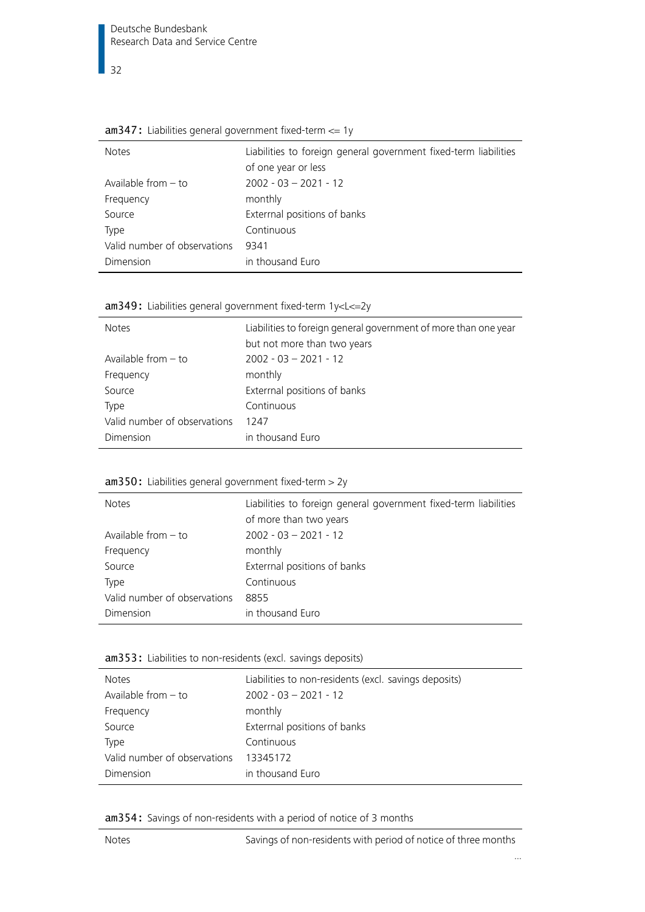| <b>Notes</b>                 | Liabilities to foreign general government fixed-term liabilities |
|------------------------------|------------------------------------------------------------------|
|                              | of one year or less                                              |
| Available from $-$ to        | $2002 - 03 - 2021 - 12$                                          |
| Frequency                    | monthly                                                          |
| Source                       | Exterrnal positions of banks                                     |
| Type                         | Continuous                                                       |
| Valid number of observations | 9341                                                             |
| Dimension                    | in thousand Euro                                                 |
|                              |                                                                  |

<span id="page-31-0"></span>

|  |  |  |  | $am347$ : Liabilities general government fixed-term $\leq$ 1y |  |
|--|--|--|--|---------------------------------------------------------------|--|
|--|--|--|--|---------------------------------------------------------------|--|

<span id="page-31-1"></span>

|  |  | am349: Liabilities general government fixed-term 1y <l<=2y< th=""><th></th></l<=2y<> |  |
|--|--|--------------------------------------------------------------------------------------|--|
|--|--|--------------------------------------------------------------------------------------|--|

| <b>Notes</b>                 | Liabilities to foreign general government of more than one year<br>but not more than two years |
|------------------------------|------------------------------------------------------------------------------------------------|
| Available from $-$ to        | $2002 - 03 - 2021 - 12$                                                                        |
| Frequency                    | monthly                                                                                        |
| Source                       | Exterrnal positions of banks                                                                   |
| Type                         | Continuous                                                                                     |
| Valid number of observations | 1247                                                                                           |
| Dimension                    | in thousand Euro                                                                               |

#### <span id="page-31-2"></span>am350: Liabilities general government fixed-term > 2y

| <b>Notes</b>                 | Liabilities to foreign general government fixed-term liabilities |
|------------------------------|------------------------------------------------------------------|
|                              | of more than two years                                           |
| Available from $-$ to        | $2002 - 03 - 2021 - 12$                                          |
| Frequency                    | monthly                                                          |
| Source                       | Exterrnal positions of banks                                     |
| Type                         | Continuous                                                       |
| Valid number of observations | 8855                                                             |
| Dimension                    | in thousand Euro                                                 |

#### <span id="page-31-3"></span>am353: Liabilities to non-residents (excl. savings deposits)

| <b>Notes</b>                 | Liabilities to non-residents (excl. savings deposits) |
|------------------------------|-------------------------------------------------------|
| Available from $-$ to        | $2002 - 03 - 2021 - 12$                               |
| Frequency                    | monthly                                               |
| Source                       | Extermal positions of banks                           |
| Type                         | Continuous                                            |
| Valid number of observations | 13345172                                              |
| Dimension                    | in thousand Euro                                      |

<span id="page-31-4"></span>am354: Savings of non-residents with a period of notice of 3 months

…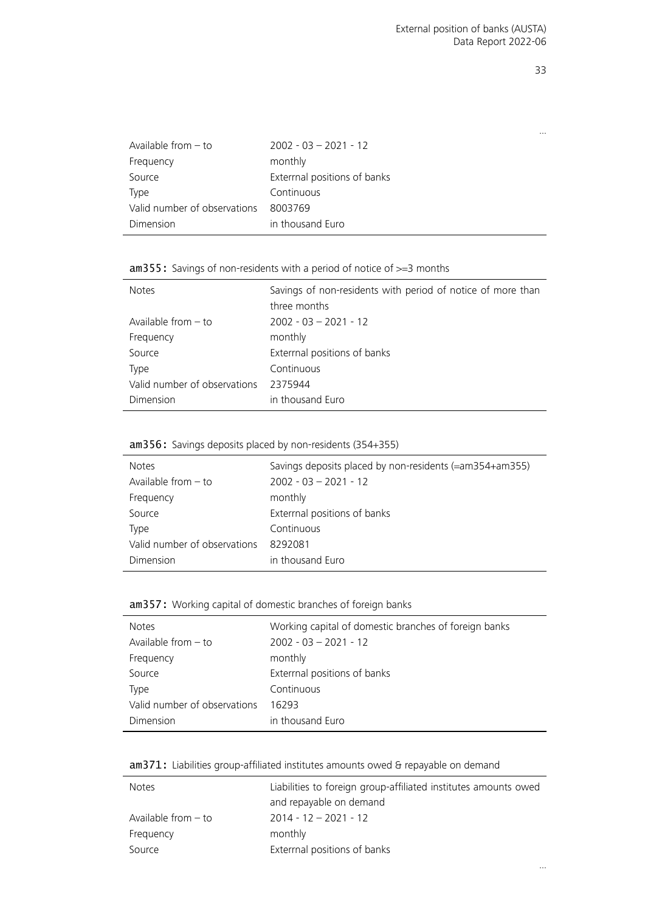…

| Available from $-$ to        | $2002 - 03 - 2021 - 12$     |
|------------------------------|-----------------------------|
| Frequency                    | monthly                     |
| Source                       | Extermal positions of banks |
| Type                         | Continuous                  |
| Valid number of observations | 8003769                     |
| Dimension                    | in thousand Euro            |

#### <span id="page-32-0"></span>am355: Savings of non-residents with a period of notice of  $>=$ 3 months

| <b>Notes</b>                 | Savings of non-residents with period of notice of more than<br>three months |
|------------------------------|-----------------------------------------------------------------------------|
| Available from $-$ to        | $2002 - 03 - 2021 - 12$                                                     |
| Frequency                    | monthly                                                                     |
| Source                       | Exterrnal positions of banks                                                |
| Type                         | Continuous                                                                  |
| Valid number of observations | 2375944                                                                     |
| Dimension                    | in thousand Euro                                                            |

#### <span id="page-32-1"></span>am356: Savings deposits placed by non-residents (354+355)

l,

| <b>Notes</b>                 | Savings deposits placed by non-residents (=am354+am355) |
|------------------------------|---------------------------------------------------------|
| Available from $-$ to        | $2002 - 03 - 2021 - 12$                                 |
| Frequency                    | monthly                                                 |
| Source                       | Exterrnal positions of banks                            |
| <b>Type</b>                  | Continuous                                              |
| Valid number of observations | 8292081                                                 |
| Dimension                    | in thousand Euro                                        |

#### <span id="page-32-2"></span>am357: Working capital of domestic branches of foreign banks

| <b>Notes</b>                 | Working capital of domestic branches of foreign banks |
|------------------------------|-------------------------------------------------------|
| Available from $-$ to        | $2002 - 03 - 2021 - 12$                               |
| Frequency                    | monthly                                               |
| Source                       | Exterrnal positions of banks                          |
| Type                         | Continuous                                            |
| Valid number of observations | 16293                                                 |
| Dimension                    | in thousand Euro                                      |

#### <span id="page-32-3"></span>am371: Liabilities group-affiliated institutes amounts owed & repayable on demand

| <b>Notes</b>          | Liabilities to foreign group-affiliated institutes amounts owed |
|-----------------------|-----------------------------------------------------------------|
|                       | and repayable on demand                                         |
| Available from $-$ to | $2014 - 12 - 2021 - 12$                                         |
| Frequency             | monthly                                                         |
| Source                | Extermal positions of banks                                     |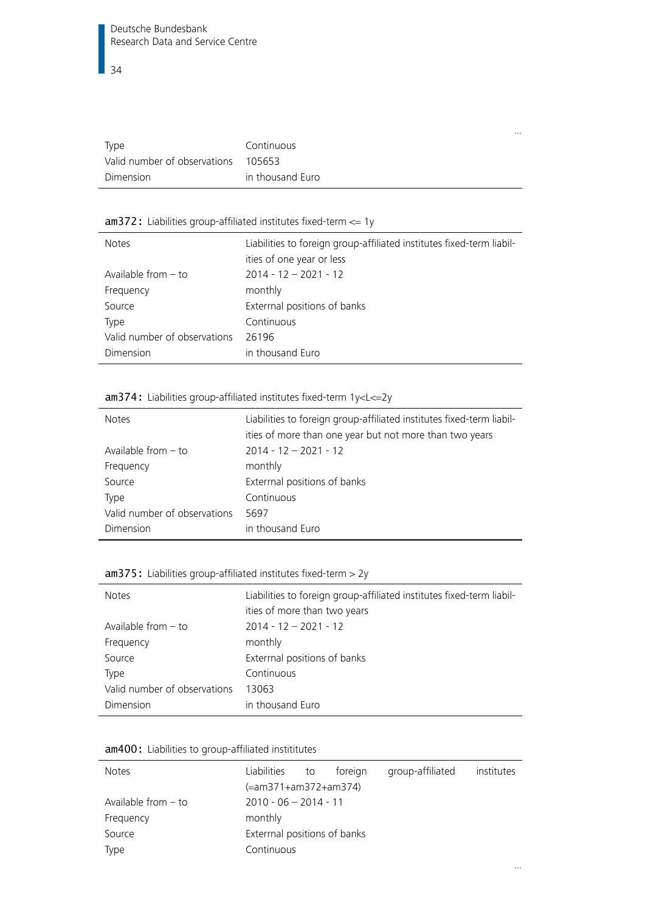| Type                                | Continuous       |
|-------------------------------------|------------------|
| Valid number of observations 105653 |                  |
| Dimension                           | in thousand Euro |

#### <span id="page-33-0"></span>am372: Liabilities group-affiliated institutes fixed-term <= 1y

| <b>Notes</b>                 | Liabilities to foreign group-affiliated institutes fixed-term liabil-<br>ities of one year or less |
|------------------------------|----------------------------------------------------------------------------------------------------|
| Available from $-$ to        | $2014 - 12 - 2021 - 12$                                                                            |
| Frequency                    | monthly                                                                                            |
| Source                       | Exterrnal positions of banks                                                                       |
| Type                         | Continuous                                                                                         |
| Valid number of observations | 26196                                                                                              |
| Dimension                    | in thousand Euro                                                                                   |

#### <span id="page-33-1"></span>am374: Liabilities group-affiliated institutes fixed-term 1y<L<=2y

| <b>Notes</b>                 | Liabilities to foreign group-affiliated institutes fixed-term liabil-<br>ities of more than one year but not more than two years |
|------------------------------|----------------------------------------------------------------------------------------------------------------------------------|
| Available from $-$ to        | $2014 - 12 - 2021 - 12$                                                                                                          |
| Frequency                    | monthly                                                                                                                          |
| Source                       | Exterrnal positions of banks                                                                                                     |
| Type                         | Continuous                                                                                                                       |
| Valid number of observations | 5697                                                                                                                             |
| Dimension                    | in thousand Euro                                                                                                                 |

#### <span id="page-33-2"></span>am375: Liabilities group-affiliated institutes fixed-term > 2y

| <b>Notes</b>                 | Liabilities to foreign group-affiliated institutes fixed-term liabil-<br>ities of more than two years |
|------------------------------|-------------------------------------------------------------------------------------------------------|
| Available from $-$ to        | $2014 - 12 - 2021 - 12$                                                                               |
| Frequency                    | monthly                                                                                               |
| Source                       | Exterrnal positions of banks                                                                          |
| Type                         | Continuous                                                                                            |
| Valid number of observations | 13063                                                                                                 |
| Dimension                    | in thousand Euro                                                                                      |

|  |  | am400: Liabilities to group-affiliated instititutes |  |
|--|--|-----------------------------------------------------|--|
|--|--|-----------------------------------------------------|--|

| <b>Notes</b>          | Liabilities                 | to | foreign | group-affiliated | institutes |
|-----------------------|-----------------------------|----|---------|------------------|------------|
|                       | (=am371+am372+am374)        |    |         |                  |            |
| Available from $-$ to | $2010 - 06 - 2014 - 11$     |    |         |                  |            |
| Frequency             | monthly                     |    |         |                  |            |
| Source                | Extermal positions of banks |    |         |                  |            |
| Type                  | Continuous                  |    |         |                  |            |

…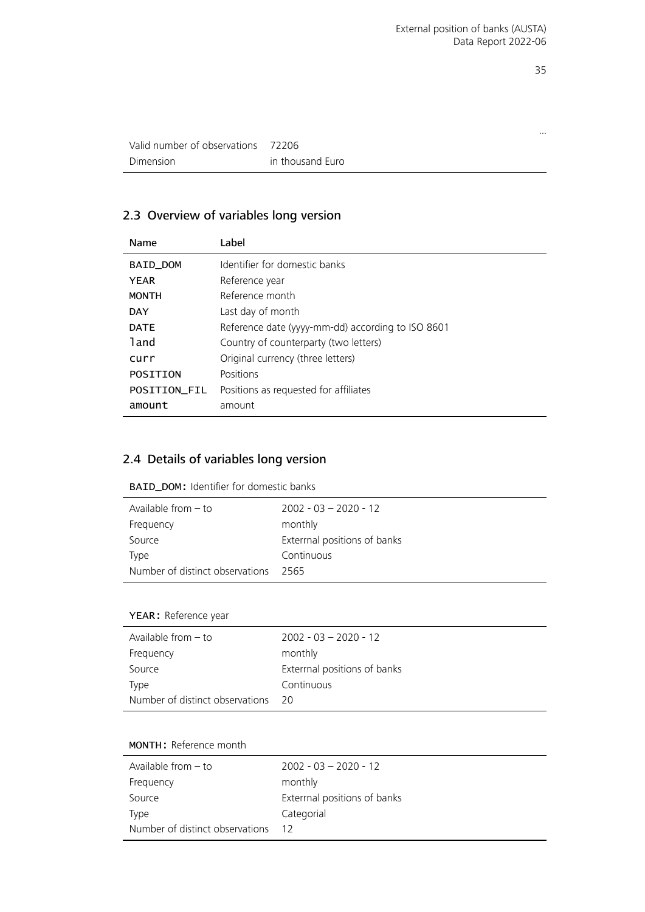…

| Valid number of observations | 72206            |
|------------------------------|------------------|
| Dimension                    | in thousand Euro |

#### <span id="page-34-0"></span>2.3 Overview of variables long version

| Name                | Label                                             |
|---------------------|---------------------------------------------------|
| BAID_DOM            | Identifier for domestic banks                     |
| <b>YEAR</b>         | Reference year                                    |
| <b>MONTH</b>        | Reference month                                   |
| <b>DAY</b>          | Last day of month                                 |
| <b>DATE</b>         | Reference date (yyyy-mm-dd) according to ISO 8601 |
| land                | Country of counterparty (two letters)             |
| curr                | Original currency (three letters)                 |
| POSITION            | Positions                                         |
| <b>POSITION FIL</b> | Positions as requested for affiliates             |
| amount              | amount                                            |
|                     |                                                   |

#### <span id="page-34-1"></span>2.4 Details of variables long version

<span id="page-34-2"></span>

| <b>BAID_DOM: Identifier for domestic banks</b> |  |  |  |  |
|------------------------------------------------|--|--|--|--|
|------------------------------------------------|--|--|--|--|

| Available from $-$ to           | $2002 - 03 - 2020 - 12$     |
|---------------------------------|-----------------------------|
| Frequency                       | monthly                     |
| Source                          | Extermal positions of banks |
| Type                            | Continuous                  |
| Number of distinct observations | - 2565                      |

#### YEAR: Reference year

| Available from $-$ to              | $2002 - 03 - 2020 - 12$     |
|------------------------------------|-----------------------------|
| Frequency                          | monthly                     |
| Source                             | Extermal positions of banks |
| <b>Type</b>                        | Continuous                  |
| Number of distinct observations 20 |                             |

#### MONTH: Reference month

| Available from $-$ to           | $2002 - 03 - 2020 - 12$     |
|---------------------------------|-----------------------------|
| Frequency                       | monthly                     |
| Source                          | Extermal positions of banks |
| Type                            | Categorial                  |
| Number of distinct observations | -12                         |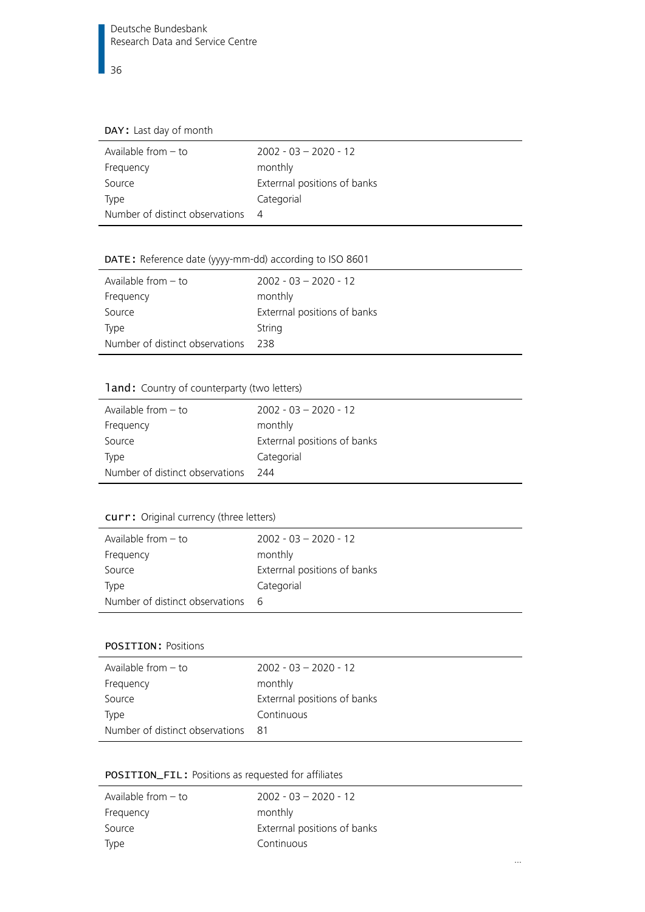#### DAY: Last day of month

| Available from $-$ to           | $2002 - 03 - 2020 - 12$     |
|---------------------------------|-----------------------------|
| Frequency                       | monthly                     |
| Source                          | Extermal positions of banks |
| Type                            | Categorial                  |
| Number of distinct observations | - 4                         |

## DATE: Reference date (yyyy-mm-dd) according to ISO 8601

| Available from $-$ to           | $2002 - 03 - 2020 - 12$      |
|---------------------------------|------------------------------|
| Frequency                       | monthly                      |
| Source                          | Exterrnal positions of banks |
| Type                            | String                       |
| Number of distinct observations | 238                          |
|                                 |                              |

#### land: Country of counterparty (two letters)

| Available from $-$ to           | $2002 - 03 - 2020 - 12$     |
|---------------------------------|-----------------------------|
| Frequency                       | monthly                     |
| Source                          | Extermal positions of banks |
| <b>Type</b>                     | Categorial                  |
| Number of distinct observations | - 744                       |
|                                 |                             |

## <span id="page-35-0"></span>curr: Original currency (three letters)

| Available from $-$ to             | $2002 - 03 - 2020 - 12$      |
|-----------------------------------|------------------------------|
| Frequency                         | monthly                      |
| Source                            | Exterrnal positions of banks |
| Type                              | Categorial                   |
| Number of distinct observations 6 |                              |
|                                   |                              |

#### <span id="page-35-1"></span>POSITION: Positions

| Available from $-$ to           | $2002 - 03 - 2020 - 12$      |
|---------------------------------|------------------------------|
|                                 |                              |
| Frequency                       | monthly                      |
| Source                          | Exterrnal positions of banks |
| Type                            | Continuous                   |
| Number of distinct observations | - 81                         |

#### <span id="page-35-2"></span>POSITION\_FIL: Positions as requested for affiliates

| Available from $-$ to | $2002 - 03 - 2020 - 12$     |
|-----------------------|-----------------------------|
| Frequency             | monthly                     |
| Source                | Extermal positions of banks |
| Type                  | Continuous                  |
|                       |                             |

…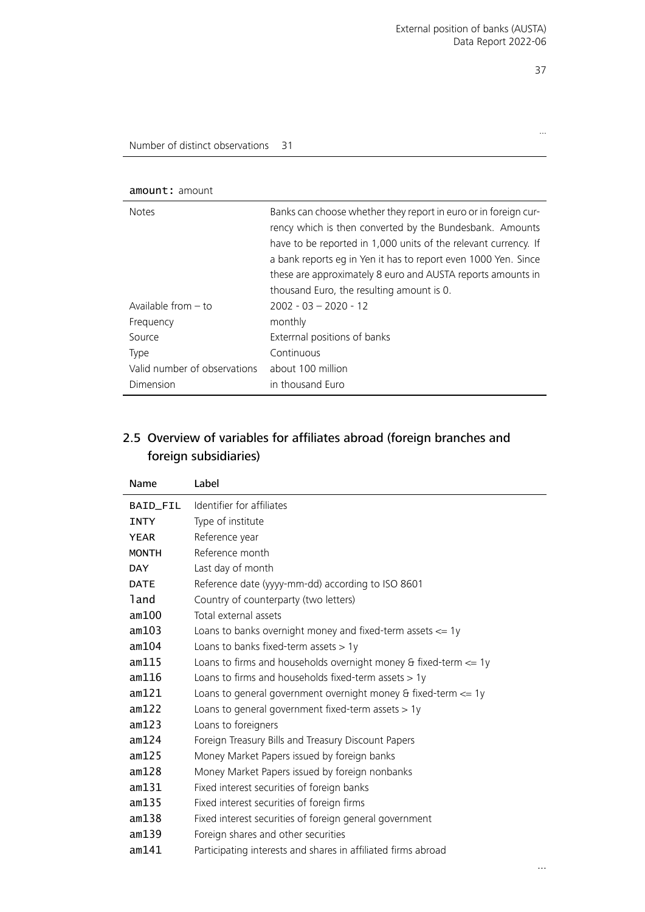…

#### <span id="page-36-1"></span>amount: amount

| <b>Notes</b>                 | Banks can choose whether they report in euro or in foreign cur-<br>rency which is then converted by the Bundesbank. Amounts<br>have to be reported in 1,000 units of the relevant currency. If<br>a bank reports eg in Yen it has to report even 1000 Yen. Since<br>these are approximately 8 euro and AUSTA reports amounts in<br>thousand Euro, the resulting amount is 0. |
|------------------------------|------------------------------------------------------------------------------------------------------------------------------------------------------------------------------------------------------------------------------------------------------------------------------------------------------------------------------------------------------------------------------|
| Available from $-$ to        | $2002 - 03 - 2020 - 12$                                                                                                                                                                                                                                                                                                                                                      |
| Frequency                    | monthly                                                                                                                                                                                                                                                                                                                                                                      |
| Source                       | Exterrnal positions of banks                                                                                                                                                                                                                                                                                                                                                 |
| Type                         | Continuous                                                                                                                                                                                                                                                                                                                                                                   |
| Valid number of observations | about 100 million                                                                                                                                                                                                                                                                                                                                                            |
| Dimension                    | in thousand Euro                                                                                                                                                                                                                                                                                                                                                             |

#### <span id="page-36-0"></span>2.5 Overview of variables for affiliates abroad (foreign branches and foreign subsidiaries)

| Name         | Label                                                                |
|--------------|----------------------------------------------------------------------|
| BAID_FIL     | Identifier for affiliates                                            |
| <b>INTY</b>  | Type of institute                                                    |
| <b>YEAR</b>  | Reference year                                                       |
| <b>MONTH</b> | Reference month                                                      |
| <b>DAY</b>   | Last day of month                                                    |
| <b>DATE</b>  | Reference date (yyyy-mm-dd) according to ISO 8601                    |
| land         | Country of counterparty (two letters)                                |
| am100        | Total external assets                                                |
| am103        | Loans to banks overnight money and fixed-term assets $\leq$ 1y       |
| am104        | Loans to banks fixed-term assets $> 1y$                              |
| am115        | Loans to firms and households overnight money & fixed-term $\leq$ 1y |
| am116        | Loans to firms and households fixed-term assets $> 1y$               |
| am121        | Loans to general government overnight money & fixed-term $\leq$ 1y   |
| am122        | Loans to general government fixed-term assets $> 1y$                 |
| am123        | Loans to foreigners                                                  |
| am124        | Foreign Treasury Bills and Treasury Discount Papers                  |
| am125        | Money Market Papers issued by foreign banks                          |
| am128        | Money Market Papers issued by foreign nonbanks                       |
| am131        | Fixed interest securities of foreign banks                           |
| am135        | Fixed interest securities of foreign firms                           |
| am138        | Fixed interest securities of foreign general government              |
| am139        | Foreign shares and other securities                                  |
| am141        | Participating interests and shares in affiliated firms abroad        |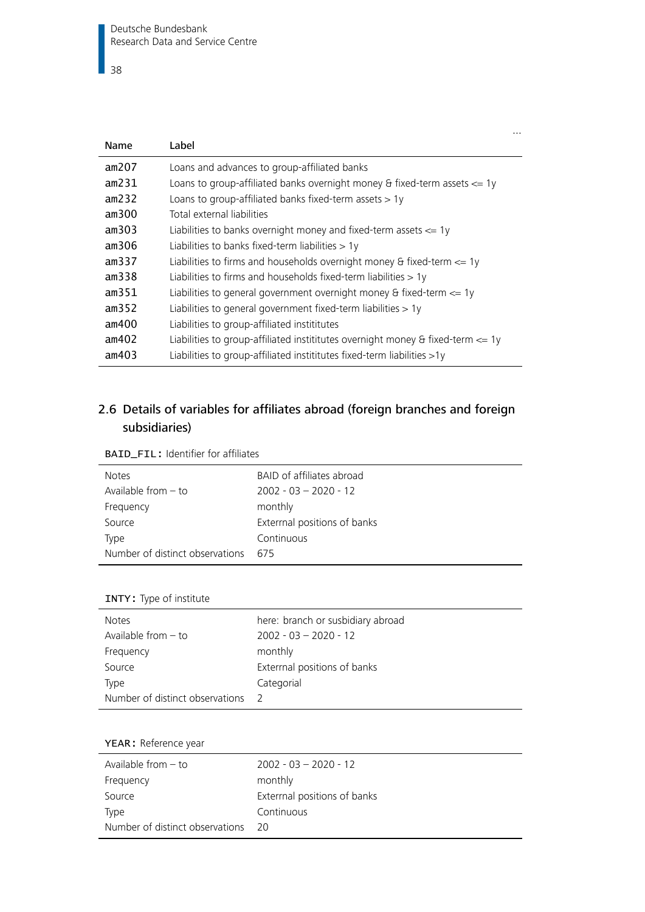| Name  | Label                                                                               |
|-------|-------------------------------------------------------------------------------------|
| am207 | Loans and advances to group-affiliated banks                                        |
| am231 | Loans to group-affiliated banks overnight money & fixed-term assets $\leq$ 1y       |
| am232 | Loans to group-affiliated banks fixed-term assets $> 1y$                            |
| am300 | Total external liabilities                                                          |
| am303 | Liabilities to banks overnight money and fixed-term assets $\leq$ 1y                |
| am306 | Liabilities to banks fixed-term liabilities $> 1y$                                  |
| am337 | Liabilities to firms and households overnight money & fixed-term $\leq$ 1y          |
| am338 | Liabilities to firms and households fixed-term liabilities $> 1y$                   |
| am351 | Liabilities to general government overnight money & fixed-term $\leq$ 1y            |
| am352 | Liabilities to general government fixed-term liabilities > 1y                       |
| am400 | Liabilities to group-affiliated instititutes                                        |
| am402 | Liabilities to group-affiliated instititutes overnight money & fixed-term $\leq$ 1y |
| am403 | Liabilities to group-affiliated instititutes fixed-term liabilities $>1y$           |

…

#### <span id="page-37-0"></span>2.6 Details of variables for affiliates abroad (foreign branches and foreign subsidiaries)

<span id="page-37-1"></span>

| <b>BAID_FIL: Identifier for affiliates</b> |  |
|--------------------------------------------|--|
|--------------------------------------------|--|

| <b>Notes</b>                    | BAID of affiliates abroad    |
|---------------------------------|------------------------------|
| Available from $-$ to           | $2002 - 03 - 2020 - 12$      |
| Frequency                       | monthly                      |
| Source                          | Exterrnal positions of banks |
| Type                            | Continuous                   |
| Number of distinct observations | - 675                        |

#### INTY: Type of institute

| <b>Notes</b>                      | here: branch or susbidiary abroad |
|-----------------------------------|-----------------------------------|
| Available from $-$ to             | $2002 - 03 - 2020 - 12$           |
| Frequency                         | monthly                           |
| Source                            | Exterrnal positions of banks      |
| Type                              | Categorial                        |
| Number of distinct observations 2 |                                   |

#### YEAR: Reference year

| Available from - to             | $2002 - 03 - 2020 - 12$     |
|---------------------------------|-----------------------------|
| Frequency                       | monthly                     |
| Source                          | Extermal positions of banks |
| Type                            | Continuous                  |
| Number of distinct observations | - 20                        |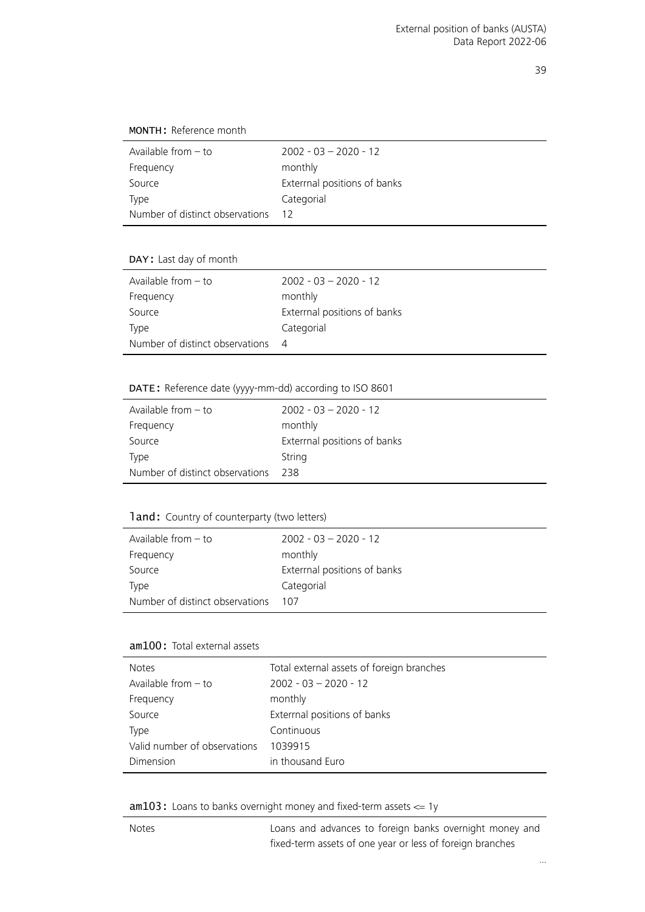MONTH: Reference month

| Available from $-$ to           | $2002 - 03 - 2020 - 12$      |
|---------------------------------|------------------------------|
| Frequency                       | monthly                      |
| Source                          | Exterrnal positions of banks |
| Type                            | Categorial                   |
| Number of distinct observations |                              |

DAY: Last day of month

| Available from $-$ to           | $2002 - 03 - 2020 - 12$      |
|---------------------------------|------------------------------|
| Frequency                       | monthly                      |
| Source                          | Exterrnal positions of banks |
| Type                            | Categorial                   |
| Number of distinct observations | $\Delta$                     |

#### DATE: Reference date (yyyy-mm-dd) according to ISO 8601

| Available from $-$ to           | $2002 - 03 - 2020 - 12$     |
|---------------------------------|-----------------------------|
| Frequency                       | monthly                     |
| Source                          | Extermal positions of banks |
| Type                            | String                      |
| Number of distinct observations | - 238                       |

#### land: Country of counterparty (two letters)

| Available from $-$ to           | $2002 - 03 - 2020 - 12$     |
|---------------------------------|-----------------------------|
| Frequency                       | monthly                     |
| Source                          | Extermal positions of banks |
| Type                            | Categorial                  |
| Number of distinct observations | 107                         |

#### am100: Total external assets

| <b>Notes</b>                 | Total external assets of foreign branches |
|------------------------------|-------------------------------------------|
| Available from $-$ to        | $2002 - 03 - 2020 - 12$                   |
| Frequency                    | monthly                                   |
| Source                       | Exterrnal positions of banks              |
| Type                         | Continuous                                |
| Valid number of observations | 1039915                                   |
| Dimension                    | in thousand Euro                          |

am103: Loans to banks overnight money and fixed-term assets <= 1y

Notes Loans and advances to foreign banks overnight money and fixed-term assets of one year or less of foreign branches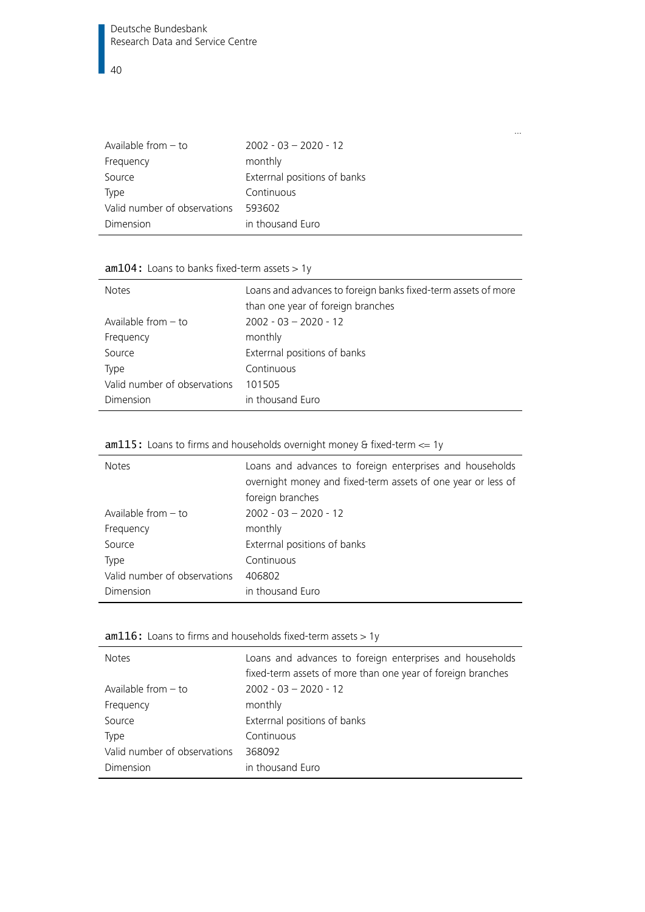| Available from $-$ to        | $2002 - 03 - 2020 - 12$      |
|------------------------------|------------------------------|
| Frequency                    | monthly                      |
| Source                       | Exterrnal positions of banks |
| Type                         | Continuous                   |
| Valid number of observations | 593602                       |
| Dimension                    | in thousand Euro             |

## am104: Loans to banks fixed-term assets > 1y

| <b>Notes</b>                 | Loans and advances to foreign banks fixed-term assets of more<br>than one year of foreign branches |
|------------------------------|----------------------------------------------------------------------------------------------------|
| Available from $-$ to        | $2002 - 03 - 2020 - 12$                                                                            |
|                              |                                                                                                    |
| Frequency                    | monthly                                                                                            |
| Source                       | Exterrnal positions of banks                                                                       |
| <b>Type</b>                  | Continuous                                                                                         |
| Valid number of observations | 101505                                                                                             |
| Dimension                    | in thousand Euro                                                                                   |

#### am115: Loans to firms and households overnight money & fixed-term <= 1y

| <b>Notes</b>                 | Loans and advances to foreign enterprises and households<br>overnight money and fixed-term assets of one year or less of<br>foreign branches |
|------------------------------|----------------------------------------------------------------------------------------------------------------------------------------------|
| Available from $-$ to        | $2002 - 03 - 2020 - 12$                                                                                                                      |
| Frequency                    | monthly                                                                                                                                      |
| Source                       | Exterrnal positions of banks                                                                                                                 |
| Type                         | Continuous                                                                                                                                   |
| Valid number of observations | 406802                                                                                                                                       |
| Dimension                    | in thousand Euro                                                                                                                             |

## am116: Loans to firms and households fixed-term assets > 1y

| <b>Notes</b>                 | Loans and advances to foreign enterprises and households<br>fixed-term assets of more than one year of foreign branches |
|------------------------------|-------------------------------------------------------------------------------------------------------------------------|
| Available from $-$ to        | $2002 - 03 - 2020 - 12$                                                                                                 |
| Frequency                    | monthly                                                                                                                 |
| Source                       | Extermal positions of banks                                                                                             |
| Type                         | Continuous                                                                                                              |
| Valid number of observations | 368092                                                                                                                  |
| Dimension                    | in thousand Euro                                                                                                        |

…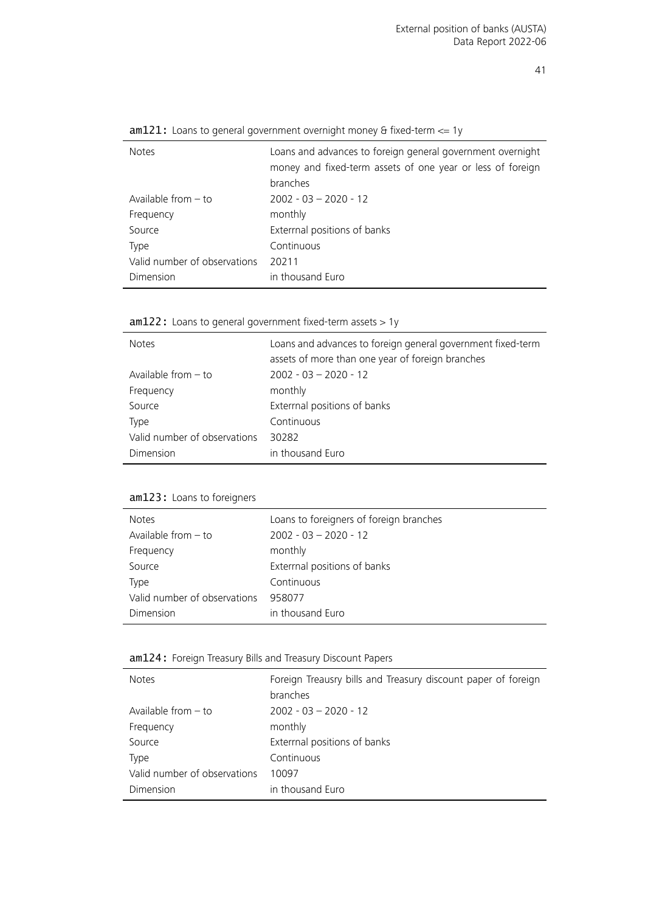| <b>Notes</b>                 | Loans and advances to foreign general government overnight<br>money and fixed-term assets of one year or less of foreign<br>branches |
|------------------------------|--------------------------------------------------------------------------------------------------------------------------------------|
| Available from $-$ to        | $2002 - 03 - 2020 - 12$                                                                                                              |
| Frequency                    | monthly                                                                                                                              |
| Source                       | Exterrnal positions of banks                                                                                                         |
| Type                         | Continuous                                                                                                                           |
| Valid number of observations | 20211                                                                                                                                |
| Dimension                    | in thousand Euro                                                                                                                     |
|                              |                                                                                                                                      |

am121: Loans to general government overnight money & fixed-term  $\leq 1$ y

am122: Loans to general government fixed-term assets > 1y

| <b>Notes</b>                 | Loans and advances to foreign general government fixed-term<br>assets of more than one year of foreign branches |
|------------------------------|-----------------------------------------------------------------------------------------------------------------|
| Available from $-$ to        | $2002 - 03 - 2020 - 12$                                                                                         |
| Frequency                    | monthly                                                                                                         |
| Source                       | Exterrnal positions of banks                                                                                    |
| Type                         | Continuous                                                                                                      |
| Valid number of observations | 30282                                                                                                           |
| Dimension                    | in thousand Euro                                                                                                |

#### am123: Loans to foreigners

l,

| <b>Notes</b>                 | Loans to foreigners of foreign branches |
|------------------------------|-----------------------------------------|
| Available from $-$ to        | $2002 - 03 - 2020 - 12$                 |
| Frequency                    | monthly                                 |
| Source                       | Exterrnal positions of banks            |
| Type                         | Continuous                              |
| Valid number of observations | 958077                                  |
| Dimension                    | in thousand Euro                        |

#### am124: Foreign Treasury Bills and Treasury Discount Papers

| <b>Notes</b>                 | Foreign Treausry bills and Treasury discount paper of foreign<br>branches |
|------------------------------|---------------------------------------------------------------------------|
| Available from $-$ to        | $2002 - 03 - 2020 - 12$                                                   |
| Frequency                    | monthly                                                                   |
| Source                       | Exterrnal positions of banks                                              |
| Type                         | Continuous                                                                |
| Valid number of observations | 10097                                                                     |
| Dimension                    | in thousand Euro                                                          |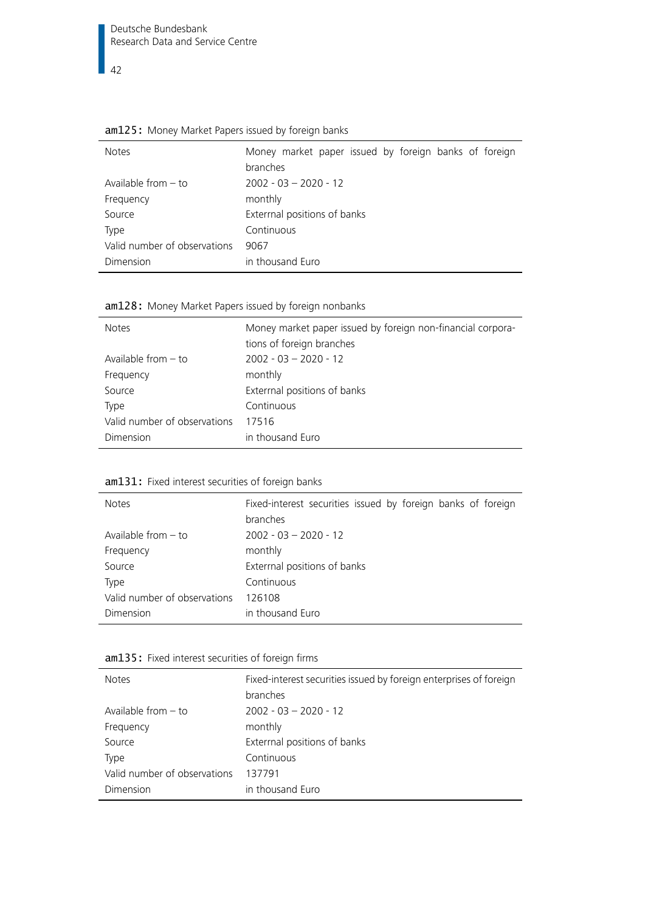$\overline{42}$ 

| <b>Notes</b>                 | Money market paper issued by foreign banks of foreign<br>branches |
|------------------------------|-------------------------------------------------------------------|
| Available from $-$ to        | $2002 - 03 - 2020 - 12$                                           |
| Frequency                    | monthly                                                           |
| Source                       | Exterrnal positions of banks                                      |
| Type                         | Continuous                                                        |
| Valid number of observations | 9067                                                              |
| Dimension                    | in thousand Euro                                                  |

|--|

| <b>Notes</b>                 | Money market paper issued by foreign non-financial corpora-<br>tions of foreign branches |
|------------------------------|------------------------------------------------------------------------------------------|
| Available from $-$ to        | $2002 - 03 - 2020 - 12$                                                                  |
| Frequency                    | monthly                                                                                  |
| Source                       | Exterrnal positions of banks                                                             |
| Type                         | Continuous                                                                               |
| Valid number of observations | 17516                                                                                    |
| Dimension                    | in thousand Euro                                                                         |

| am131: Fixed interest securities of foreign banks |
|---------------------------------------------------|
|                                                   |

| <b>Notes</b>                 | Fixed-interest securities issued by foreign banks of foreign<br>branches |
|------------------------------|--------------------------------------------------------------------------|
| Available from $-$ to        | $2002 - 03 - 2020 - 12$                                                  |
| Frequency                    | monthly                                                                  |
| Source                       | Exterrnal positions of banks                                             |
| Type                         | Continuous                                                               |
| Valid number of observations | 126108                                                                   |
| Dimension                    | in thousand Euro                                                         |

|  |  |  | am135: Fixed interest securities of foreign firms |  |  |  |
|--|--|--|---------------------------------------------------|--|--|--|
|--|--|--|---------------------------------------------------|--|--|--|

| <b>Notes</b>                 | Fixed-interest securities issued by foreign enterprises of foreign<br>branches |
|------------------------------|--------------------------------------------------------------------------------|
| Available from $-$ to        | $2002 - 03 - 2020 - 12$                                                        |
| Frequency                    | monthly                                                                        |
| Source                       | Exterrnal positions of banks                                                   |
| Type                         | Continuous                                                                     |
| Valid number of observations | 137791                                                                         |
| Dimension                    | in thousand Euro                                                               |
|                              |                                                                                |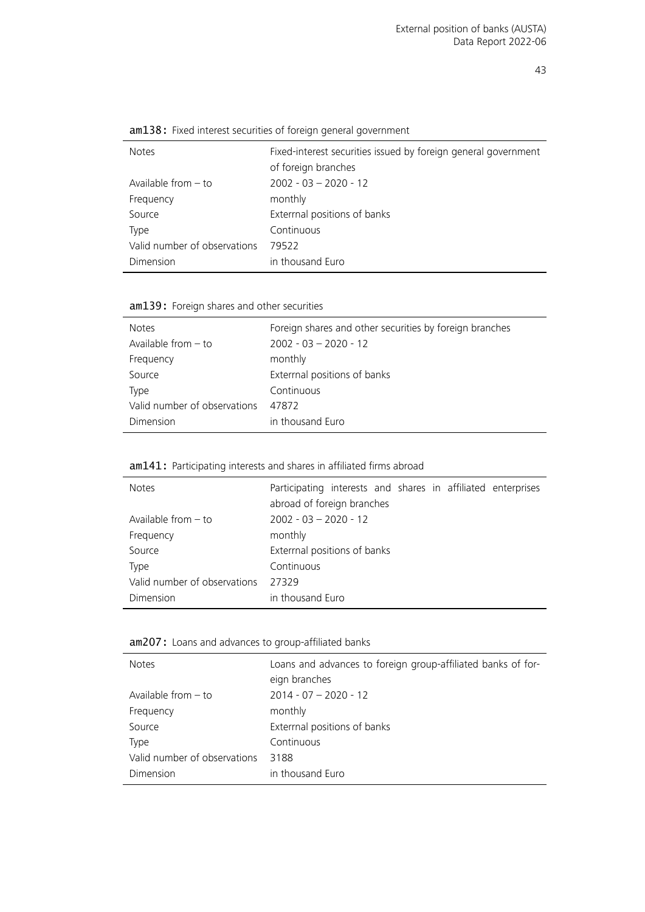| Fixed-interest securities issued by foreign general government |
|----------------------------------------------------------------|
| of foreign branches                                            |
| $2002 - 03 - 2020 - 12$                                        |
| monthly                                                        |
| Exterrnal positions of banks                                   |
| Continuous                                                     |
| 79522                                                          |
| in thousand Euro                                               |
|                                                                |

am138: Fixed interest securities of foreign general government

am139: Foreign shares and other securities

| <b>Notes</b>                 | Foreign shares and other securities by foreign branches |
|------------------------------|---------------------------------------------------------|
| Available from $-$ to        | $2002 - 03 - 2020 - 12$                                 |
| Frequency                    | monthly                                                 |
| Source                       | Exterrnal positions of banks                            |
| Type                         | Continuous                                              |
| Valid number of observations | 47872                                                   |
| Dimension                    | in thousand Euro                                        |

#### am141: Participating interests and shares in affiliated firms abroad

| <b>Notes</b>                 | Participating interests and shares in affiliated enterprises<br>abroad of foreign branches |
|------------------------------|--------------------------------------------------------------------------------------------|
| Available from $-$ to        | $2002 - 03 - 2020 - 12$                                                                    |
| Frequency                    | monthly                                                                                    |
| Source                       | Exterrnal positions of banks                                                               |
| <b>Type</b>                  | Continuous                                                                                 |
| Valid number of observations | 27329                                                                                      |
| Dimension                    | in thousand Euro                                                                           |

#### <span id="page-42-0"></span>am207: Loans and advances to group-affiliated banks

| <b>Notes</b>                 | Loans and advances to foreign group-affiliated banks of for-<br>eign branches |
|------------------------------|-------------------------------------------------------------------------------|
| Available from $-$ to        | $2014 - 07 - 2020 - 12$                                                       |
| Frequency                    | monthly                                                                       |
| Source                       | Exterrnal positions of banks                                                  |
| Type                         | Continuous                                                                    |
| Valid number of observations | 3188                                                                          |
| Dimension                    | in thousand Euro                                                              |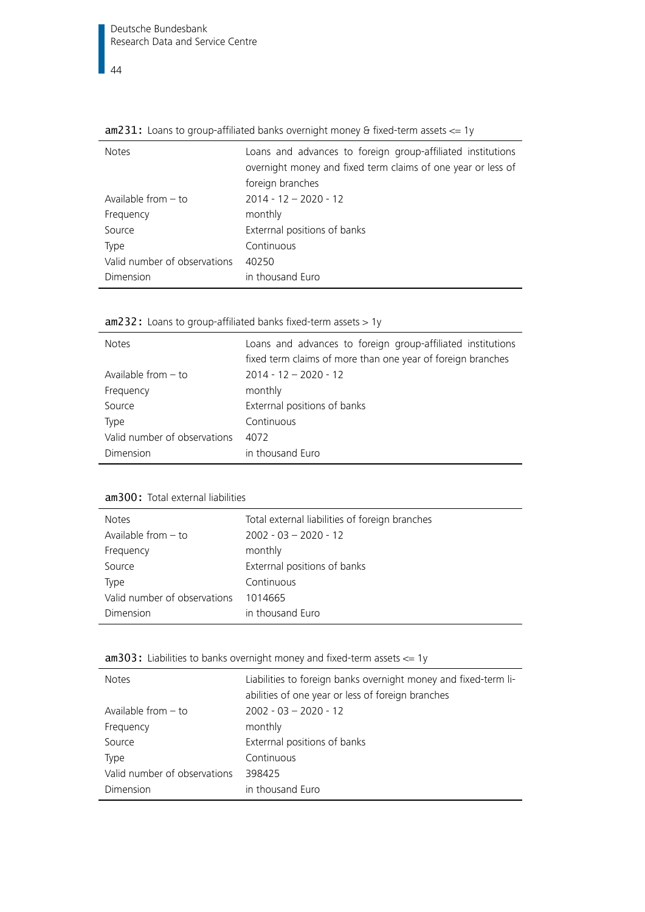| <b>Notes</b>                 | Loans and advances to foreign group-affiliated institutions<br>overnight money and fixed term claims of one year or less of<br>foreign branches |
|------------------------------|-------------------------------------------------------------------------------------------------------------------------------------------------|
| Available from $-$ to        | $2014 - 12 - 2020 - 12$                                                                                                                         |
| Frequency                    | monthly                                                                                                                                         |
| Source                       | Exterrnal positions of banks                                                                                                                    |
| <b>Type</b>                  | Continuous                                                                                                                                      |
| Valid number of observations | 40250                                                                                                                                           |
| Dimension                    | in thousand Euro                                                                                                                                |

<span id="page-43-1"></span>am231: Loans to group-affiliated banks overnight money & fixed-term assets <= 1y

<span id="page-43-2"></span>

|  |  |  |  |  | $am232$ : Loans to group-affiliated banks fixed-term assets $> 1y$ |  |  |
|--|--|--|--|--|--------------------------------------------------------------------|--|--|
|--|--|--|--|--|--------------------------------------------------------------------|--|--|

| <b>Notes</b>                 | Loans and advances to foreign group-affiliated institutions<br>fixed term claims of more than one year of foreign branches |
|------------------------------|----------------------------------------------------------------------------------------------------------------------------|
| Available from $-$ to        | $2014 - 12 - 2020 - 12$                                                                                                    |
| Frequency                    | monthly                                                                                                                    |
| Source                       | Exterrnal positions of banks                                                                                               |
| Type                         | Continuous                                                                                                                 |
| Valid number of observations | 4072                                                                                                                       |
| Dimension                    | in thousand Euro                                                                                                           |

<span id="page-43-0"></span>am300: Total external liabilities

| <b>Notes</b>                 | Total external liabilities of foreign branches |
|------------------------------|------------------------------------------------|
| Available from $-$ to        | $2002 - 03 - 2020 - 12$                        |
| Frequency                    | monthly                                        |
| Source                       | Exterrnal positions of banks                   |
| Type                         | Continuous                                     |
| Valid number of observations | 1014665                                        |
| Dimension                    | in thousand Euro                               |

<span id="page-43-3"></span>

|  |  | $am303$ : Liabilities to banks overnight money and fixed-term assets $\leq$ 1y |  |
|--|--|--------------------------------------------------------------------------------|--|
|  |  |                                                                                |  |

| <b>Notes</b>                 | Liabilities to foreign banks overnight money and fixed-term li-<br>abilities of one year or less of foreign branches |
|------------------------------|----------------------------------------------------------------------------------------------------------------------|
| Available from $-$ to        | $2002 - 03 - 2020 - 12$                                                                                              |
| Frequency                    | monthly                                                                                                              |
| Source                       | Exterrnal positions of banks                                                                                         |
| Type                         | Continuous                                                                                                           |
| Valid number of observations | 398425                                                                                                               |
| Dimension                    | in thousand Euro                                                                                                     |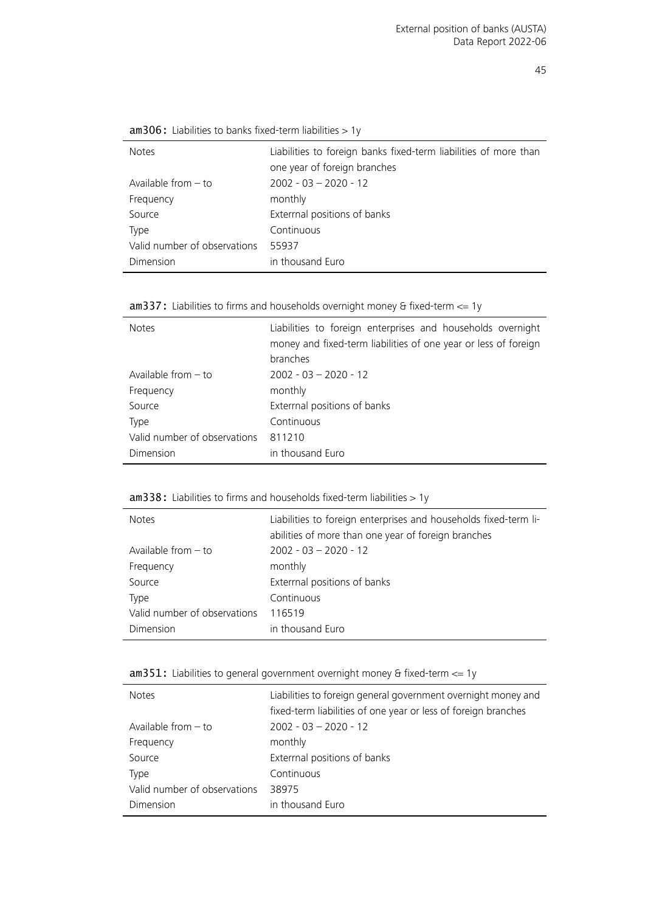<span id="page-44-0"></span>

| <b>Notes</b>                 | Liabilities to foreign banks fixed-term liabilities of more than |
|------------------------------|------------------------------------------------------------------|
|                              | one year of foreign branches                                     |
| Available from $-$ to        | $2002 - 03 - 2020 - 12$                                          |
| Frequency                    | monthly                                                          |
| Source                       | Exterrnal positions of banks                                     |
| Type                         | Continuous                                                       |
| Valid number of observations | 55937                                                            |
| <b>Dimension</b>             | in thousand Euro                                                 |

<span id="page-44-1"></span>

|  |  |  |  |  |  | $am337$ : Liabilities to firms and households overnight money & fixed-term $\leq 1$ y |  |
|--|--|--|--|--|--|---------------------------------------------------------------------------------------|--|
|--|--|--|--|--|--|---------------------------------------------------------------------------------------|--|

| <b>Notes</b>                 | Liabilities to foreign enterprises and households overnight<br>money and fixed-term liabilities of one year or less of foreign<br>branches |
|------------------------------|--------------------------------------------------------------------------------------------------------------------------------------------|
| Available from $-$ to        | $2002 - 03 - 2020 - 12$                                                                                                                    |
| Frequency                    | monthly                                                                                                                                    |
| Source                       | Exterrnal positions of banks                                                                                                               |
| Type                         | Continuous                                                                                                                                 |
| Valid number of observations | 811210                                                                                                                                     |
| Dimension                    | in thousand Euro                                                                                                                           |

#### <span id="page-44-2"></span> $am338:$  Liabilities to firms and households fixed-term liabilities  $> 1y$

| <b>Notes</b>                 | Liabilities to foreign enterprises and households fixed-term li-<br>abilities of more than one year of foreign branches |
|------------------------------|-------------------------------------------------------------------------------------------------------------------------|
| Available from $-$ to        | $2002 - 03 - 2020 - 12$                                                                                                 |
| Frequency                    | monthly                                                                                                                 |
| Source                       | Exterrnal positions of banks                                                                                            |
| Type                         | Continuous                                                                                                              |
| Valid number of observations | 116519                                                                                                                  |
| Dimension                    | in thousand Euro                                                                                                        |

<span id="page-44-3"></span>am351: Liabilities to general government overnight money & fixed-term  $\leq$  1y

| <b>Notes</b>                 | Liabilities to foreign general government overnight money and  |  |
|------------------------------|----------------------------------------------------------------|--|
|                              | fixed-term liabilities of one year or less of foreign branches |  |
| Available from $-$ to        | $2002 - 03 - 2020 - 12$                                        |  |
| Frequency                    | monthly                                                        |  |
| Source                       | Exterrnal positions of banks                                   |  |
| Type                         | Continuous                                                     |  |
| Valid number of observations | 38975                                                          |  |
| Dimension                    | in thousand Euro                                               |  |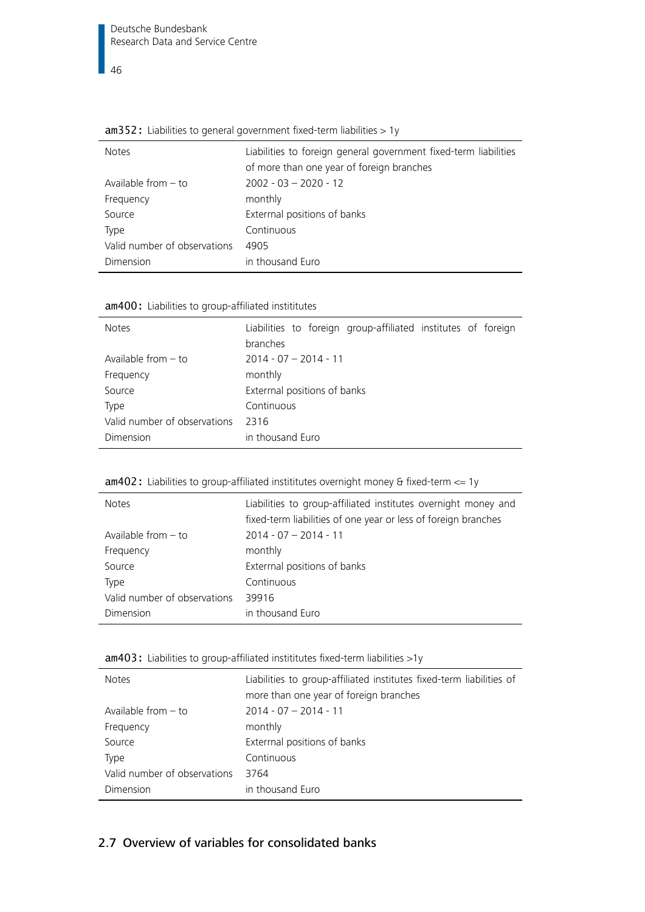| <b>Notes</b>                 | Liabilities to foreign general government fixed-term liabilities<br>of more than one year of foreign branches |
|------------------------------|---------------------------------------------------------------------------------------------------------------|
| Available from $-$ to        | $2002 - 03 - 2020 - 12$                                                                                       |
| Frequency                    | monthly                                                                                                       |
| Source                       | Extermal positions of banks                                                                                   |
| Type                         | Continuous                                                                                                    |
| Valid number of observations | 4905                                                                                                          |
| Dimension                    | in thousand Euro                                                                                              |

<span id="page-45-2"></span>

|  | $am352$ : Liabilities to general government fixed-term liabilities $> 1y$ |  |
|--|---------------------------------------------------------------------------|--|
|--|---------------------------------------------------------------------------|--|

<span id="page-45-1"></span>

|  |  | am400: Liabilities to group-affiliated instititutes |  |
|--|--|-----------------------------------------------------|--|
|  |  |                                                     |  |

| <b>Notes</b>                 | Liabilities to foreign group-affiliated institutes of foreign |
|------------------------------|---------------------------------------------------------------|
|                              | branches                                                      |
| Available from $-$ to        | $2014 - 07 - 2014 - 11$                                       |
| Frequency                    | monthly                                                       |
| Source                       | Exterrnal positions of banks                                  |
| <b>Type</b>                  | Continuous                                                    |
| Valid number of observations | 2316                                                          |
| Dimension                    | in thousand Euro                                              |

<span id="page-45-3"></span>

| <b>Notes</b>                 | Liabilities to group-affiliated institutes overnight money and<br>fixed-term liabilities of one year or less of foreign branches |
|------------------------------|----------------------------------------------------------------------------------------------------------------------------------|
| Available from $-$ to        | $2014 - 07 - 2014 - 11$                                                                                                          |
| Frequency                    | monthly                                                                                                                          |
| Source                       | Exterrnal positions of banks                                                                                                     |
| Type                         | Continuous                                                                                                                       |
| Valid number of observations | 39916                                                                                                                            |
| Dimension                    | in thousand Euro                                                                                                                 |

<span id="page-45-4"></span>

|  |  | $am403$ : Liabilities to group-affiliated instititutes fixed-term liabilities >1y |  |
|--|--|-----------------------------------------------------------------------------------|--|
|  |  |                                                                                   |  |

| <b>Notes</b>                 | Liabilities to group-affiliated institutes fixed-term liabilities of<br>more than one year of foreign branches |
|------------------------------|----------------------------------------------------------------------------------------------------------------|
| Available from $-$ to        | $2014 - 07 - 2014 - 11$                                                                                        |
| Frequency                    | monthly                                                                                                        |
| Source                       | Exterrnal positions of banks                                                                                   |
| Type                         | Continuous                                                                                                     |
| Valid number of observations | 3764                                                                                                           |
| Dimension                    | in thousand Euro                                                                                               |

#### <span id="page-45-0"></span>2.7 Overview of variables for consolidated banks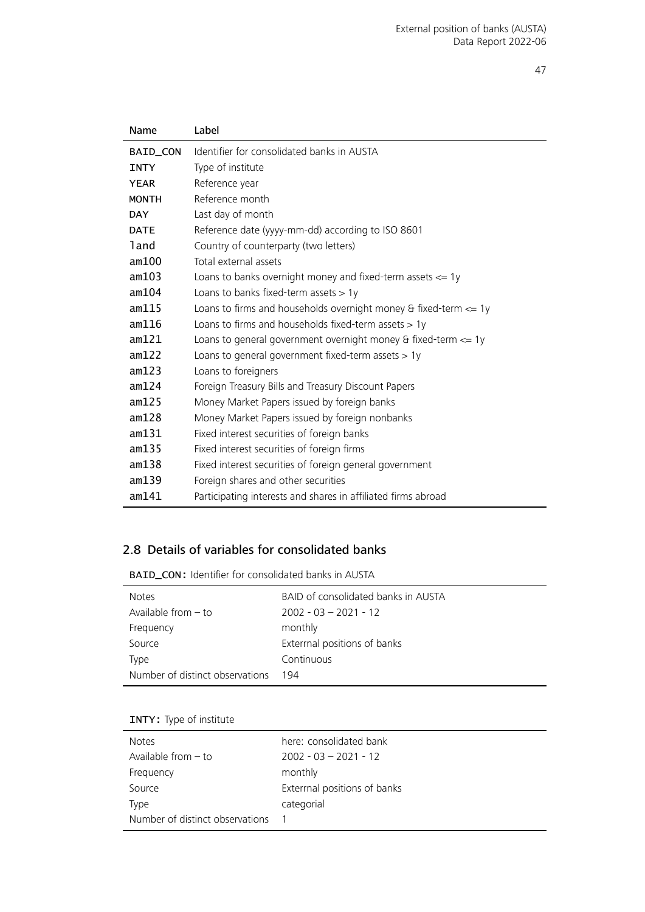| Name         | Label                                                                             |
|--------------|-----------------------------------------------------------------------------------|
| BAID_CON     | Identifier for consolidated banks in AUSTA                                        |
| <b>INTY</b>  | Type of institute                                                                 |
| <b>YEAR</b>  | Reference year                                                                    |
| <b>MONTH</b> | Reference month                                                                   |
| <b>DAY</b>   | Last day of month                                                                 |
| <b>DATE</b>  | Reference date (yyyy-mm-dd) according to ISO 8601                                 |
| land         | Country of counterparty (two letters)                                             |
| am100        | Total external assets                                                             |
| am103        | Loans to banks overnight money and fixed-term assets $\leq$ 1y                    |
| am104        | Loans to banks fixed-term assets $> 1y$                                           |
| am115        | Loans to firms and households overnight money $\theta$ fixed-term $\epsilon$ = 1y |
| am116        | Loans to firms and households fixed-term assets $> 1y$                            |
| am121        | Loans to general government overnight money $\theta$ fixed-term $\leq$ 1y         |
| am122        | Loans to general government fixed-term assets $> 1y$                              |
| am123        | Loans to foreigners                                                               |
| am124        | Foreign Treasury Bills and Treasury Discount Papers                               |
| am125        | Money Market Papers issued by foreign banks                                       |
| am128        | Money Market Papers issued by foreign nonbanks                                    |
| am131        | Fixed interest securities of foreign banks                                        |
| am135        | Fixed interest securities of foreign firms                                        |
| am138        | Fixed interest securities of foreign general government                           |
| am139        | Foreign shares and other securities                                               |
| am141        | Participating interests and shares in affiliated firms abroad                     |
|              |                                                                                   |

#### <span id="page-46-0"></span>2.8 Details of variables for consolidated banks

<span id="page-46-2"></span>BAID\_CON: Identifier for consolidated banks in AUSTA

| <b>Notes</b>                    | BAID of consolidated banks in AUSTA |
|---------------------------------|-------------------------------------|
| Available from $-$ to           | $2002 - 03 - 2021 - 12$             |
| Frequency                       | monthly                             |
| Source                          | Extermal positions of banks         |
| Type                            | Continuous                          |
| Number of distinct observations | 194                                 |

<span id="page-46-1"></span>

|  |  | <b>INTY:</b> Type of institute |
|--|--|--------------------------------|
|--|--|--------------------------------|

| <b>Notes</b>                    | here: consolidated bank      |
|---------------------------------|------------------------------|
| Available from $-$ to           | $2002 - 03 - 2021 - 12$      |
| Frequency                       | monthly                      |
| Source                          | Exterrnal positions of banks |
| Type                            | categorial                   |
| Number of distinct observations |                              |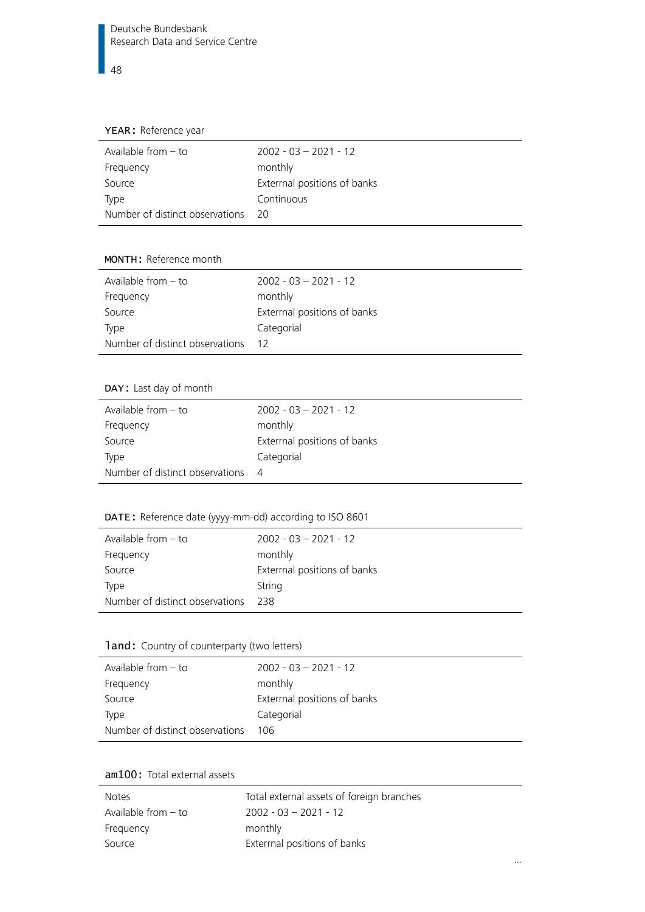#### <span id="page-47-0"></span>YEAR: Reference year

| Available from $-$ to           | $2002 - 03 - 2021 - 12$      |
|---------------------------------|------------------------------|
| Frequency                       | monthly                      |
| Source                          | Exterrnal positions of banks |
| Type                            | Continuous                   |
| Number of distinct observations | - 20                         |

#### <span id="page-47-1"></span>MONTH: Reference month

| Available from $-$ to           | $2002 - 03 - 2021 - 12$     |
|---------------------------------|-----------------------------|
| Frequency                       | monthly                     |
| Source                          | Extermal positions of banks |
| Type                            | Categorial                  |
| Number of distinct observations | - 12                        |

#### <span id="page-47-2"></span>DAY: Last day of month

| Available from $-$ to           | $2002 - 03 - 2021 - 12$      |
|---------------------------------|------------------------------|
| Frequency                       | monthly                      |
| Source                          | Exterrnal positions of banks |
| Type                            | Categorial                   |
| Number of distinct observations | - 4                          |
|                                 |                              |

#### <span id="page-47-3"></span>DATE: Reference date (yyyy-mm-dd) according to ISO 8601

| Available from $-$ to           | $2002 - 03 - 2021 - 12$      |
|---------------------------------|------------------------------|
| Frequency                       | monthly                      |
| Source                          | Exterrnal positions of banks |
| Type                            | String                       |
| Number of distinct observations | 238                          |

#### <span id="page-47-4"></span>1 and: Country of counterparty (two letters)

| Available from $-$ to           | $2002 - 03 - 2021 - 12$      |
|---------------------------------|------------------------------|
| Frequency                       | monthly                      |
| Source                          | Exterrnal positions of banks |
| Type                            | Categorial                   |
| Number of distinct observations | 106                          |

#### <span id="page-47-5"></span>am100: Total external assets

| Notes                 | Total external assets of foreign branches |
|-----------------------|-------------------------------------------|
| Available from $-$ to | $2002 - 03 - 2021 - 12$                   |
| Frequency             | monthly                                   |
| Source                | Extermal positions of banks               |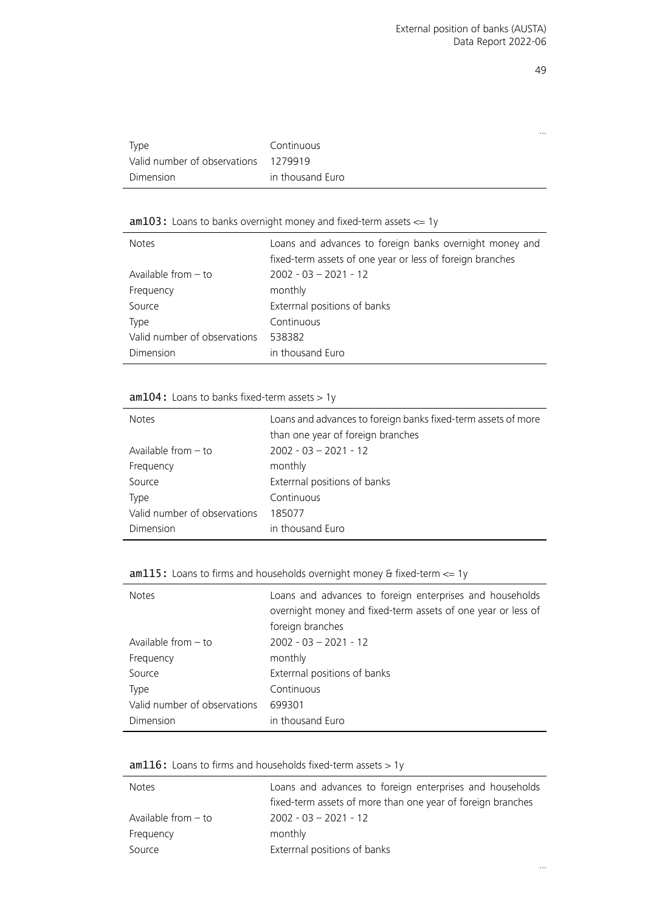…

|                              |                  | $\cdots$ |
|------------------------------|------------------|----------|
| Type                         | Continuous       |          |
| Valid number of observations | 1279919          |          |
| Dimension                    | in thousand Euro |          |

#### <span id="page-48-1"></span> $am103:$  Loans to banks overnight money and fixed-term assets  $\leq 1$ y

| <b>Notes</b>                 | Loans and advances to foreign banks overnight money and<br>fixed-term assets of one year or less of foreign branches |
|------------------------------|----------------------------------------------------------------------------------------------------------------------|
| Available from $-$ to        | $2002 - 03 - 2021 - 12$                                                                                              |
| Frequency                    | monthly                                                                                                              |
| Source                       | Exterrnal positions of banks                                                                                         |
| Type                         | Continuous                                                                                                           |
| Valid number of observations | 538382                                                                                                               |
| Dimension                    | in thousand Euro                                                                                                     |

<span id="page-48-0"></span> $am104$ : Loans to banks fixed-term assets > 1y

| <b>Notes</b>                 | Loans and advances to foreign banks fixed-term assets of more<br>than one year of foreign branches |
|------------------------------|----------------------------------------------------------------------------------------------------|
| Available from $-$ to        | $2002 - 03 - 2021 - 12$                                                                            |
| Frequency                    | monthly                                                                                            |
| Source                       | Exterrnal positions of banks                                                                       |
| Type                         | Continuous                                                                                         |
| Valid number of observations | 185077                                                                                             |
| Dimension                    | in thousand Euro                                                                                   |

#### <span id="page-48-2"></span>am115: Loans to firms and households overnight money & fixed-term <= 1y

| <b>Notes</b>                 | Loans and advances to foreign enterprises and households<br>overnight money and fixed-term assets of one year or less of<br>foreign branches |
|------------------------------|----------------------------------------------------------------------------------------------------------------------------------------------|
| Available from $-$ to        | $2002 - 03 - 2021 - 12$                                                                                                                      |
| Frequency                    | monthly                                                                                                                                      |
| Source                       | Exterrnal positions of banks                                                                                                                 |
| Type                         | Continuous                                                                                                                                   |
| Valid number of observations | 699301                                                                                                                                       |
| Dimension                    | in thousand Euro                                                                                                                             |

<span id="page-48-3"></span> $am116:$  Loans to firms and households fixed-term assets  $> 1y$ 

| <b>Notes</b>          | Loans and advances to foreign enterprises and households    |
|-----------------------|-------------------------------------------------------------|
|                       | fixed-term assets of more than one year of foreign branches |
| Available from $-$ to | $2002 - 03 - 2021 - 12$                                     |
| Frequency             | monthly                                                     |
| Source                | Extermal positions of banks                                 |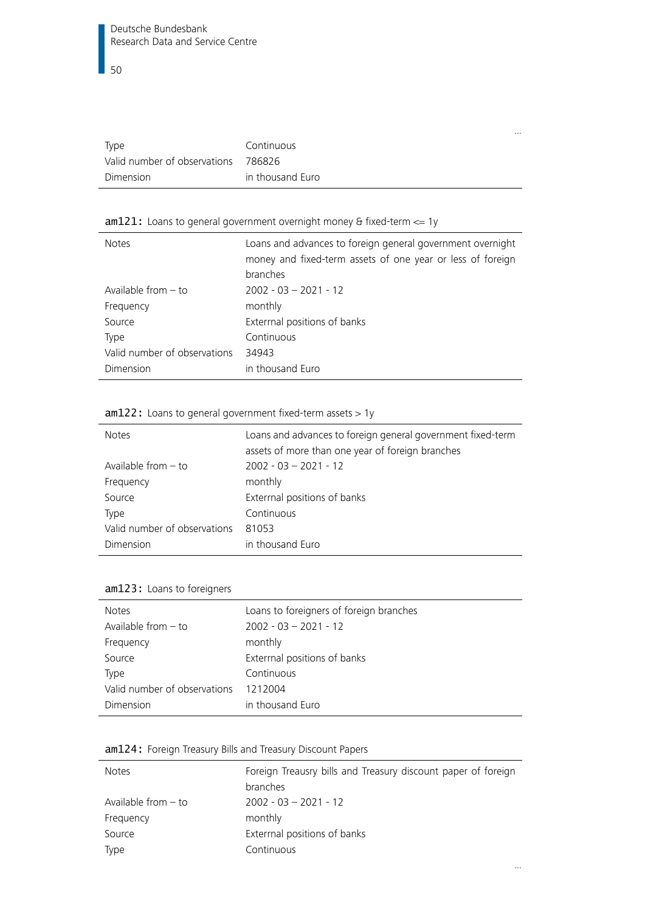| Type                                | Continuous       |
|-------------------------------------|------------------|
| Valid number of observations 786826 |                  |
| Dimension                           | in thousand Euro |

…

…

#### <span id="page-49-2"></span>am121: Loans to general government overnight money & fixed-term <= 1y

| <b>Notes</b>                 | Loans and advances to foreign general government overnight<br>money and fixed-term assets of one year or less of foreign<br>branches |
|------------------------------|--------------------------------------------------------------------------------------------------------------------------------------|
| Available from $-$ to        | $2002 - 03 - 2021 - 12$                                                                                                              |
| Frequency                    | monthly                                                                                                                              |
| Source                       | Exterrnal positions of banks                                                                                                         |
| Type                         | Continuous                                                                                                                           |
| Valid number of observations | 34943                                                                                                                                |
| Dimension                    | in thousand Euro                                                                                                                     |

#### <span id="page-49-3"></span>am122: Loans to general government fixed-term assets > 1y

| <b>Notes</b>                 | Loans and advances to foreign general government fixed-term<br>assets of more than one year of foreign branches |
|------------------------------|-----------------------------------------------------------------------------------------------------------------|
| Available from - to          | $2002 - 03 - 2021 - 12$                                                                                         |
| Frequency                    | monthly                                                                                                         |
| Source                       | Exterrnal positions of banks                                                                                    |
| Type                         | Continuous                                                                                                      |
| Valid number of observations | 81053                                                                                                           |
| Dimension                    | in thousand Euro                                                                                                |

#### <span id="page-49-0"></span>am123: Loans to foreigners

| <b>Notes</b>                 | Loans to foreigners of foreign branches |
|------------------------------|-----------------------------------------|
| Available from $-$ to        | $2002 - 03 - 2021 - 12$                 |
| Frequency                    | monthly                                 |
| Source                       | Extermal positions of banks             |
| Type                         | Continuous                              |
| Valid number of observations | 1212004                                 |
| Dimension                    | in thousand Euro                        |

#### <span id="page-49-1"></span>am124: Foreign Treasury Bills and Treasury Discount Papers

| <b>Notes</b>          | Foreign Treausry bills and Treasury discount paper of foreign |  |
|-----------------------|---------------------------------------------------------------|--|
|                       | branches                                                      |  |
| Available from $-$ to | $2002 - 03 - 2021 - 12$                                       |  |
| Frequency             | monthly                                                       |  |
| Source                | Extermal positions of banks                                   |  |
| Type                  | Continuous                                                    |  |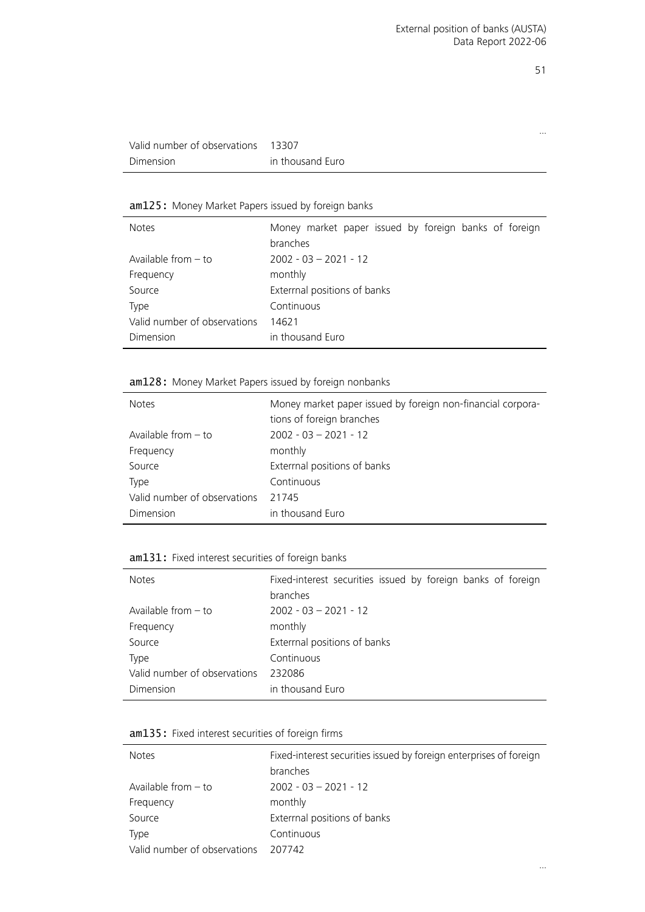…

| Valid number of observations 13307 |                  |
|------------------------------------|------------------|
| Dimension                          | in thousand Euro |

## <span id="page-50-0"></span>am125: Money Market Papers issued by foreign banks

| <b>Notes</b>                 | Money market paper issued by foreign banks of foreign |
|------------------------------|-------------------------------------------------------|
|                              | branches                                              |
| Available from $-$ to        | $2002 - 03 - 2021 - 12$                               |
| Frequency                    | monthly                                               |
| Source                       | Exterrnal positions of banks                          |
| Type                         | Continuous                                            |
| Valid number of observations | 14621                                                 |
| Dimension                    | in thousand Euro                                      |

#### <span id="page-50-1"></span>am128: Money Market Papers issued by foreign nonbanks

| <b>Notes</b>                 | Money market paper issued by foreign non-financial corpora- |  |
|------------------------------|-------------------------------------------------------------|--|
|                              | tions of foreign branches                                   |  |
| Available from $-$ to        | $2002 - 03 - 2021 - 12$                                     |  |
| Frequency                    | monthly                                                     |  |
| Source                       | Exterrnal positions of banks                                |  |
| Type                         | Continuous                                                  |  |
| Valid number of observations | 21745                                                       |  |
| Dimension                    | in thousand Euro                                            |  |

#### <span id="page-50-2"></span>am131: Fixed interest securities of foreign banks

| <b>Notes</b>                 | Fixed-interest securities issued by foreign banks of foreign<br>branches |
|------------------------------|--------------------------------------------------------------------------|
| Available from $-$ to        | $2002 - 03 - 2021 - 12$                                                  |
| Frequency                    | monthly                                                                  |
| Source                       | Exterrnal positions of banks                                             |
| <b>Type</b>                  | Continuous                                                               |
| Valid number of observations | 232086                                                                   |
| Dimension                    | in thousand Euro                                                         |

<span id="page-50-3"></span>

| am135: Fixed interest securities of foreign firms |  |  |  |  |  |  |
|---------------------------------------------------|--|--|--|--|--|--|
|---------------------------------------------------|--|--|--|--|--|--|

| <b>Notes</b>                 | Fixed-interest securities issued by foreign enterprises of foreign<br>branches |
|------------------------------|--------------------------------------------------------------------------------|
| Available from $-$ to        | $2002 - 03 - 2021 - 12$                                                        |
| Frequency                    | monthly                                                                        |
| Source                       | Extermal positions of banks                                                    |
| Type                         | Continuous                                                                     |
| Valid number of observations | 207742                                                                         |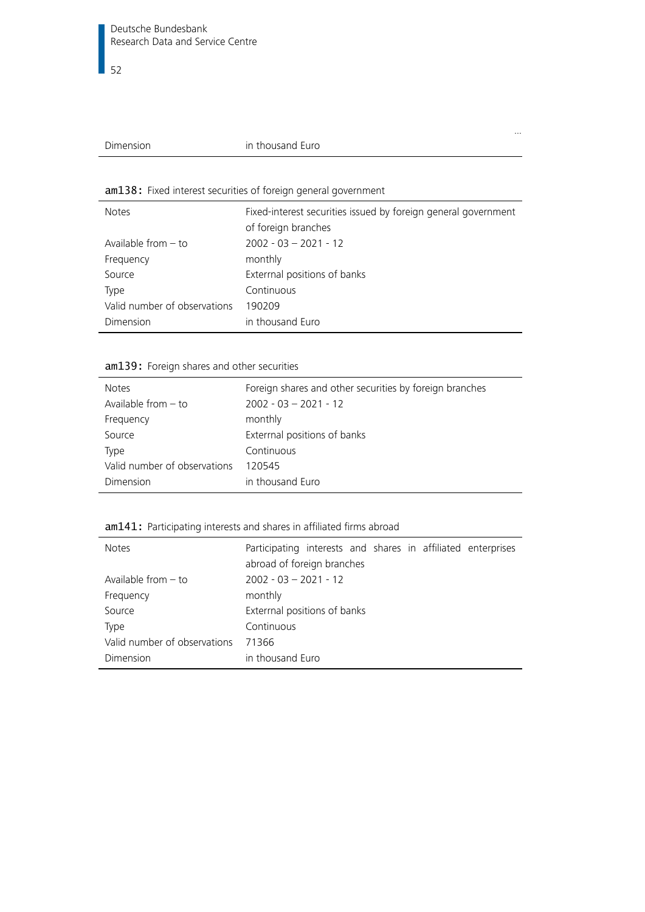| Dimension |
|-----------|
|           |
|           |

#### in thousand Euro

#### <span id="page-51-3"></span>am138: Fixed interest securities of foreign general government

| <b>Notes</b>                 | Fixed-interest securities issued by foreign general government<br>of foreign branches |
|------------------------------|---------------------------------------------------------------------------------------|
| Available from $-$ to        | $2002 - 03 - 2021 - 12$                                                               |
| Frequency                    | monthly                                                                               |
| Source                       | Exterrnal positions of banks                                                          |
| Type                         | Continuous                                                                            |
| Valid number of observations | 190209                                                                                |
| Dimension                    | in thousand Euro                                                                      |

…

#### <span id="page-51-1"></span>am139: Foreign shares and other securities

| <b>Notes</b>                 | Foreign shares and other securities by foreign branches |
|------------------------------|---------------------------------------------------------|
| Available from $-$ to        | $2002 - 03 - 2021 - 12$                                 |
| Frequency                    | monthly                                                 |
| Source                       | Extermal positions of banks                             |
| Type                         | Continuous                                              |
| Valid number of observations | 120545                                                  |
| Dimension                    | in thousand Euro                                        |

#### <span id="page-51-2"></span>am141: Participating interests and shares in affiliated firms abroad

<span id="page-51-0"></span>

| <b>Notes</b>                 | Participating interests and shares in affiliated enterprises |  |  |  |  |
|------------------------------|--------------------------------------------------------------|--|--|--|--|
|                              | abroad of foreign branches                                   |  |  |  |  |
| Available from $-$ to        | $2002 - 03 - 2021 - 12$                                      |  |  |  |  |
| Frequency                    | monthly                                                      |  |  |  |  |
| Source                       | Exterrnal positions of banks                                 |  |  |  |  |
| <b>Type</b>                  | Continuous                                                   |  |  |  |  |
| Valid number of observations | 71366                                                        |  |  |  |  |
| Dimension                    | in thousand Euro                                             |  |  |  |  |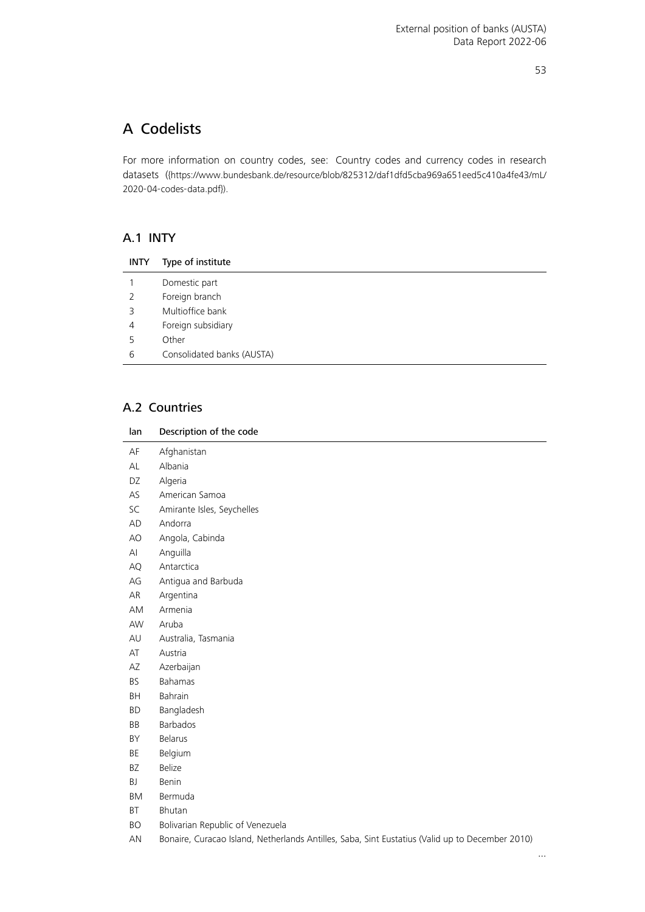## A Codelists

For more information on country codes, see: Country codes and currency codes in research datasets ([{https://www.bundesbank.de/resource/blob/825312/daf1dfd5cba969a651eed5c410a4fe43/mL/](https://www.bundesbank.de/resource/blob/825312/daf1dfd5cba969a651eed5c410a4fe43/mL/2020-04-codes-data.pdf) [2020-04-codes-data.pdf}](https://www.bundesbank.de/resource/blob/825312/daf1dfd5cba969a651eed5c410a4fe43/mL/2020-04-codes-data.pdf)).

#### <span id="page-52-0"></span>A.1 INTY

| <b>INTY</b> | Type of institute          |
|-------------|----------------------------|
|             | Domestic part              |
| 2           | Foreign branch             |
| 3           | Multioffice bank           |
| 4           | Foreign subsidiary         |
| 5           | Other                      |
| 6           | Consolidated banks (AUSTA) |

#### <span id="page-52-1"></span>A.2 Countries

| lan       | Description of the code                                                                         |
|-----------|-------------------------------------------------------------------------------------------------|
| AF        | Afghanistan                                                                                     |
| AL        | Albania                                                                                         |
| DZ        | Algeria                                                                                         |
| AS        | American Samoa                                                                                  |
| SC        | Amirante Isles, Seychelles                                                                      |
| AD        | Andorra                                                                                         |
| AO        | Angola, Cabinda                                                                                 |
| AI        | Anguilla                                                                                        |
| AQ        | Antarctica                                                                                      |
| AG        | Antigua and Barbuda                                                                             |
| AR        | Argentina                                                                                       |
| AM        | Armenia                                                                                         |
| AW        | Aruba                                                                                           |
| AU        | Australia, Tasmania                                                                             |
| AT        | Austria                                                                                         |
| ΑZ        | Azerbaijan                                                                                      |
| <b>BS</b> | <b>Bahamas</b>                                                                                  |
| BH        | Bahrain                                                                                         |
| BD        | Bangladesh                                                                                      |
| BB        | Barbados                                                                                        |
| BY        | <b>Belarus</b>                                                                                  |
| BE        | Belgium                                                                                         |
| <b>BZ</b> | Belize                                                                                          |
| BJ        | Benin                                                                                           |
| BM        | Bermuda                                                                                         |
| BT        | Bhutan                                                                                          |
| <b>BO</b> | Bolivarian Republic of Venezuela                                                                |
| AN        | Bonaire, Curacao Island, Netherlands Antilles, Saba, Sint Eustatius (Valid up to December 2010) |

…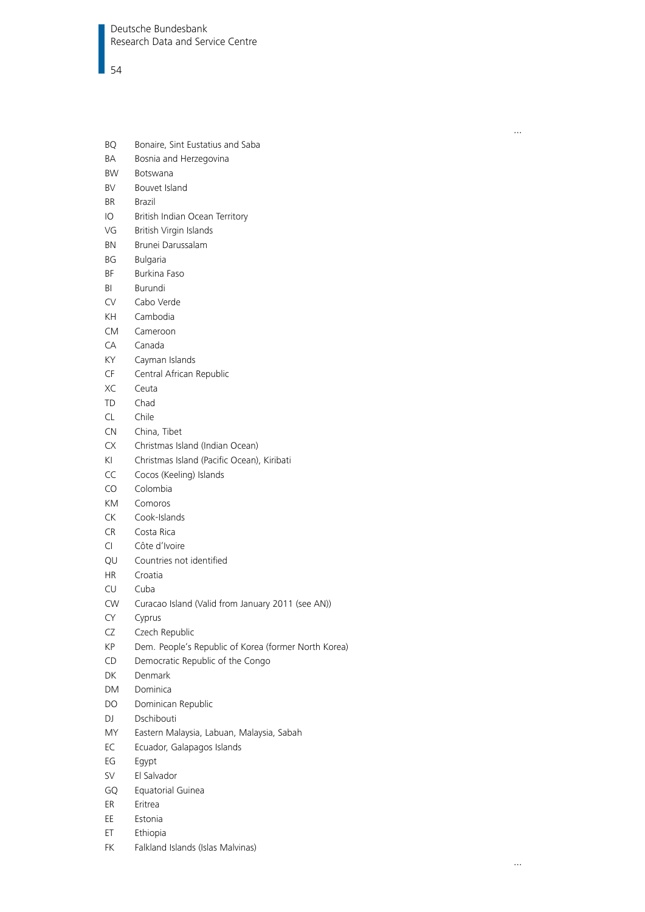- BQ Bonaire, Sint Eustatius and Saba
- BA Bosnia and Herzegovina
- BW Botswana
- BV Bouvet Island
- BR Brazil
- IO British Indian Ocean Territory
- VG British Virgin Islands
- BN Brunei Darussalam
- BG Bulgaria
- BF Burkina Faso
- BI Burundi
- CV Cabo Verde
- KH Cambodia
- CM Cameroon
- CA Canada
- KY Cayman Islands
- CF Central African Republic
- XC Ceuta
- TD Chad
- CL Chile
- CN China, Tibet
- CX Christmas Island (Indian Ocean)
- KI Christmas Island (Pacific Ocean), Kiribati
- CC Cocos (Keeling) Islands
- CO Colombia
- KM Comoros
- CK Cook-Islands
- CR Costa Rica
- CI Côte d'Ivoire
- QU Countries not identified
- HR Croatia
- CU Cuba
- CW Curacao Island (Valid from January 2011 (see AN))
- CY Cyprus
- CZ Czech Republic
- KP Dem. People's Republic of Korea (former North Korea)
- CD Democratic Republic of the Congo
- DK Denmark
- DM Dominica
- DO Dominican Republic
- DJ Dschibouti
- MY Eastern Malaysia, Labuan, Malaysia, Sabah
- EC Ecuador, Galapagos Islands
- EG Egypt
- SV El Salvador
- GQ Equatorial Guinea
- ER Eritrea
- EE Estonia
- ET Ethiopia
- FK Falkland Islands (Islas Malvinas)

…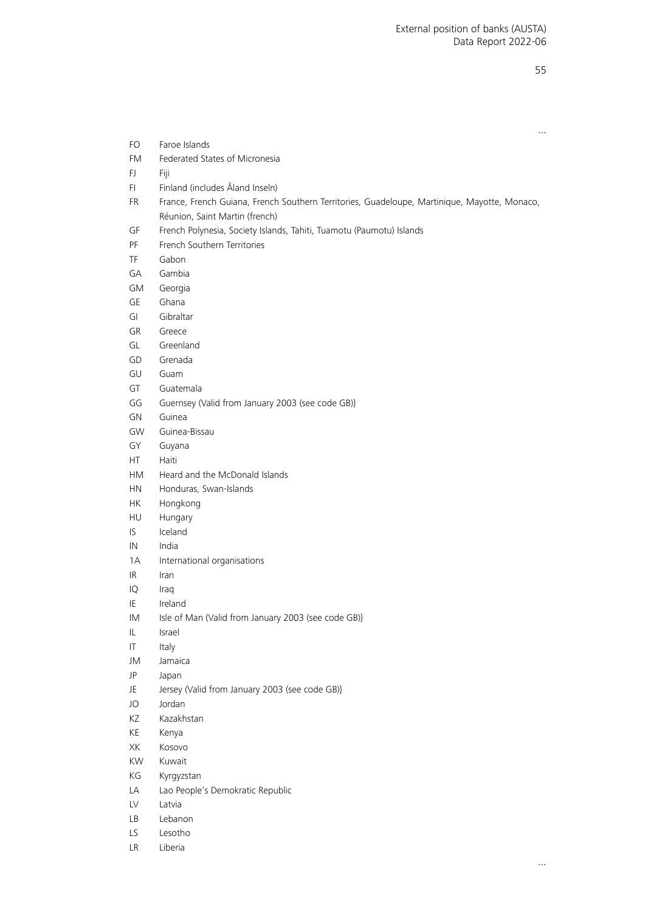|           | $\cdots$                                                                                     |
|-----------|----------------------------------------------------------------------------------------------|
| FO.       | Faroe Islands                                                                                |
| <b>FM</b> | Federated States of Micronesia                                                               |
| FJ.       | Fiji                                                                                         |
| FI.       | Finland (includes Åland Inseln)                                                              |
| <b>FR</b> | France, French Guiana, French Southern Territories, Guadeloupe, Martinique, Mayotte, Monaco, |
|           | Réunion, Saint Martin (french)                                                               |
| GF        | French Polynesia, Society Islands, Tahiti, Tuamotu (Paumotu) Islands                         |
| PF        | French Southern Territories                                                                  |
| TF        | Gabon                                                                                        |
| GA        | Gambia                                                                                       |
| GM        | Georgia                                                                                      |
| GE        | Ghana                                                                                        |
| GI        | Gibraltar                                                                                    |
| GR        | Greece                                                                                       |
| GL        | Greenland                                                                                    |
| GD        | Grenada                                                                                      |
| GU        | Guam                                                                                         |
| GT        | Guatemala                                                                                    |
| GG        | Guernsey (Valid from January 2003 (see code GB)}                                             |
| GN        | Guinea                                                                                       |
| GW        | Guinea-Bissau                                                                                |
| GY        | Guyana                                                                                       |
| HT.       | Haiti                                                                                        |
| <b>HM</b> | Heard and the McDonald Islands                                                               |
| <b>HN</b> | Honduras, Swan-Islands                                                                       |
| <b>HK</b> | Hongkong                                                                                     |
| HU        | Hungary                                                                                      |
| IS        | Iceland                                                                                      |
| IN        | India                                                                                        |
| 1A        | International organisations                                                                  |
| IR.       | Iran                                                                                         |
| IQ        | Iraq                                                                                         |
| ΙE        | Ireland                                                                                      |
| IM        | Isle of Man (Valid from January 2003 (see code GB)}                                          |
| IL.       | Israel                                                                                       |
| IT        | Italy                                                                                        |
| JM        | Jamaica                                                                                      |
| JP        | Japan                                                                                        |
| JE        | Jersey (Valid from January 2003 (see code GB)}                                               |
| JO        | Jordan                                                                                       |
| ΚZ        | Kazakhstan                                                                                   |
| KE        | Kenya                                                                                        |
| XK        | Kosovo                                                                                       |
| KW        | Kuwait                                                                                       |
| KG        |                                                                                              |
|           | Kyrgyzstan                                                                                   |
| LA        | Lao People's Demokratic Republic<br>Latvia                                                   |
| LV        |                                                                                              |
| LB        | Lebanon                                                                                      |
| LS        | Lesotho                                                                                      |
| LR        | Liberia                                                                                      |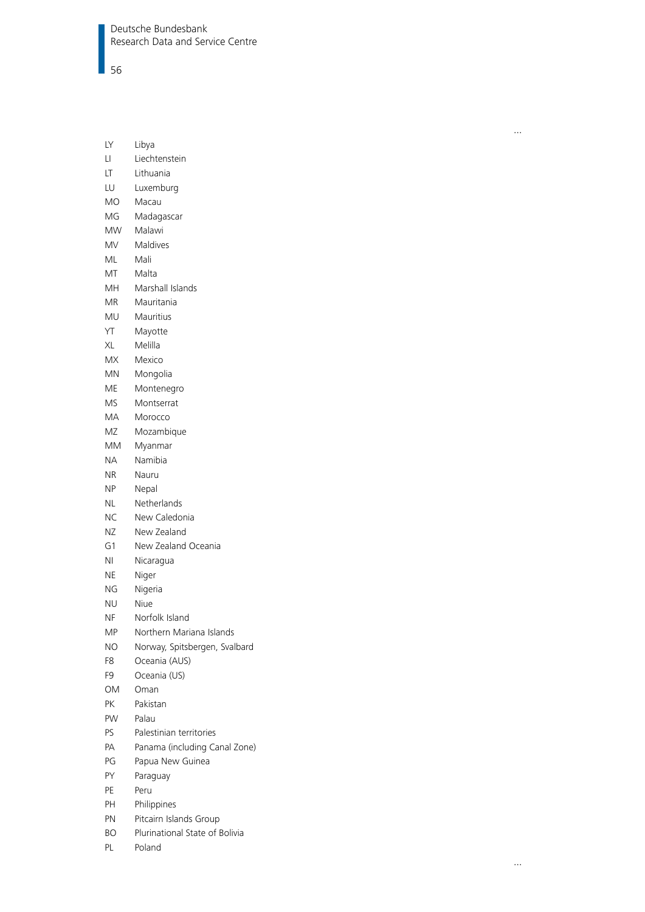Deutsche Bundesbank Research Data and Service Centre

56

| Northern Mariana Islands      |
|-------------------------------|
| Norway, Spitsbergen, Svalbard |
|                               |
|                               |
|                               |
|                               |
|                               |
|                               |
| Panama (including Canal Zone) |
|                               |
|                               |
|                               |
|                               |
|                               |
|                               |

- BO Plurinational State of Bolivia
- PL Poland

…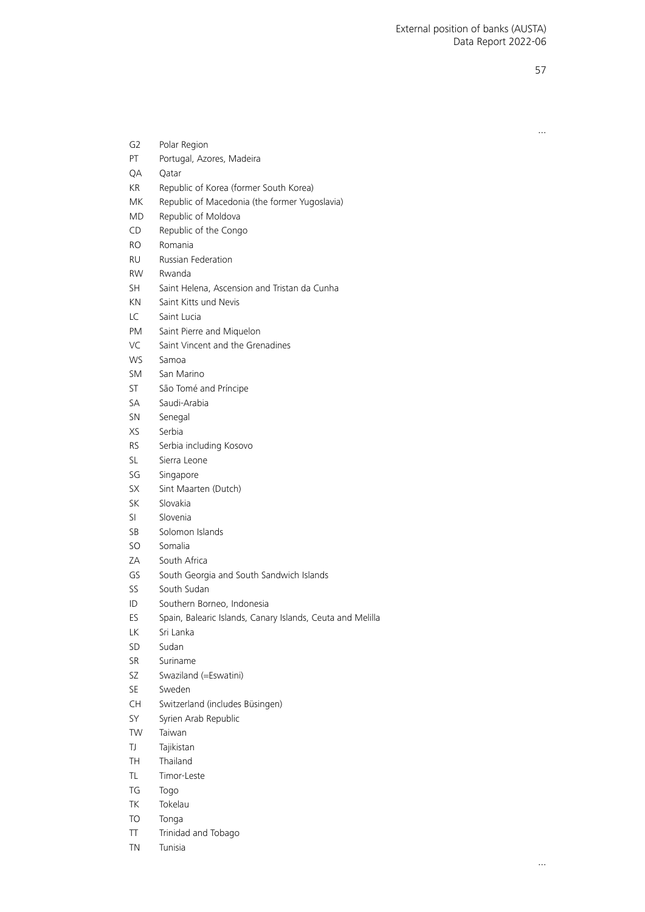…

| G2  | Polar Region                                               |
|-----|------------------------------------------------------------|
| PT  | Portugal, Azores, Madeira                                  |
| QA  | Qatar                                                      |
| ΚR  | Republic of Korea (former South Korea)                     |
| MK  | Republic of Macedonia (the former Yugoslavia)              |
| MD. | Republic of Moldova                                        |
| CD  | Republic of the Congo                                      |
| RO  | Romania                                                    |
| RU  | <b>Russian Federation</b>                                  |
| RW. | Rwanda                                                     |
| SН  | Saint Helena, Ascension and Tristan da Cunha               |
| ΚN  | Saint Kitts und Nevis                                      |
| LC  | Saint Lucia                                                |
| PM  | Saint Pierre and Miquelon                                  |
| VC  | Saint Vincent and the Grenadines                           |
| WS  | Samoa                                                      |
| SM  | San Marino                                                 |
| ST  | São Tomé and Príncipe                                      |
| SА  | Saudi-Arabia                                               |
| SΝ  | Senegal                                                    |
| XS  | Serbia                                                     |
| RS  | Serbia including Kosovo                                    |
| SL  | Sierra Leone                                               |
| SG  | Singapore                                                  |
| SΧ  | Sint Maarten (Dutch)                                       |
| SK  | Slovakia                                                   |
| SI  | Slovenia                                                   |
| SB  | Solomon Islands                                            |
| SO  | Somalia                                                    |
| ZΑ  | South Africa                                               |
| GS  | South Georgia and South Sandwich Islands                   |
| SS  | South Sudan                                                |
| ID  | Southern Borneo, Indonesia                                 |
| ES  | Spain, Balearic Islands, Canary Islands, Ceuta and Melilla |
| LΚ  | Sri Lanka                                                  |
| SD  | Sudan                                                      |
| SR  | Suriname                                                   |
| SZ  | Swaziland (=Eswatini)                                      |
| SE  | Sweden                                                     |
| CH  | Switzerland (includes Büsingen)                            |
| SY  | Syrien Arab Republic                                       |
| TW  | Taiwan                                                     |
| TJ  | Tajikistan                                                 |
| TН  | Thailand                                                   |
| TL  | Timor-Leste                                                |
| TG  | Togo                                                       |
| TΚ  | Tokelau                                                    |
| TO  | Tonga                                                      |
| Π   | Trinidad and Tobago                                        |
| ΤN  | Tunisia                                                    |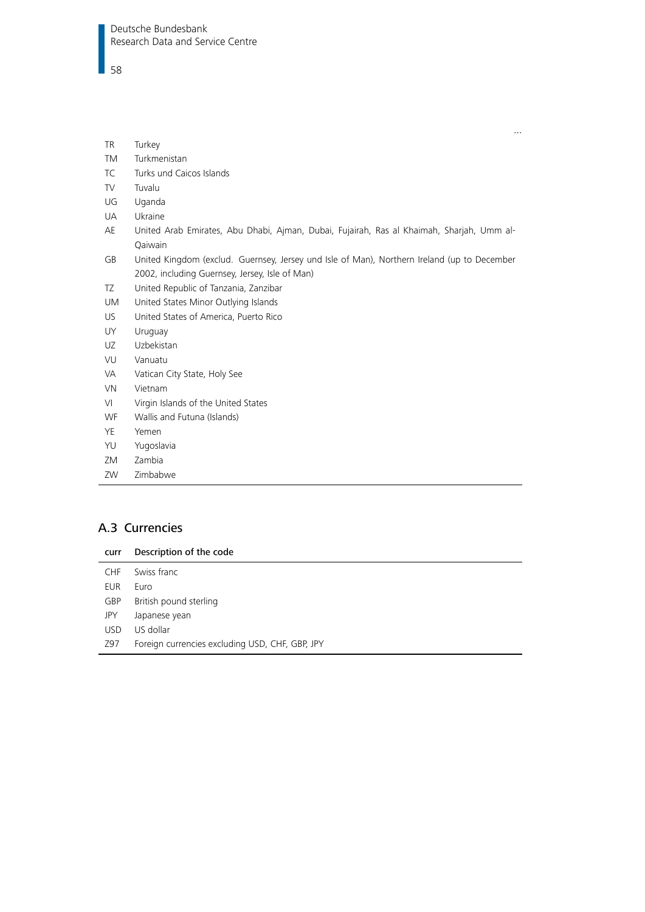#### $\overline{\phantom{1}}$  58

| <b>TR</b> | Turkey                                                                                      |
|-----------|---------------------------------------------------------------------------------------------|
| TM        | Turkmenistan                                                                                |
| <b>TC</b> | Turks und Caicos Islands                                                                    |
| TV        | Tuvalu                                                                                      |
| UG        | Uganda                                                                                      |
| UA        | Ukraine                                                                                     |
| AE        | United Arab Emirates, Abu Dhabi, Ajman, Dubai, Fujairah, Ras al Khaimah, Sharjah, Umm al-   |
|           | Qaiwain                                                                                     |
| GB        | United Kingdom (exclud. Guernsey, Jersey und Isle of Man), Northern Ireland (up to December |
|           | 2002, including Guernsey, Jersey, Isle of Man)                                              |
| TZ        | United Republic of Tanzania, Zanzibar                                                       |
| UM        | United States Minor Outlying Islands                                                        |
| US        | United States of America, Puerto Rico                                                       |
| UY        | Uruguay                                                                                     |
| UZ        | Uzbekistan                                                                                  |
| VU        | Vanuatu                                                                                     |
| VA        | Vatican City State, Holy See                                                                |
| <b>VN</b> | Vietnam                                                                                     |
| VI        | Virgin Islands of the United States                                                         |
| <b>WF</b> | Wallis and Futuna (Islands)                                                                 |
| <b>YE</b> | Yemen                                                                                       |
| YU        | Yugoslavia                                                                                  |
| ZM        | Zambia                                                                                      |
| ZW        | Zimbabwe                                                                                    |

 $\dots$ 

#### <span id="page-57-0"></span>A.3 Currencies

<span id="page-57-1"></span>

| curr       | Description of the code                         |
|------------|-------------------------------------------------|
| <b>CHF</b> | Swiss franc                                     |
| EUR        | Euro                                            |
| <b>GBP</b> | British pound sterling                          |
| JPY        | Japanese yean                                   |
| <b>USD</b> | US dollar                                       |
| Z97        | Foreign currencies excluding USD, CHF, GBP, JPY |
|            |                                                 |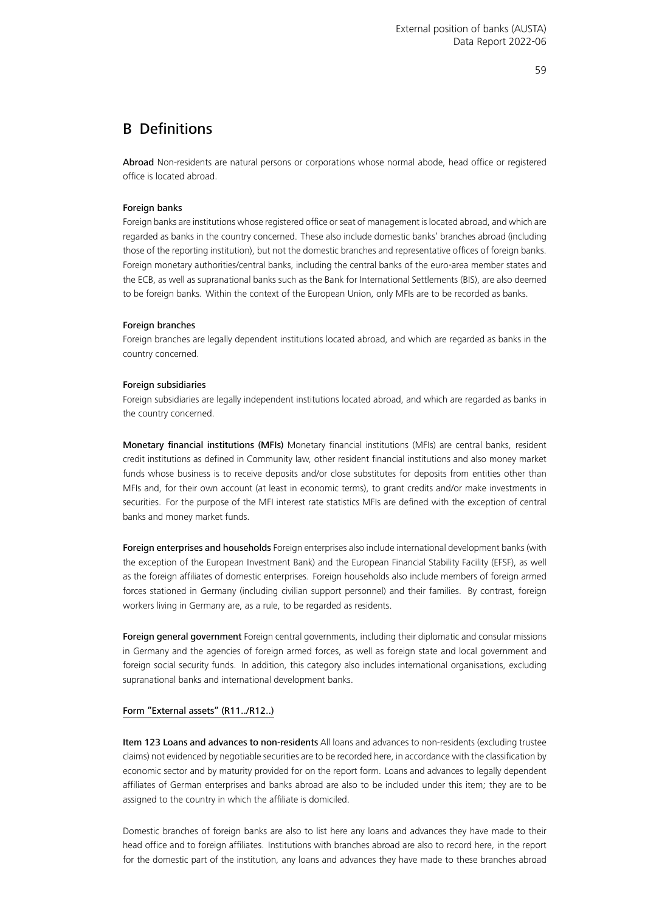#### B Definitions

Abroad Non-residents are natural persons or corporations whose normal abode, head office or registered office is located abroad.

#### Foreign banks

Foreign banks are institutions whose registered office or seat of management is located abroad, and which are regarded as banks in the country concerned. These also include domestic banks' branches abroad (including those of the reporting institution), but not the domestic branches and representative offices of foreign banks. Foreign monetary authorities/central banks, including the central banks of the euro-area member states and the ECB, as well as supranational banks such as the Bank for International Settlements (BIS), are also deemed to be foreign banks. Within the context of the European Union, only MFIs are to be recorded as banks.

#### Foreign branches

Foreign branches are legally dependent institutions located abroad, and which are regarded as banks in the country concerned.

#### Foreign subsidiaries

Foreign subsidiaries are legally independent institutions located abroad, and which are regarded as banks in the country concerned.

Monetary financial institutions (MFIs) Monetary financial institutions (MFIs) are central banks, resident credit institutions as defined in Community law, other resident financial institutions and also money market funds whose business is to receive deposits and/or close substitutes for deposits from entities other than MFIs and, for their own account (at least in economic terms), to grant credits and/or make investments in securities. For the purpose of the MFI interest rate statistics MFIs are defined with the exception of central banks and money market funds.

Foreign enterprises and households Foreign enterprises also include international development banks (with the exception of the European Investment Bank) and the European Financial Stability Facility (EFSF), as well as the foreign affiliates of domestic enterprises. Foreign households also include members of foreign armed forces stationed in Germany (including civilian support personnel) and their families. By contrast, foreign workers living in Germany are, as a rule, to be regarded as residents.

Foreign general government Foreign central governments, including their diplomatic and consular missions in Germany and the agencies of foreign armed forces, as well as foreign state and local government and foreign social security funds. In addition, this category also includes international organisations, excluding supranational banks and international development banks.

#### Form "External assets" (R11../R12..)

Item 123 Loans and advances to non-residents All loans and advances to non-residents (excluding trustee claims) not evidenced by negotiable securities are to be recorded here, in accordance with the classification by economic sector and by maturity provided for on the report form. Loans and advances to legally dependent affiliates of German enterprises and banks abroad are also to be included under this item; they are to be assigned to the country in which the affiliate is domiciled.

Domestic branches of foreign banks are also to list here any loans and advances they have made to their head office and to foreign affiliates. Institutions with branches abroad are also to record here, in the report for the domestic part of the institution, any loans and advances they have made to these branches abroad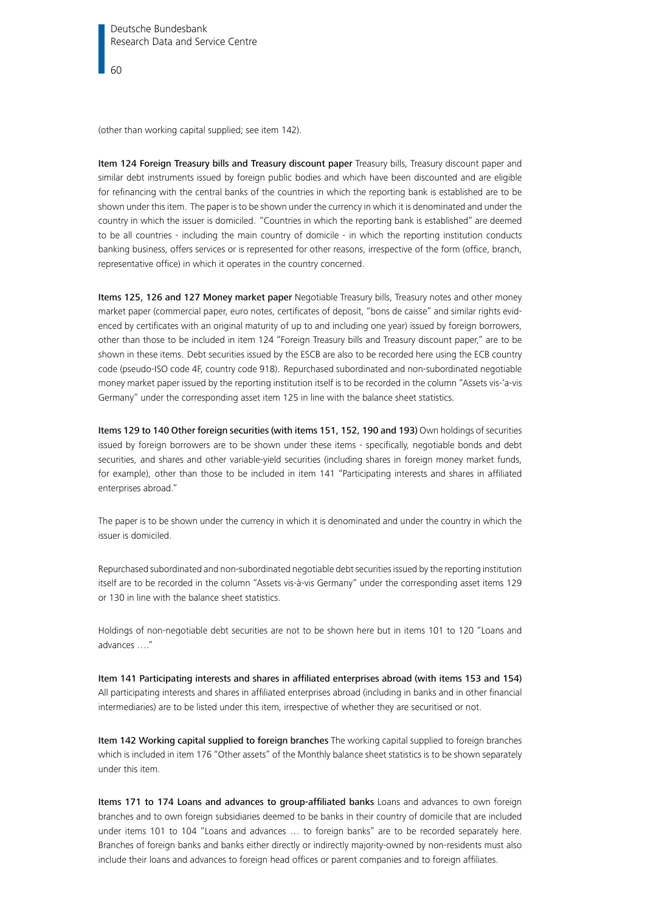(other than working capital supplied; see item 142).

Item 124 Foreign Treasury bills and Treasury discount paper Treasury bills, Treasury discount paper and similar debt instruments issued by foreign public bodies and which have been discounted and are eligible for refinancing with the central banks of the countries in which the reporting bank is established are to be shown under this item. The paper is to be shown under the currency in which it is denominated and under the country in which the issuer is domiciled. "Countries in which the reporting bank is established" are deemed to be all countries - including the main country of domicile - in which the reporting institution conducts banking business, offers services or is represented for other reasons, irrespective of the form (office, branch, representative office) in which it operates in the country concerned.

Items 125, 126 and 127 Money market paper Negotiable Treasury bills, Treasury notes and other money market paper (commercial paper, euro notes, certificates of deposit, "bons de caisse" and similar rights evidenced by certificates with an original maturity of up to and including one year) issued by foreign borrowers, other than those to be included in item 124 "Foreign Treasury bills and Treasury discount paper," are to be shown in these items. Debt securities issued by the ESCB are also to be recorded here using the ECB country code (pseudo-ISO code 4F, country code 918). Repurchased subordinated and non-subordinated negotiable money market paper issued by the reporting institution itself is to be recorded in the column "Assets vis-'a-vis Germany" under the corresponding asset item 125 in line with the balance sheet statistics.

Items 129 to 140 Other foreign securities (with items 151, 152, 190 and 193) Own holdings of securities issued by foreign borrowers are to be shown under these items - specifically, negotiable bonds and debt securities, and shares and other variable-yield securities (including shares in foreign money market funds, for example), other than those to be included in item 141 "Participating interests and shares in affiliated enterprises abroad."

The paper is to be shown under the currency in which it is denominated and under the country in which the issuer is domiciled.

Repurchased subordinated and non-subordinated negotiable debt securities issued by the reporting institution itself are to be recorded in the column "Assets vis-à-vis Germany" under the corresponding asset items 129 or 130 in line with the balance sheet statistics.

Holdings of non-negotiable debt securities are not to be shown here but in items 101 to 120 "Loans and advances …."

Item 141 Participating interests and shares in affiliated enterprises abroad (with items 153 and 154) All participating interests and shares in affiliated enterprises abroad (including in banks and in other financial intermediaries) are to be listed under this item, irrespective of whether they are securitised or not.

Item 142 Working capital supplied to foreign branches The working capital supplied to foreign branches which is included in item 176 "Other assets" of the Monthly balance sheet statistics is to be shown separately under this item.

Items 171 to 174 Loans and advances to group-affiliated banks Loans and advances to own foreign branches and to own foreign subsidiaries deemed to be banks in their country of domicile that are included under items 101 to 104 "Loans and advances … to foreign banks" are to be recorded separately here. Branches of foreign banks and banks either directly or indirectly majority-owned by non-residents must also include their loans and advances to foreign head offices or parent companies and to foreign affiliates.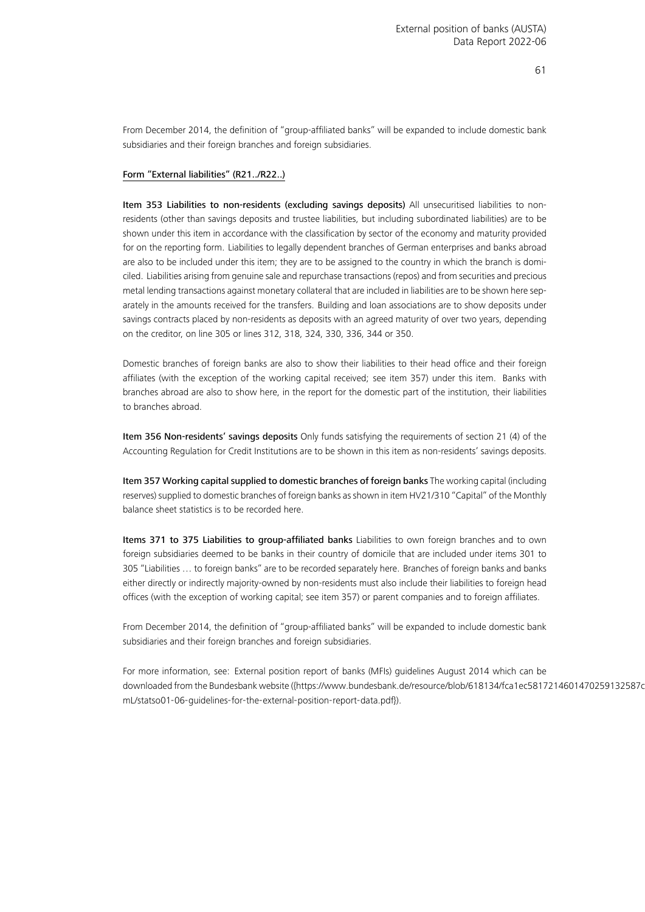From December 2014, the definition of "group-affiliated banks" will be expanded to include domestic bank subsidiaries and their foreign branches and foreign subsidiaries.

#### Form "External liabilities" (R21../R22..)

Item 353 Liabilities to non-residents (excluding savings deposits) All unsecuritised liabilities to nonresidents (other than savings deposits and trustee liabilities, but including subordinated liabilities) are to be shown under this item in accordance with the classification by sector of the economy and maturity provided for on the reporting form. Liabilities to legally dependent branches of German enterprises and banks abroad are also to be included under this item; they are to be assigned to the country in which the branch is domiciled. Liabilities arising from genuine sale and repurchase transactions (repos) and from securities and precious metal lending transactions against monetary collateral that are included in liabilities are to be shown here separately in the amounts received for the transfers. Building and loan associations are to show deposits under savings contracts placed by non-residents as deposits with an agreed maturity of over two years, depending on the creditor, on line 305 or lines 312, 318, 324, 330, 336, 344 or 350.

Domestic branches of foreign banks are also to show their liabilities to their head office and their foreign affiliates (with the exception of the working capital received; see item 357) under this item. Banks with branches abroad are also to show here, in the report for the domestic part of the institution, their liabilities to branches abroad.

Item 356 Non-residents' savings deposits Only funds satisfying the requirements of section 21 (4) of the Accounting Regulation for Credit Institutions are to be shown in this item as non-residents' savings deposits.

Item 357 Working capital supplied to domestic branches of foreign banks The working capital (including reserves) supplied to domestic branches of foreign banks as shown in item HV21/310 "Capital" of the Monthly balance sheet statistics is to be recorded here.

Items 371 to 375 Liabilities to group-affiliated banks Liabilities to own foreign branches and to own foreign subsidiaries deemed to be banks in their country of domicile that are included under items 301 to 305 "Liabilities … to foreign banks" are to be recorded separately here. Branches of foreign banks and banks either directly or indirectly majority-owned by non-residents must also include their liabilities to foreign head offices (with the exception of working capital; see item 357) or parent companies and to foreign affiliates.

From December 2014, the definition of "group-affiliated banks" will be expanded to include domestic bank subsidiaries and their foreign branches and foreign subsidiaries.

<span id="page-60-0"></span>For more information, see: External position report of banks (MFIs) guidelines August 2014 which can be downloadedfrom the Bundesbank website ([{https://www.bundesbank.de/resource/blob/618134/fca1ec5817](https://www.bundesbank.de/resource/blob/618134/fca1ec5817214601470259132587c395/mL/statso01-06-guidelines-for-the-external-position-report-data.pdf)214601470259132587c [mL/statso01-06-guidelines-for-the-external-position-report-data.pdf}](https://www.bundesbank.de/resource/blob/618134/fca1ec5817214601470259132587c395/mL/statso01-06-guidelines-for-the-external-position-report-data.pdf)).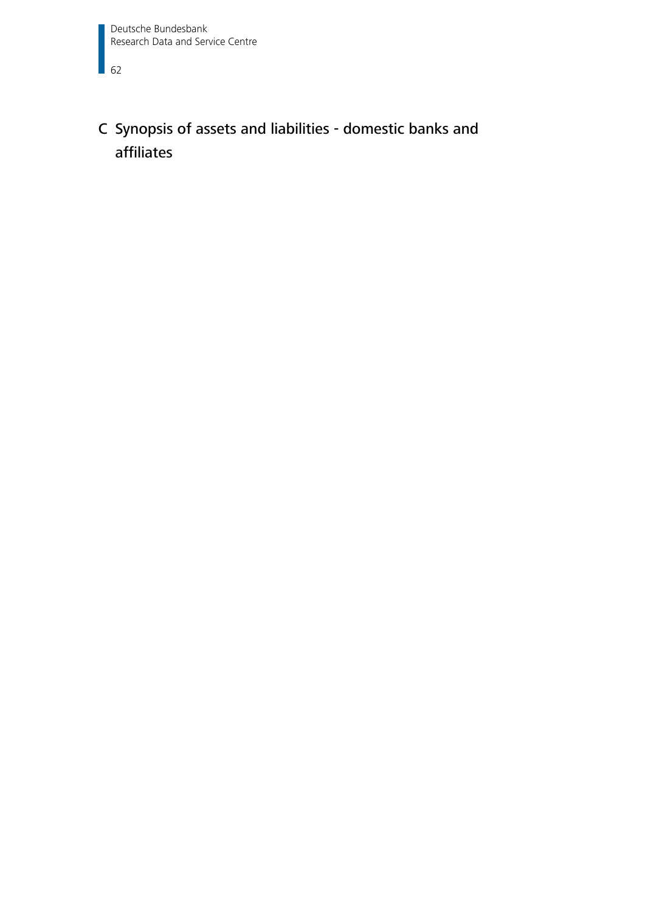$\Box$  62

## C Synopsis of assets and liabilities - domestic banks and affiliates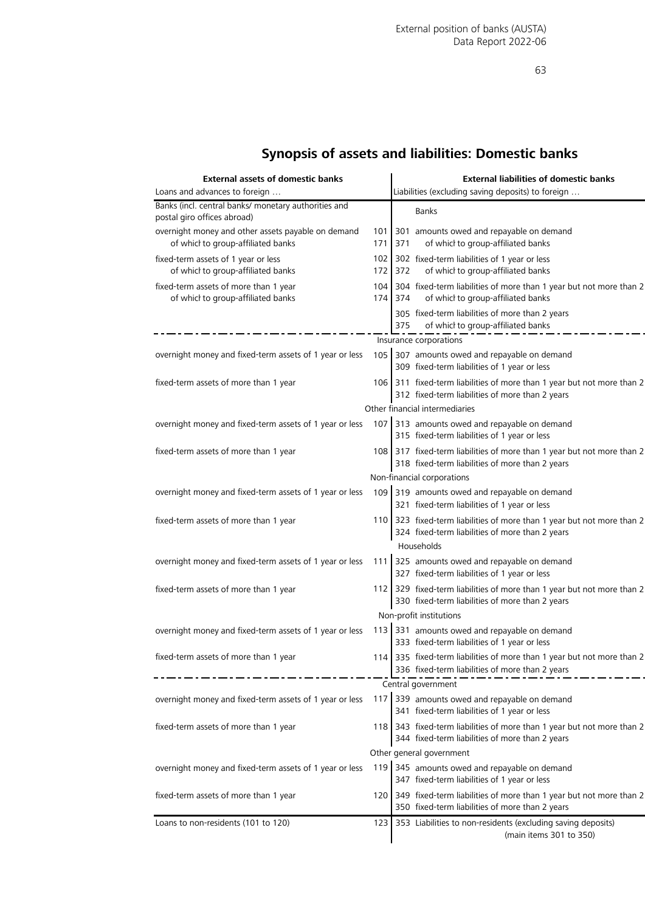## **Synopsis of assets and liabilities: Domestic banks**

| <b>External assets of domestic banks</b>                                                 |                  |         | <b>External liabilities of domestic banks</b>                                                                             |
|------------------------------------------------------------------------------------------|------------------|---------|---------------------------------------------------------------------------------------------------------------------------|
| Loans and advances to foreign                                                            |                  |         | Liabilities (excluding saving deposits) to foreign                                                                        |
| Banks (incl. central banks/ monetary authorities and<br>postal giro offices abroad)      |                  |         | <b>Banks</b>                                                                                                              |
| overnight money and other assets payable on demand<br>of whicl to group-affiliated banks | 101<br>171       | 371     | 301 amounts owed and repayable on demand<br>of whicl to group-affiliated banks                                            |
| fixed-term assets of 1 year or less<br>of whicl to group-affiliated banks                | 172 <sub>l</sub> | 372     | 102 302 fixed-term liabilities of 1 year or less<br>of whicl to group-affiliated banks                                    |
| fixed-term assets of more than 1 year<br>of whicl to group-affiliated banks              | 104              | 174 374 | 304 fixed-term liabilities of more than 1 year but not more than 2<br>of whicl to group-affiliated banks                  |
|                                                                                          |                  | 375     | 305 fixed-term liabilities of more than 2 years<br>of whicl to group-affiliated banks                                     |
|                                                                                          |                  |         | Insurance corporations                                                                                                    |
| overnight money and fixed-term assets of 1 year or less                                  | 105              |         | 307 amounts owed and repayable on demand<br>309 fixed-term liabilities of 1 year or less                                  |
| fixed-term assets of more than 1 year                                                    |                  |         | 106 311 fixed-term liabilities of more than 1 year but not more than 2<br>312 fixed-term liabilities of more than 2 years |
|                                                                                          |                  |         | Other financial intermediaries                                                                                            |
|                                                                                          |                  |         | 107 313 amounts owed and repayable on demand                                                                              |
| overnight money and fixed-term assets of 1 year or less                                  |                  |         | 315 fixed-term liabilities of 1 year or less                                                                              |
| fixed-term assets of more than 1 year                                                    |                  |         | 108 317 fixed-term liabilities of more than 1 year but not more than 2<br>318 fixed-term liabilities of more than 2 years |
|                                                                                          |                  |         | Non-financial corporations                                                                                                |
| overnight money and fixed-term assets of 1 year or less                                  |                  |         | 109 319 amounts owed and repayable on demand<br>321 fixed-term liabilities of 1 year or less                              |
| fixed-term assets of more than 1 year                                                    |                  |         | 110 323 fixed-term liabilities of more than 1 year but not more than 2<br>324 fixed-term liabilities of more than 2 years |
|                                                                                          |                  |         | Households                                                                                                                |
| overnight money and fixed-term assets of 1 year or less                                  | 111              |         | 325 amounts owed and repayable on demand<br>327 fixed-term liabilities of 1 year or less                                  |
| fixed-term assets of more than 1 year                                                    |                  |         | 112 329 fixed-term liabilities of more than 1 year but not more than 2<br>330 fixed-term liabilities of more than 2 years |
|                                                                                          |                  |         | Non-profit institutions                                                                                                   |
| overnight money and fixed-term assets of 1 year or less                                  |                  |         | 113 331 amounts owed and repayable on demand<br>333 fixed-term liabilities of 1 year or less                              |
| fixed-term assets of more than 1 year                                                    |                  |         | 114 335 fixed-term liabilities of more than 1 year but not more than 2                                                    |
|                                                                                          |                  |         | 336 fixed-term liabilities of more than 2 years                                                                           |
|                                                                                          |                  |         | Central government                                                                                                        |
| overnight money and fixed-term assets of 1 year or less                                  | 117              |         | 339 amounts owed and repayable on demand<br>341 fixed-term liabilities of 1 year or less                                  |
| fixed-term assets of more than 1 year                                                    |                  |         | 118 343 fixed-term liabilities of more than 1 year but not more than 2<br>344 fixed-term liabilities of more than 2 years |
|                                                                                          |                  |         | Other general government                                                                                                  |
| overnight money and fixed-term assets of 1 year or less                                  | 119              |         | 345 amounts owed and repayable on demand<br>347 fixed-term liabilities of 1 year or less                                  |
| fixed-term assets of more than 1 year                                                    | 120              |         | 349 fixed-term liabilities of more than 1 year but not more than 2<br>350 fixed-term liabilities of more than 2 years     |
| Loans to non-residents (101 to 120)                                                      | 123              |         | 353 Liabilities to non-residents (excluding saving deposits)<br>(main items 301 to 350)                                   |
|                                                                                          |                  |         |                                                                                                                           |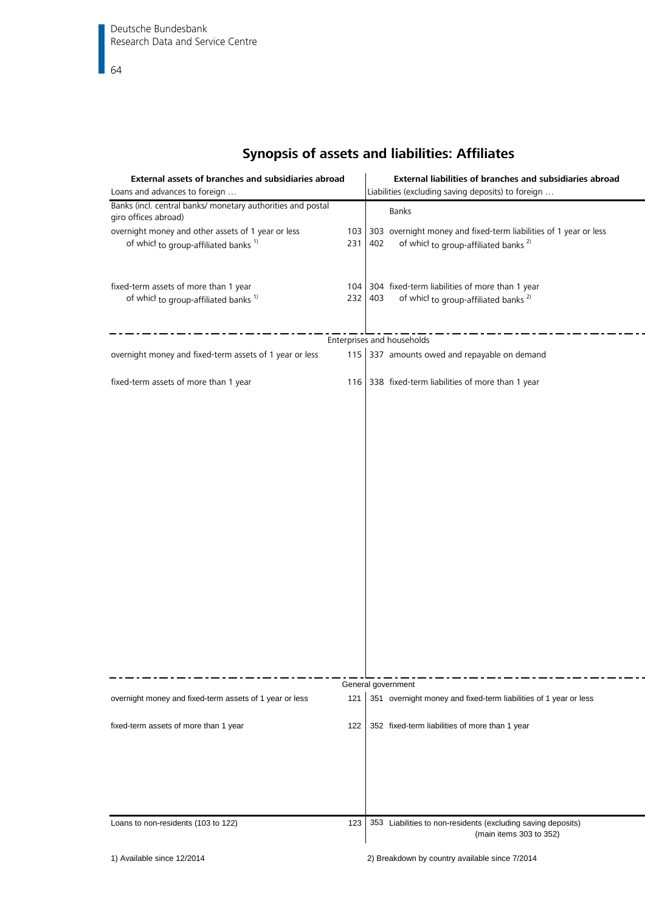## **Synopsis of assets and liabilities: Affiliates**

| External assets of branches and subsidiaries abroad<br>Loans and advances to foreign                   |            | External liabilities of branches and subsidiaries abroad<br>Liabilities (excluding saving deposits) to foreign              |
|--------------------------------------------------------------------------------------------------------|------------|-----------------------------------------------------------------------------------------------------------------------------|
| Banks (incl. central banks/ monetary authorities and postal<br>giro offices abroad)                    |            | Banks                                                                                                                       |
| overnight money and other assets of 1 year or less<br>of whicl to group-affiliated banks <sup>1)</sup> | 103<br>231 | 303 overnight money and fixed-term liabilities of 1 year or less<br>of which to group-affiliated banks <sup>2)</sup><br>402 |
| fixed-term assets of more than 1 year<br>of which to group-affiliated banks <sup>1)</sup>              | 232        | 104 304 fixed-term liabilities of more than 1 year<br>403<br>of which to group-affiliated banks <sup>2)</sup>               |
|                                                                                                        |            | Enterprises and households                                                                                                  |
| overnight money and fixed-term assets of 1 year or less                                                |            | 115 337 amounts owed and repayable on demand                                                                                |
| fixed-term assets of more than 1 year                                                                  |            | 116 338 fixed-term liabilities of more than 1 year                                                                          |
|                                                                                                        |            |                                                                                                                             |
|                                                                                                        |            |                                                                                                                             |
|                                                                                                        |            |                                                                                                                             |
|                                                                                                        |            |                                                                                                                             |
|                                                                                                        |            |                                                                                                                             |
|                                                                                                        |            |                                                                                                                             |
|                                                                                                        |            |                                                                                                                             |
|                                                                                                        |            |                                                                                                                             |
|                                                                                                        |            | General government                                                                                                          |
| overnight money and fixed-term assets of 1 year or less                                                | 121        | 351 overnight money and fixed-term liabilities of 1 year or less                                                            |
| fixed-term assets of more than 1 year                                                                  | 122        | 352 fixed-term liabilities of more than 1 year                                                                              |
|                                                                                                        |            |                                                                                                                             |
|                                                                                                        |            |                                                                                                                             |
| Loans to non-residents (103 to 122)                                                                    | 123        | 353 Liabilities to non-residents (excluding saving deposits)<br>(main items 303 to 352)                                     |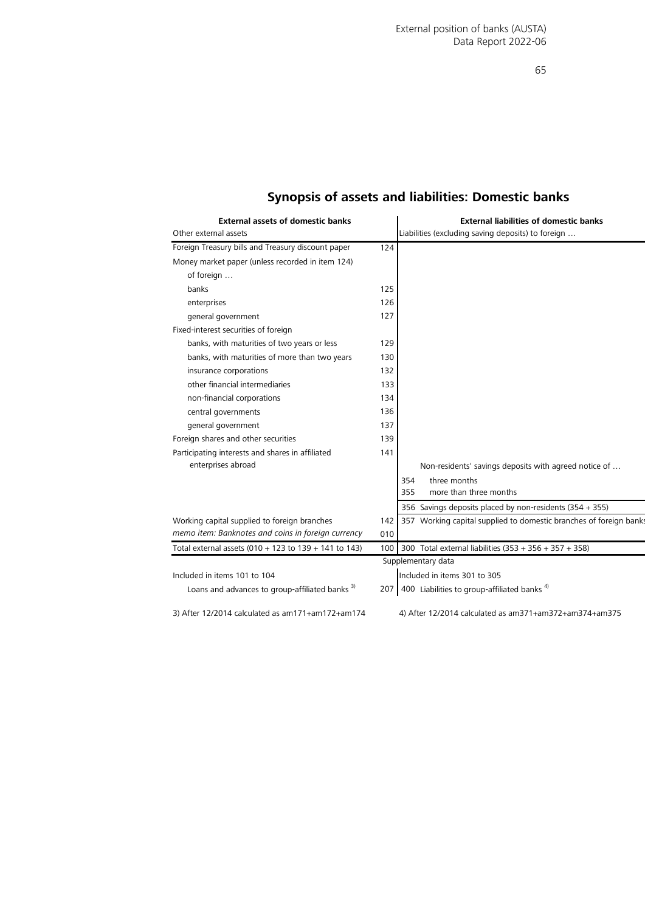| <b>External assets of domestic banks</b><br>Other external assets |     | <b>External liabilities of domestic banks</b><br>Liabilities (excluding saving deposits) to foreign |  |  |
|-------------------------------------------------------------------|-----|-----------------------------------------------------------------------------------------------------|--|--|
| Foreign Treasury bills and Treasury discount paper                | 124 |                                                                                                     |  |  |
| Money market paper (unless recorded in item 124)                  |     |                                                                                                     |  |  |
| of foreign                                                        |     |                                                                                                     |  |  |
| banks                                                             | 125 |                                                                                                     |  |  |
| enterprises                                                       | 126 |                                                                                                     |  |  |
| general government                                                | 127 |                                                                                                     |  |  |
| Fixed-interest securities of foreign                              |     |                                                                                                     |  |  |
| banks, with maturities of two years or less                       | 129 |                                                                                                     |  |  |
| banks, with maturities of more than two years                     | 130 |                                                                                                     |  |  |
| insurance corporations                                            | 132 |                                                                                                     |  |  |
| other financial intermediaries                                    | 133 |                                                                                                     |  |  |
| non-financial corporations                                        | 134 |                                                                                                     |  |  |
| central governments                                               | 136 |                                                                                                     |  |  |
| general government                                                | 137 |                                                                                                     |  |  |
| Foreign shares and other securities                               | 139 |                                                                                                     |  |  |
| Participating interests and shares in affiliated                  | 141 |                                                                                                     |  |  |
| enterprises abroad                                                |     | Non-residents' savings deposits with agreed notice of                                               |  |  |
|                                                                   |     | three months<br>354                                                                                 |  |  |
|                                                                   |     | 355<br>more than three months                                                                       |  |  |
|                                                                   |     | 356 Savings deposits placed by non-residents (354 + 355)                                            |  |  |
| Working capital supplied to foreign branches                      | 142 | 357 Working capital supplied to domestic branches of foreign banks                                  |  |  |
| memo item: Banknotes and coins in foreign currency                | 010 |                                                                                                     |  |  |
| Total external assets (010 + 123 to 139 + 141 to 143)             | 100 | 300 Total external liabilities (353 + 356 + 357 + 358)                                              |  |  |
| Supplementary data                                                |     |                                                                                                     |  |  |
| Included in items 101 to 104                                      |     | Included in items 301 to 305                                                                        |  |  |
| Loans and advances to group-affiliated banks <sup>3)</sup>        |     | 207 400 Liabilities to group-affiliated banks <sup>4)</sup>                                         |  |  |
| 3) After 12/2014 calculated as am171+am172+am174                  |     | 4) After 12/2014 calculated as am371+am372+am374+am375                                              |  |  |

## **Synopsis of assets and liabilities: Domestic banks**